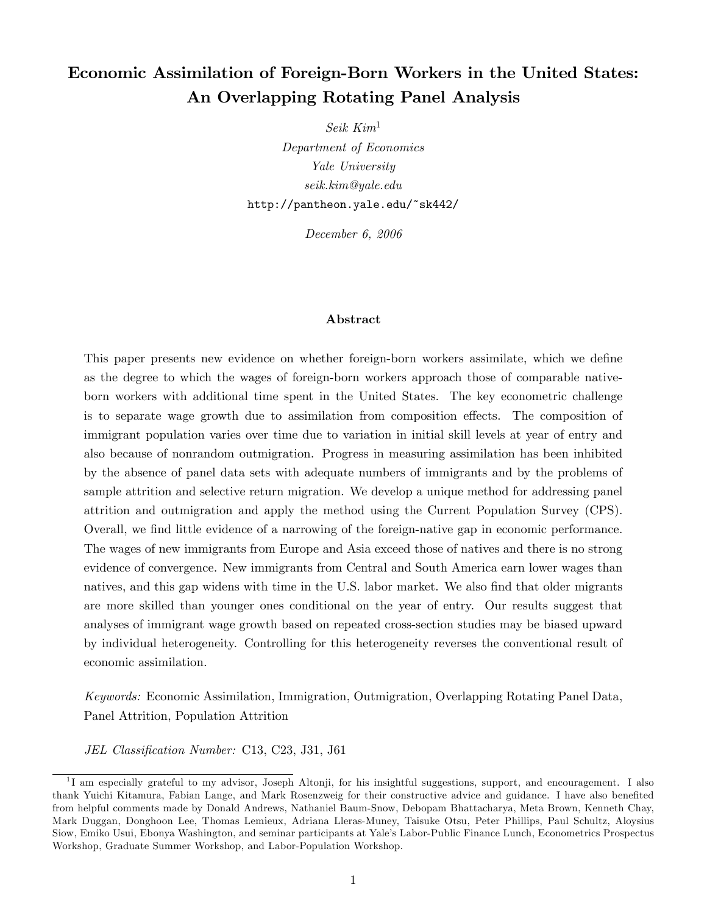# Economic Assimilation of Foreign-Born Workers in the United States: An Overlapping Rotating Panel Analysis

Seik Kim<sup>1</sup> Department of Economics Yale University seik.kim@yale.edu http://pantheon.yale.edu/~sk442/

December 6, 2006

#### Abstract

This paper presents new evidence on whether foreign-born workers assimilate, which we define as the degree to which the wages of foreign-born workers approach those of comparable nativeborn workers with additional time spent in the United States. The key econometric challenge is to separate wage growth due to assimilation from composition effects. The composition of immigrant population varies over time due to variation in initial skill levels at year of entry and also because of nonrandom outmigration. Progress in measuring assimilation has been inhibited by the absence of panel data sets with adequate numbers of immigrants and by the problems of sample attrition and selective return migration. We develop a unique method for addressing panel attrition and outmigration and apply the method using the Current Population Survey (CPS). Overall, we find little evidence of a narrowing of the foreign-native gap in economic performance. The wages of new immigrants from Europe and Asia exceed those of natives and there is no strong evidence of convergence. New immigrants from Central and South America earn lower wages than natives, and this gap widens with time in the U.S. labor market. We also find that older migrants are more skilled than younger ones conditional on the year of entry. Our results suggest that analyses of immigrant wage growth based on repeated cross-section studies may be biased upward by individual heterogeneity. Controlling for this heterogeneity reverses the conventional result of economic assimilation.

Keywords: Economic Assimilation, Immigration, Outmigration, Overlapping Rotating Panel Data, Panel Attrition, Population Attrition

JEL Classification Number: C13, C23, J31, J61

<sup>&</sup>lt;sup>1</sup>I am especially grateful to my advisor, Joseph Altonji, for his insightful suggestions, support, and encouragement. I also thank Yuichi Kitamura, Fabian Lange, and Mark Rosenzweig for their constructive advice and guidance. I have also benefited from helpful comments made by Donald Andrews, Nathaniel Baum-Snow, Debopam Bhattacharya, Meta Brown, Kenneth Chay, Mark Duggan, Donghoon Lee, Thomas Lemieux, Adriana Lleras-Muney, Taisuke Otsu, Peter Phillips, Paul Schultz, Aloysius Siow, Emiko Usui, Ebonya Washington, and seminar participants at Yale's Labor-Public Finance Lunch, Econometrics Prospectus Workshop, Graduate Summer Workshop, and Labor-Population Workshop.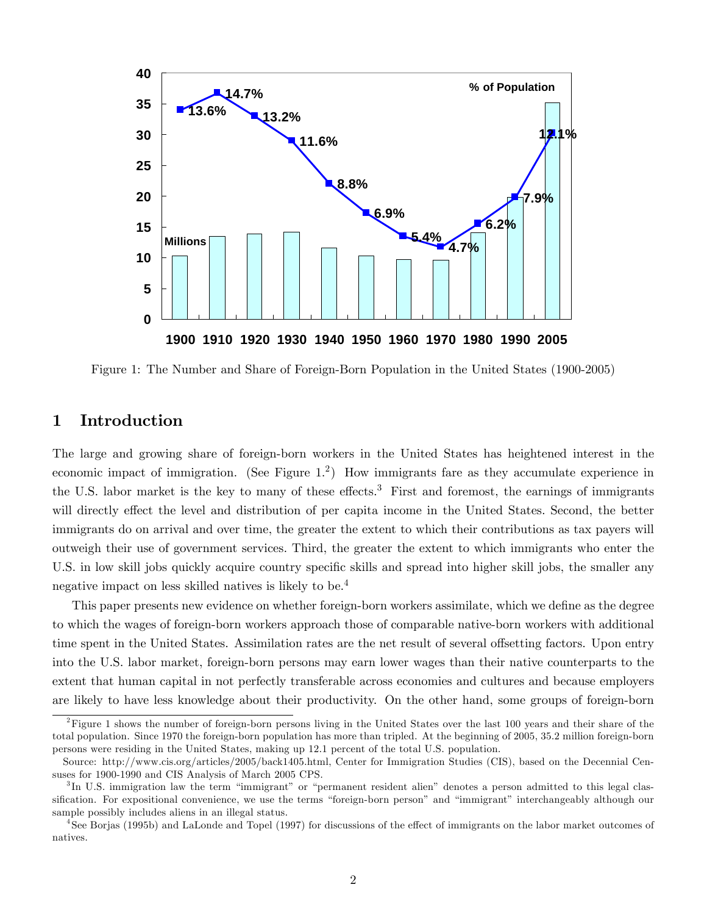

Figure 1: The Number and Share of Foreign-Born Population in the United States (1900-2005)

# 1 Introduction

The large and growing share of foreign-born workers in the United States has heightened interest in the economic impact of immigration. (See Figure 1.<sup>2</sup>) How immigrants fare as they accumulate experience in the U.S. labor market is the key to many of these effects.<sup>3</sup> First and foremost, the earnings of immigrants will directly effect the level and distribution of per capita income in the United States. Second, the better immigrants do on arrival and over time, the greater the extent to which their contributions as tax payers will outweigh their use of government services. Third, the greater the extent to which immigrants who enter the U.S. in low skill jobs quickly acquire country specific skills and spread into higher skill jobs, the smaller any negative impact on less skilled natives is likely to be.<sup>4</sup>

This paper presents new evidence on whether foreign-born workers assimilate, which we define as the degree to which the wages of foreign-born workers approach those of comparable native-born workers with additional time spent in the United States. Assimilation rates are the net result of several offsetting factors. Upon entry into the U.S. labor market, foreign-born persons may earn lower wages than their native counterparts to the extent that human capital in not perfectly transferable across economies and cultures and because employers are likely to have less knowledge about their productivity. On the other hand, some groups of foreign-born

 $2F$ igure 1 shows the number of foreign-born persons living in the United States over the last 100 years and their share of the total population. Since 1970 the foreign-born population has more than tripled. At the beginning of 2005, 35.2 million foreign-born persons were residing in the United States, making up 12.1 percent of the total U.S. population.

Source: http://www.cis.org/articles/2005/back1405.html, Center for Immigration Studies (CIS), based on the Decennial Censuses for 1900-1990 and CIS Analysis of March 2005 CPS.

 ${}^{3}$ In U.S. immigration law the term "immigrant" or "permanent resident alien" denotes a person admitted to this legal classification. For expositional convenience, we use the terms "foreign-born person" and "immigrant" interchangeably although our sample possibly includes aliens in an illegal status.

<sup>&</sup>lt;sup>4</sup>See Borjas (1995b) and LaLonde and Topel (1997) for discussions of the effect of immigrants on the labor market outcomes of natives.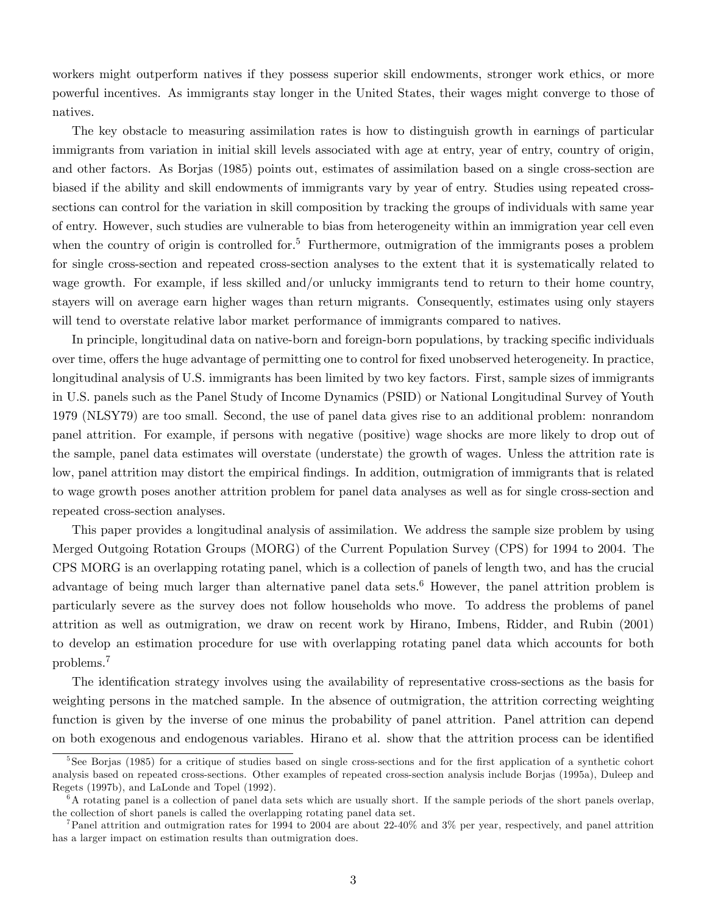workers might outperform natives if they possess superior skill endowments, stronger work ethics, or more powerful incentives. As immigrants stay longer in the United States, their wages might converge to those of natives.

The key obstacle to measuring assimilation rates is how to distinguish growth in earnings of particular immigrants from variation in initial skill levels associated with age at entry, year of entry, country of origin, and other factors. As Borjas (1985) points out, estimates of assimilation based on a single cross-section are biased if the ability and skill endowments of immigrants vary by year of entry. Studies using repeated crosssections can control for the variation in skill composition by tracking the groups of individuals with same year of entry. However, such studies are vulnerable to bias from heterogeneity within an immigration year cell even when the country of origin is controlled for.<sup>5</sup> Furthermore, outmigration of the immigrants poses a problem for single cross-section and repeated cross-section analyses to the extent that it is systematically related to wage growth. For example, if less skilled and/or unlucky immigrants tend to return to their home country, stayers will on average earn higher wages than return migrants. Consequently, estimates using only stayers will tend to overstate relative labor market performance of immigrants compared to natives.

In principle, longitudinal data on native-born and foreign-born populations, by tracking specific individuals over time, offers the huge advantage of permitting one to control for fixed unobserved heterogeneity. In practice, longitudinal analysis of U.S. immigrants has been limited by two key factors. First, sample sizes of immigrants in U.S. panels such as the Panel Study of Income Dynamics (PSID) or National Longitudinal Survey of Youth 1979 (NLSY79) are too small. Second, the use of panel data gives rise to an additional problem: nonrandom panel attrition. For example, if persons with negative (positive) wage shocks are more likely to drop out of the sample, panel data estimates will overstate (understate) the growth of wages. Unless the attrition rate is low, panel attrition may distort the empirical findings. In addition, outmigration of immigrants that is related to wage growth poses another attrition problem for panel data analyses as well as for single cross-section and repeated cross-section analyses.

This paper provides a longitudinal analysis of assimilation. We address the sample size problem by using Merged Outgoing Rotation Groups (MORG) of the Current Population Survey (CPS) for 1994 to 2004. The CPS MORG is an overlapping rotating panel, which is a collection of panels of length two, and has the crucial advantage of being much larger than alternative panel data sets.<sup>6</sup> However, the panel attrition problem is particularly severe as the survey does not follow households who move. To address the problems of panel attrition as well as outmigration, we draw on recent work by Hirano, Imbens, Ridder, and Rubin (2001) to develop an estimation procedure for use with overlapping rotating panel data which accounts for both problems.<sup>7</sup>

The identification strategy involves using the availability of representative cross-sections as the basis for weighting persons in the matched sample. In the absence of outmigration, the attrition correcting weighting function is given by the inverse of one minus the probability of panel attrition. Panel attrition can depend on both exogenous and endogenous variables. Hirano et al. show that the attrition process can be identified

<sup>&</sup>lt;sup>5</sup>See Borjas (1985) for a critique of studies based on single cross-sections and for the first application of a synthetic cohort analysis based on repeated cross-sections. Other examples of repeated cross-section analysis include Borjas (1995a), Duleep and Regets (1997b), and LaLonde and Topel (1992).

 $6A$  rotating panel is a collection of panel data sets which are usually short. If the sample periods of the short panels overlap, the collection of short panels is called the overlapping rotating panel data set.

<sup>&</sup>lt;sup>7</sup>Panel attrition and outmigration rates for 1994 to 2004 are about 22-40% and  $3\%$  per year, respectively, and panel attrition has a larger impact on estimation results than outmigration does.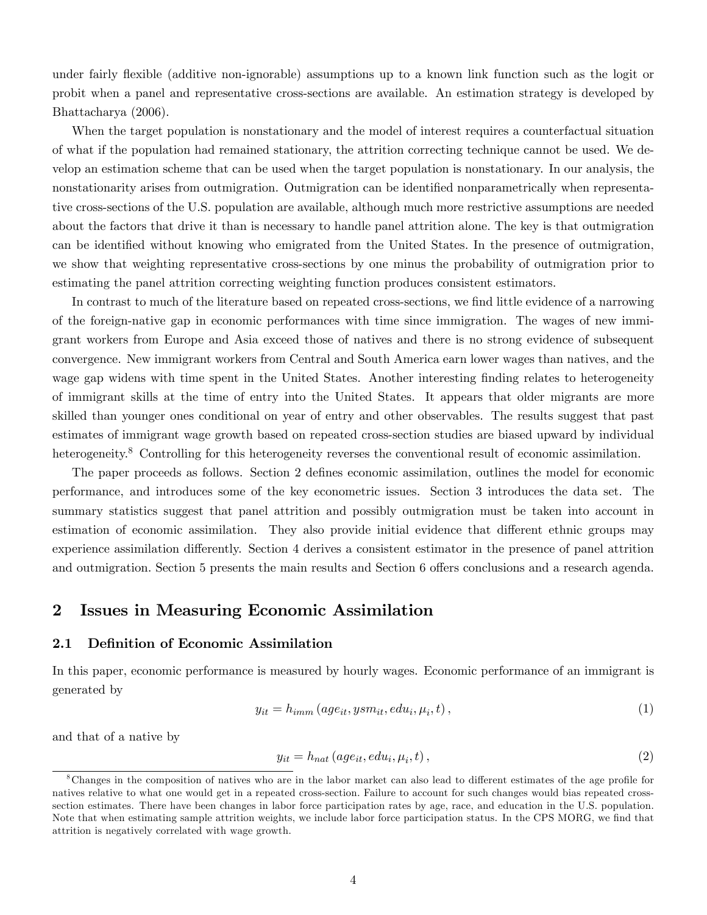under fairly flexible (additive non-ignorable) assumptions up to a known link function such as the logit or probit when a panel and representative cross-sections are available. An estimation strategy is developed by Bhattacharya (2006).

When the target population is nonstationary and the model of interest requires a counterfactual situation of what if the population had remained stationary, the attrition correcting technique cannot be used. We develop an estimation scheme that can be used when the target population is nonstationary. In our analysis, the nonstationarity arises from outmigration. Outmigration can be identified nonparametrically when representative cross-sections of the U.S. population are available, although much more restrictive assumptions are needed about the factors that drive it than is necessary to handle panel attrition alone. The key is that outmigration can be identified without knowing who emigrated from the United States. In the presence of outmigration, we show that weighting representative cross-sections by one minus the probability of outmigration prior to estimating the panel attrition correcting weighting function produces consistent estimators.

In contrast to much of the literature based on repeated cross-sections, we find little evidence of a narrowing of the foreign-native gap in economic performances with time since immigration. The wages of new immigrant workers from Europe and Asia exceed those of natives and there is no strong evidence of subsequent convergence. New immigrant workers from Central and South America earn lower wages than natives, and the wage gap widens with time spent in the United States. Another interesting finding relates to heterogeneity of immigrant skills at the time of entry into the United States. It appears that older migrants are more skilled than younger ones conditional on year of entry and other observables. The results suggest that past estimates of immigrant wage growth based on repeated cross-section studies are biased upward by individual heterogeneity.<sup>8</sup> Controlling for this heterogeneity reverses the conventional result of economic assimilation.

The paper proceeds as follows. Section 2 defines economic assimilation, outlines the model for economic performance, and introduces some of the key econometric issues. Section 3 introduces the data set. The summary statistics suggest that panel attrition and possibly outmigration must be taken into account in estimation of economic assimilation. They also provide initial evidence that different ethnic groups may experience assimilation differently. Section 4 derives a consistent estimator in the presence of panel attrition and outmigration. Section 5 presents the main results and Section 6 offers conclusions and a research agenda.

### 2 Issues in Measuring Economic Assimilation

### 2.1 Definition of Economic Assimilation

In this paper, economic performance is measured by hourly wages. Economic performance of an immigrant is generated by

$$
y_{it} = h_{imm}(age_{it}, ysm_{it},edu_i, \mu_i, t), \qquad (1)
$$

and that of a native by

$$
y_{it} = h_{nat}(age_{it}, edu_i, \mu_i, t), \qquad (2)
$$

<sup>&</sup>lt;sup>8</sup>Changes in the composition of natives who are in the labor market can also lead to different estimates of the age profile for natives relative to what one would get in a repeated cross-section. Failure to account for such changes would bias repeated crosssection estimates. There have been changes in labor force participation rates by age, race, and education in the U.S. population. Note that when estimating sample attrition weights, we include labor force participation status. In the CPS MORG, we find that attrition is negatively correlated with wage growth.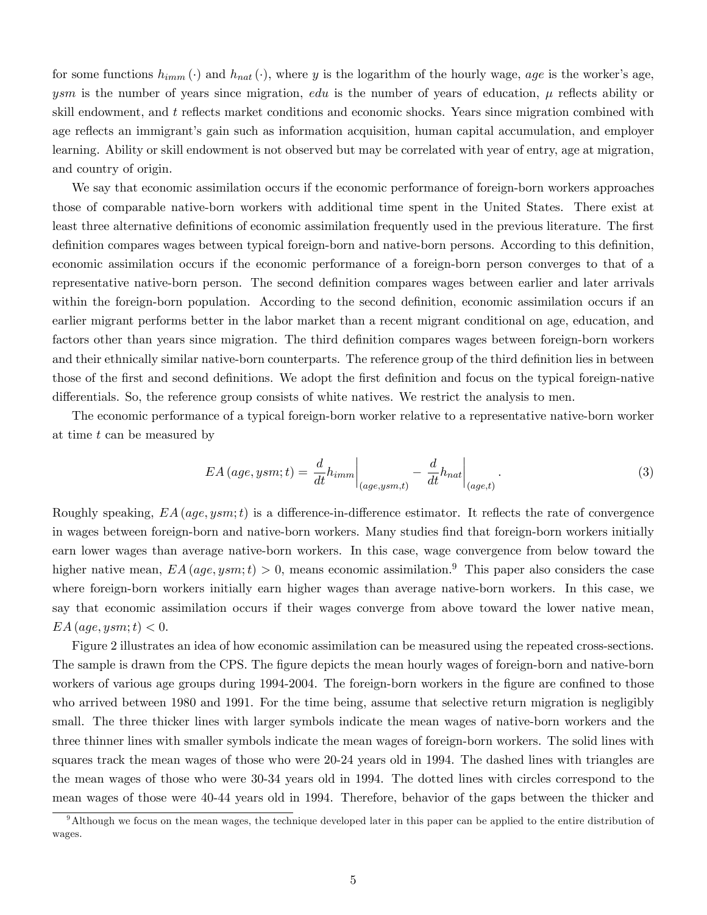for some functions  $h_{imm}(\cdot)$  and  $h_{nat}(\cdot)$ , where y is the logarithm of the hourly wage, age is the worker's age, ysm is the number of years since migration, edu is the number of years of education,  $\mu$  reflects ability or skill endowment, and  $t$  reflects market conditions and economic shocks. Years since migration combined with age reflects an immigrant's gain such as information acquisition, human capital accumulation, and employer learning. Ability or skill endowment is not observed but may be correlated with year of entry, age at migration, and country of origin.

We say that economic assimilation occurs if the economic performance of foreign-born workers approaches those of comparable native-born workers with additional time spent in the United States. There exist at least three alternative definitions of economic assimilation frequently used in the previous literature. The first definition compares wages between typical foreign-born and native-born persons. According to this definition, economic assimilation occurs if the economic performance of a foreign-born person converges to that of a representative native-born person. The second definition compares wages between earlier and later arrivals within the foreign-born population. According to the second definition, economic assimilation occurs if an earlier migrant performs better in the labor market than a recent migrant conditional on age, education, and factors other than years since migration. The third definition compares wages between foreign-born workers and their ethnically similar native-born counterparts. The reference group of the third definition lies in between those of the first and second definitions. We adopt the first definition and focus on the typical foreign-native differentials. So, the reference group consists of white natives. We restrict the analysis to men.

The economic performance of a typical foreign-born worker relative to a representative native-born worker at time t can be measured by

$$
EA\left(age, ysm; t\right) = \frac{d}{dt}h_{imm}\bigg|_{(age, ysm, t)} - \frac{d}{dt}h_{nat}\bigg|_{(age, t)}.
$$
\n(3)

Roughly speaking,  $EA$  (age, ysm;t) is a difference-in-difference estimator. It reflects the rate of convergence in wages between foreign-born and native-born workers. Many studies find that foreign-born workers initially earn lower wages than average native-born workers. In this case, wage convergence from below toward the higher native mean,  $EA$  (*age*, ysm; t) > 0, means economic assimilation.<sup>9</sup> This paper also considers the case where foreign-born workers initially earn higher wages than average native-born workers. In this case, we say that economic assimilation occurs if their wages converge from above toward the lower native mean,  $EA$  (age, ysm; t)  $< 0$ .

Figure 2 illustrates an idea of how economic assimilation can be measured using the repeated cross-sections. The sample is drawn from the CPS. The figure depicts the mean hourly wages of foreign-born and native-born workers of various age groups during 1994-2004. The foreign-born workers in the figure are confined to those who arrived between 1980 and 1991. For the time being, assume that selective return migration is negligibly small. The three thicker lines with larger symbols indicate the mean wages of native-born workers and the three thinner lines with smaller symbols indicate the mean wages of foreign-born workers. The solid lines with squares track the mean wages of those who were 20-24 years old in 1994. The dashed lines with triangles are the mean wages of those who were 30-34 years old in 1994. The dotted lines with circles correspond to the mean wages of those were 40-44 years old in 1994. Therefore, behavior of the gaps between the thicker and

<sup>&</sup>lt;sup>9</sup>Although we focus on the mean wages, the technique developed later in this paper can be applied to the entire distribution of wages.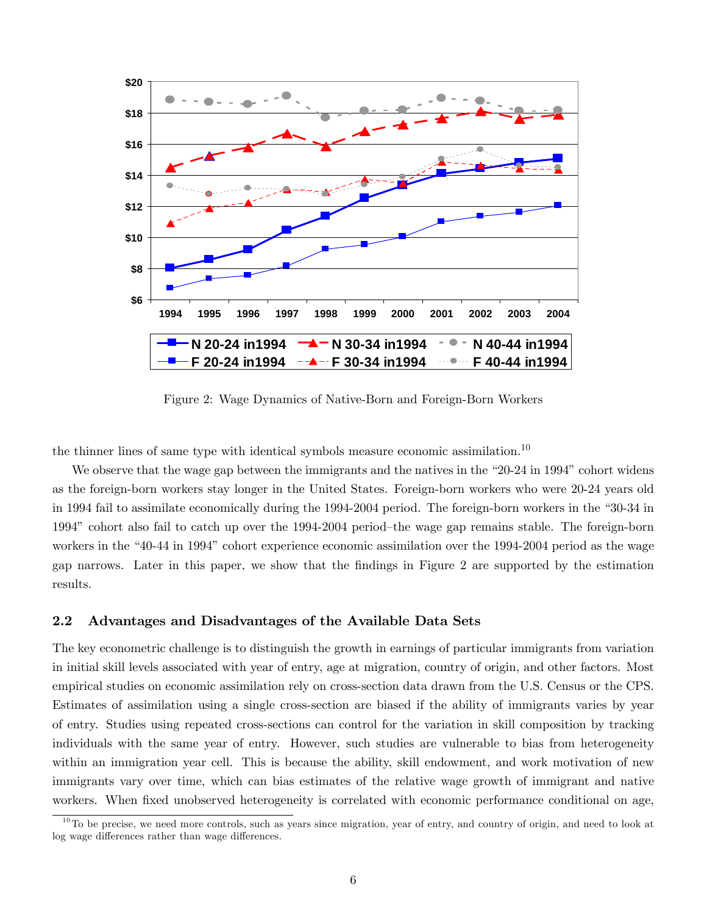

Figure 2: Wage Dynamics of Native-Born and Foreign-Born Workers

the thinner lines of same type with identical symbols measure economic assimilation.<sup>10</sup>

We observe that the wage gap between the immigrants and the natives in the  $\degree$ 20-24 in 1994 $\degree$  cohort widens as the foreign-born workers stay longer in the United States. Foreign-born workers who were 20-24 years old in 1994 fail to assimilate economically during the 1994-2004 period. The foreign-born workers in the "30-34 in 1994" cohort also fail to catch up over the 1994-2004 period-the wage gap remains stable. The foreign-born workers in the "40-44 in 1994" cohort experience economic assimilation over the 1994-2004 period as the wage gap narrows. Later in this paper, we show that the Öndings in Figure 2 are supported by the estimation results.

#### 2.2 Advantages and Disadvantages of the Available Data Sets

The key econometric challenge is to distinguish the growth in earnings of particular immigrants from variation in initial skill levels associated with year of entry, age at migration, country of origin, and other factors. Most empirical studies on economic assimilation rely on cross-section data drawn from the U.S. Census or the CPS. Estimates of assimilation using a single cross-section are biased if the ability of immigrants varies by year of entry. Studies using repeated cross-sections can control for the variation in skill composition by tracking individuals with the same year of entry. However, such studies are vulnerable to bias from heterogeneity within an immigration year cell. This is because the ability, skill endowment, and work motivation of new immigrants vary over time, which can bias estimates of the relative wage growth of immigrant and native workers. When fixed unobserved heterogeneity is correlated with economic performance conditional on age,

<sup>&</sup>lt;sup>10</sup>To be precise, we need more controls, such as years since migration, year of entry, and country of origin, and need to look at log wage differences rather than wage differences.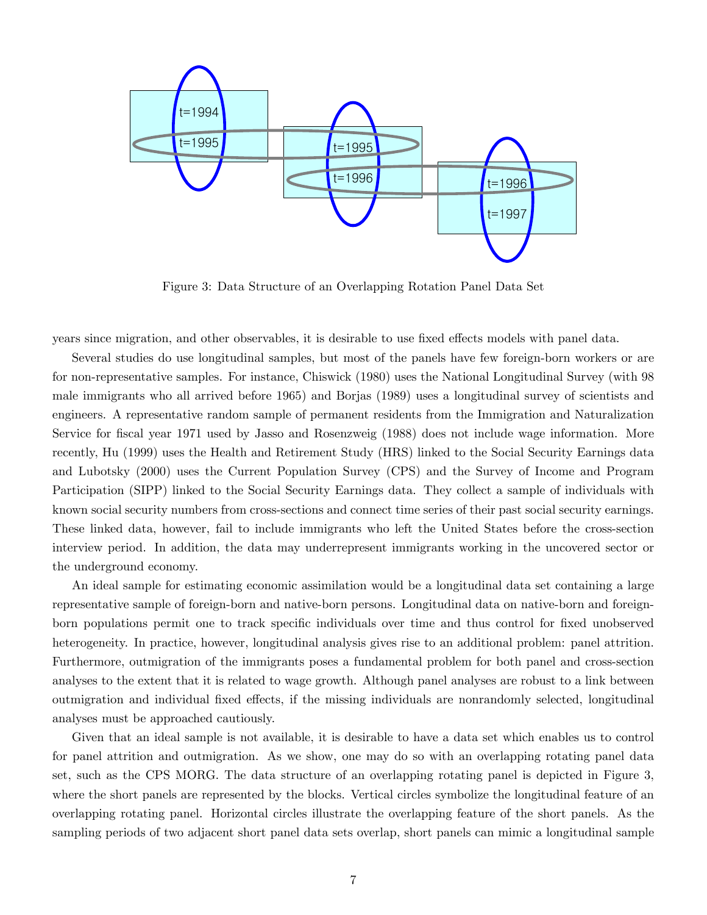

Figure 3: Data Structure of an Overlapping Rotation Panel Data Set

years since migration, and other observables, it is desirable to use fixed effects models with panel data.

Several studies do use longitudinal samples, but most of the panels have few foreign-born workers or are for non-representative samples. For instance, Chiswick (1980) uses the National Longitudinal Survey (with 98 male immigrants who all arrived before 1965) and Borjas (1989) uses a longitudinal survey of scientists and engineers. A representative random sample of permanent residents from the Immigration and Naturalization Service for fiscal year 1971 used by Jasso and Rosenzweig (1988) does not include wage information. More recently, Hu (1999) uses the Health and Retirement Study (HRS) linked to the Social Security Earnings data and Lubotsky (2000) uses the Current Population Survey (CPS) and the Survey of Income and Program Participation (SIPP) linked to the Social Security Earnings data. They collect a sample of individuals with known social security numbers from cross-sections and connect time series of their past social security earnings. These linked data, however, fail to include immigrants who left the United States before the cross-section interview period. In addition, the data may underrepresent immigrants working in the uncovered sector or the underground economy.

An ideal sample for estimating economic assimilation would be a longitudinal data set containing a large representative sample of foreign-born and native-born persons. Longitudinal data on native-born and foreignborn populations permit one to track specific individuals over time and thus control for fixed unobserved heterogeneity. In practice, however, longitudinal analysis gives rise to an additional problem: panel attrition. Furthermore, outmigration of the immigrants poses a fundamental problem for both panel and cross-section analyses to the extent that it is related to wage growth. Although panel analyses are robust to a link between outmigration and individual fixed effects, if the missing individuals are nonrandomly selected, longitudinal analyses must be approached cautiously.

Given that an ideal sample is not available, it is desirable to have a data set which enables us to control for panel attrition and outmigration. As we show, one may do so with an overlapping rotating panel data set, such as the CPS MORG. The data structure of an overlapping rotating panel is depicted in Figure 3, where the short panels are represented by the blocks. Vertical circles symbolize the longitudinal feature of an overlapping rotating panel. Horizontal circles illustrate the overlapping feature of the short panels. As the sampling periods of two adjacent short panel data sets overlap, short panels can mimic a longitudinal sample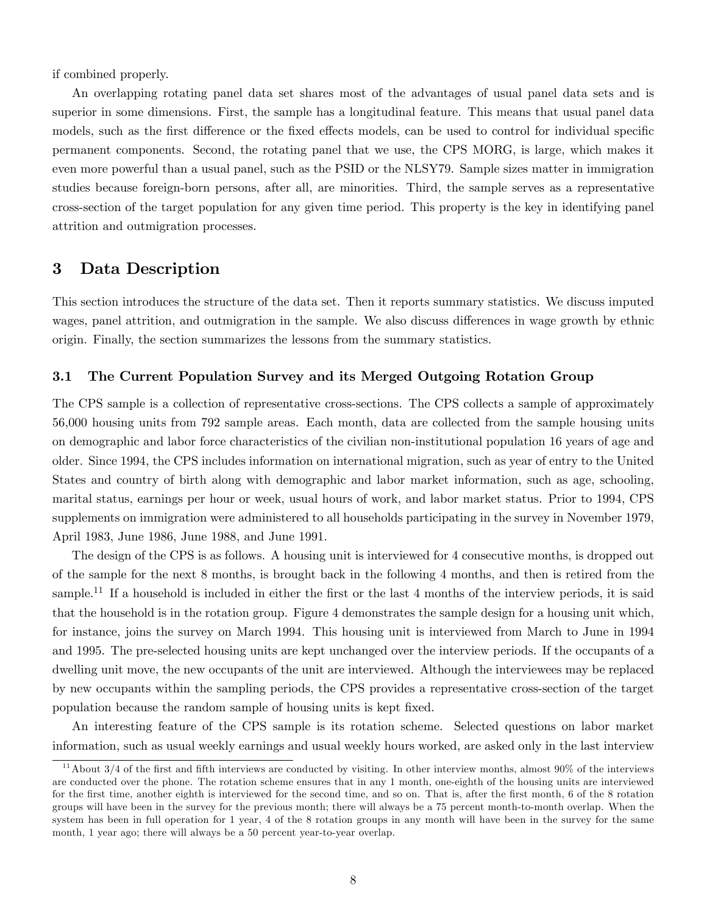if combined properly.

An overlapping rotating panel data set shares most of the advantages of usual panel data sets and is superior in some dimensions. First, the sample has a longitudinal feature. This means that usual panel data models, such as the first difference or the fixed effects models, can be used to control for individual specific permanent components. Second, the rotating panel that we use, the CPS MORG, is large, which makes it even more powerful than a usual panel, such as the PSID or the NLSY79. Sample sizes matter in immigration studies because foreign-born persons, after all, are minorities. Third, the sample serves as a representative cross-section of the target population for any given time period. This property is the key in identifying panel attrition and outmigration processes.

# 3 Data Description

This section introduces the structure of the data set. Then it reports summary statistics. We discuss imputed wages, panel attrition, and outmigration in the sample. We also discuss differences in wage growth by ethnic origin. Finally, the section summarizes the lessons from the summary statistics.

### 3.1 The Current Population Survey and its Merged Outgoing Rotation Group

The CPS sample is a collection of representative cross-sections. The CPS collects a sample of approximately 56,000 housing units from 792 sample areas. Each month, data are collected from the sample housing units on demographic and labor force characteristics of the civilian non-institutional population 16 years of age and older. Since 1994, the CPS includes information on international migration, such as year of entry to the United States and country of birth along with demographic and labor market information, such as age, schooling, marital status, earnings per hour or week, usual hours of work, and labor market status. Prior to 1994, CPS supplements on immigration were administered to all households participating in the survey in November 1979, April 1983, June 1986, June 1988, and June 1991.

The design of the CPS is as follows. A housing unit is interviewed for 4 consecutive months, is dropped out of the sample for the next 8 months, is brought back in the following 4 months, and then is retired from the sample.<sup>11</sup> If a household is included in either the first or the last 4 months of the interview periods, it is said that the household is in the rotation group. Figure 4 demonstrates the sample design for a housing unit which, for instance, joins the survey on March 1994. This housing unit is interviewed from March to June in 1994 and 1995. The pre-selected housing units are kept unchanged over the interview periods. If the occupants of a dwelling unit move, the new occupants of the unit are interviewed. Although the interviewees may be replaced by new occupants within the sampling periods, the CPS provides a representative cross-section of the target population because the random sample of housing units is kept fixed.

An interesting feature of the CPS sample is its rotation scheme. Selected questions on labor market information, such as usual weekly earnings and usual weekly hours worked, are asked only in the last interview

 $11$ About 3/4 of the first and fifth interviews are conducted by visiting. In other interview months, almost 90% of the interviews are conducted over the phone. The rotation scheme ensures that in any 1 month, one-eighth of the housing units are interviewed for the first time, another eighth is interviewed for the second time, and so on. That is, after the first month, 6 of the 8 rotation groups will have been in the survey for the previous month; there will always be a 75 percent month-to-month overlap. When the system has been in full operation for 1 year, 4 of the 8 rotation groups in any month will have been in the survey for the same month, 1 year ago; there will always be a 50 percent year-to-year overlap.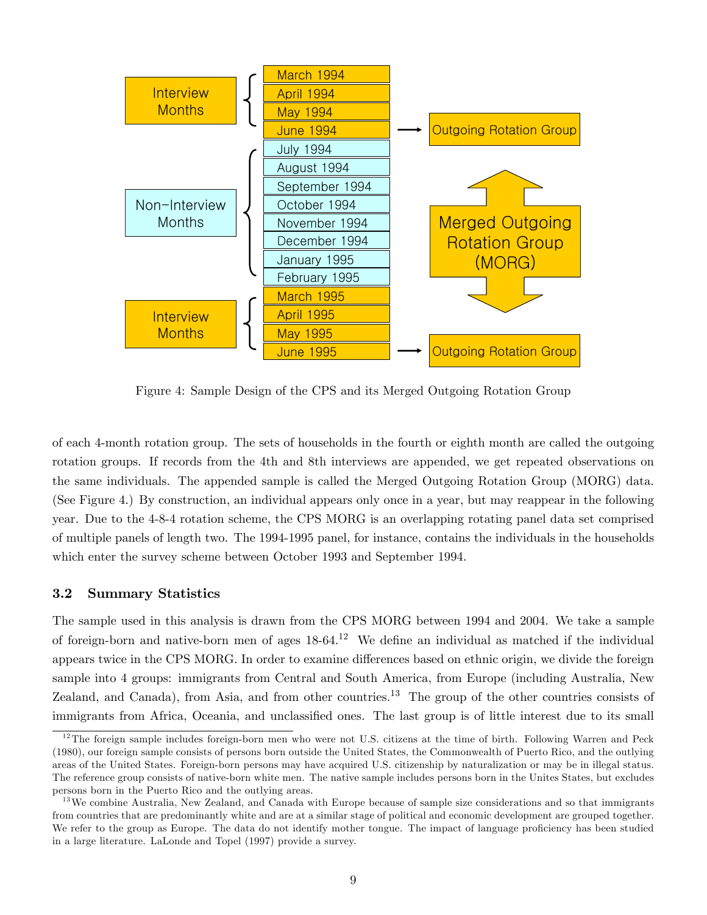

Figure 4: Sample Design of the CPS and its Merged Outgoing Rotation Group

of each 4-month rotation group. The sets of households in the fourth or eighth month are called the outgoing rotation groups. If records from the 4th and 8th interviews are appended, we get repeated observations on the same individuals. The appended sample is called the Merged Outgoing Rotation Group (MORG) data. (See Figure 4.) By construction, an individual appears only once in a year, but may reappear in the following year. Due to the 4-8-4 rotation scheme, the CPS MORG is an overlapping rotating panel data set comprised of multiple panels of length two. The 1994-1995 panel, for instance, contains the individuals in the households which enter the survey scheme between October 1993 and September 1994.

### 3.2 Summary Statistics

The sample used in this analysis is drawn from the CPS MORG between 1994 and 2004. We take a sample of foreign-born and native-born men of ages  $18-64$ .<sup>12</sup> We define an individual as matched if the individual appears twice in the CPS MORG. In order to examine differences based on ethnic origin, we divide the foreign sample into 4 groups: immigrants from Central and South America, from Europe (including Australia, New Zealand, and Canada), from Asia, and from other countries.<sup>13</sup> The group of the other countries consists of immigrants from Africa, Oceania, and unclassified ones. The last group is of little interest due to its small

 $12$ The foreign sample includes foreign-born men who were not U.S. citizens at the time of birth. Following Warren and Peck (1980), our foreign sample consists of persons born outside the United States, the Commonwealth of Puerto Rico, and the outlying areas of the United States. Foreign-born persons may have acquired U.S. citizenship by naturalization or may be in illegal status. The reference group consists of native-born white men. The native sample includes persons born in the Unites States, but excludes persons born in the Puerto Rico and the outlying areas.

<sup>&</sup>lt;sup>13</sup>We combine Australia, New Zealand, and Canada with Europe because of sample size considerations and so that immigrants from countries that are predominantly white and are at a similar stage of political and economic development are grouped together. We refer to the group as Europe. The data do not identify mother tongue. The impact of language proficiency has been studied in a large literature. LaLonde and Topel (1997) provide a survey.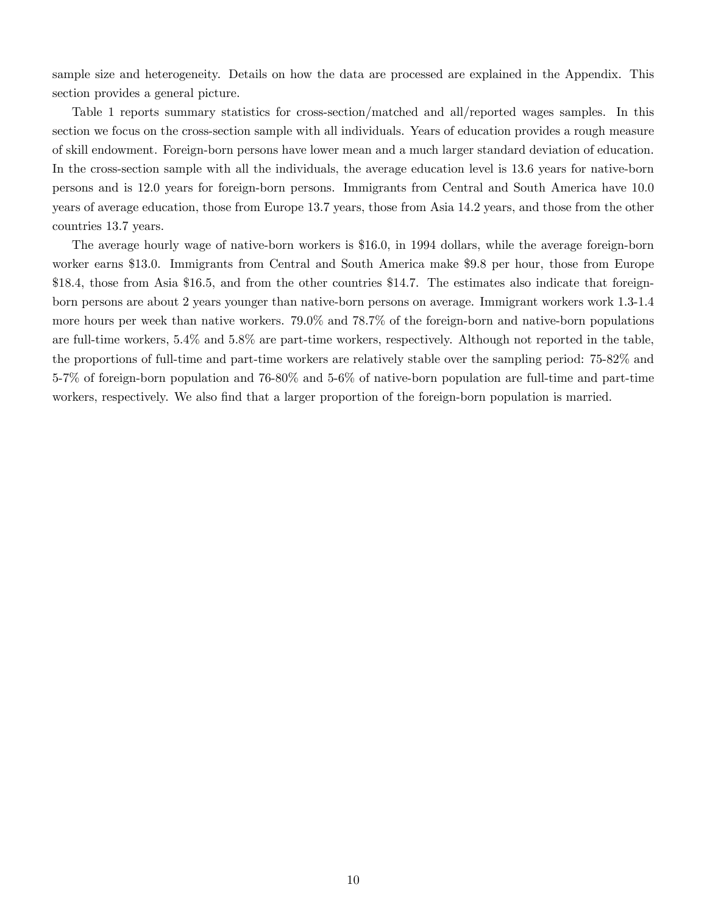sample size and heterogeneity. Details on how the data are processed are explained in the Appendix. This section provides a general picture.

Table 1 reports summary statistics for cross-section/matched and all/reported wages samples. In this section we focus on the cross-section sample with all individuals. Years of education provides a rough measure of skill endowment. Foreign-born persons have lower mean and a much larger standard deviation of education. In the cross-section sample with all the individuals, the average education level is 13.6 years for native-born persons and is 12.0 years for foreign-born persons. Immigrants from Central and South America have 10.0 years of average education, those from Europe 13.7 years, those from Asia 14.2 years, and those from the other countries 13.7 years.

The average hourly wage of native-born workers is \$16.0, in 1994 dollars, while the average foreign-born worker earns \$13.0. Immigrants from Central and South America make \$9.8 per hour, those from Europe \$18.4, those from Asia \$16.5, and from the other countries \$14.7. The estimates also indicate that foreignborn persons are about 2 years younger than native-born persons on average. Immigrant workers work 1.3-1.4 more hours per week than native workers. 79.0% and 78.7% of the foreign-born and native-born populations are full-time workers, 5.4% and 5.8% are part-time workers, respectively. Although not reported in the table, the proportions of full-time and part-time workers are relatively stable over the sampling period: 75-82% and 5-7% of foreign-born population and 76-80% and 5-6% of native-born population are full-time and part-time workers, respectively. We also find that a larger proportion of the foreign-born population is married.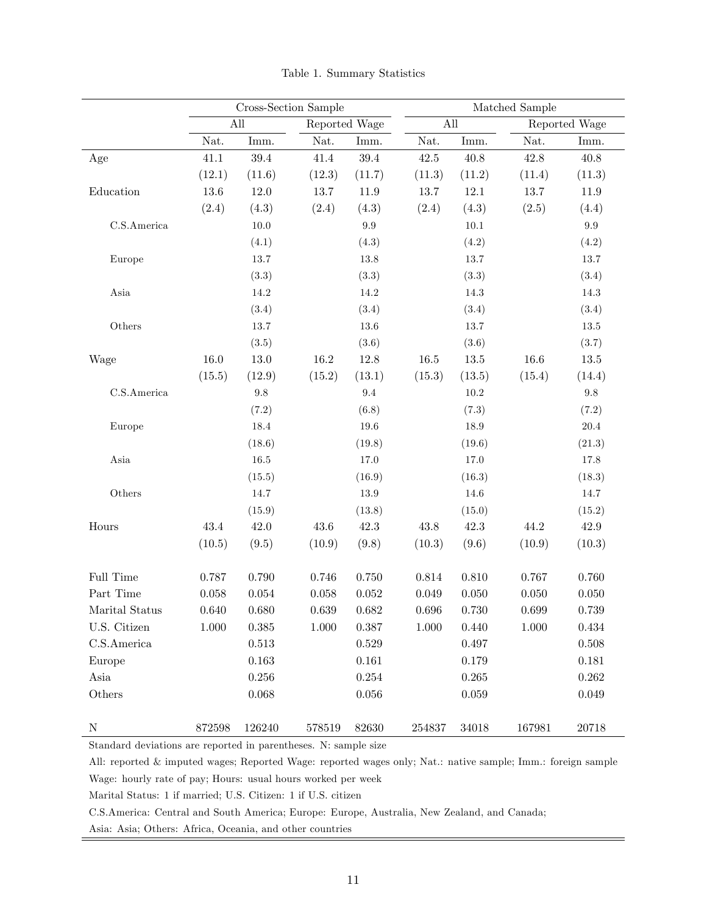|                              | Cross-Section Sample |                             |               |             |           |           | Matched Sample |               |
|------------------------------|----------------------|-----------------------------|---------------|-------------|-----------|-----------|----------------|---------------|
|                              |                      | $\mathop{\rm All}\nolimits$ | Reported Wage |             | All       |           |                | Reported Wage |
|                              | Nat.                 | Imm.                        | Nat.          | Imm.        | Nat.      | Imm.      | Nat.           | Imm.          |
| $\rm Age$                    | 41.1                 | $39.4\,$                    | 41.4          | 39.4        | $42.5\,$  | 40.8      | 42.8           | $40.8\,$      |
|                              | (12.1)               | (11.6)                      | (12.3)        | (11.7)      | (11.3)    | (11.2)    | (11.4)         | (11.3)        |
| Education                    | $13.6\,$             | $12.0\,$                    | 13.7          | 11.9        | 13.7      | $12.1\,$  | 13.7           | $11.9\,$      |
|                              | (2.4)                | (4.3)                       | (2.4)         | (4.3)       | (2.4)     | (4.3)     | (2.5)          | (4.4)         |
| C.S.America                  |                      | $10.0\,$                    |               | $\rm 9.9$   |           | $10.1\,$  |                | $\rm 9.9$     |
|                              |                      | (4.1)                       |               | (4.3)       |           | (4.2)     |                | (4.2)         |
| Europe                       |                      | $13.7\,$                    |               | 13.8        |           | $13.7\,$  |                | 13.7          |
|                              |                      | (3.3)                       |               | (3.3)       |           | (3.3)     |                | (3.4)         |
| Asia                         |                      | 14.2                        |               | 14.2        |           | $14.3\,$  |                | $14.3\,$      |
|                              |                      | (3.4)                       |               | (3.4)       |           | (3.4)     |                | (3.4)         |
| Others                       |                      | $13.7\,$                    |               | $13.6\,$    |           | $13.7\,$  |                | $13.5\,$      |
|                              |                      | (3.5)                       |               | (3.6)       |           | (3.6)     |                | (3.7)         |
| Wage                         | $16.0\,$             | $13.0\,$                    | $16.2\,$      | 12.8        | $16.5\,$  | $13.5\,$  | 16.6           | $13.5\,$      |
|                              | (15.5)               | (12.9)                      | (15.2)        | (13.1)      | (15.3)    | (13.5)    | (15.4)         | (14.4)        |
| C.S.America                  |                      | $9.8\,$                     |               | $9.4\,$     |           | $10.2\,$  |                | $\,9.8$       |
|                              |                      | (7.2)                       |               | (6.8)       |           | (7.3)     |                | (7.2)         |
| Europe                       |                      | 18.4                        |               | $19.6\,$    |           | $18.9\,$  |                | $20.4\,$      |
|                              |                      | (18.6)                      |               | (19.8)      |           | (19.6)    |                | (21.3)        |
| $\boldsymbol{\mathrm{Asia}}$ |                      | $16.5\,$                    |               | $17.0\,$    |           | $17.0\,$  |                | $17.8\,$      |
|                              |                      | (15.5)                      |               | (16.9)      |           | (16.3)    |                | (18.3)        |
| Others                       |                      | 14.7                        |               | $13.9\,$    |           | $14.6\,$  |                | 14.7          |
|                              |                      | (15.9)                      |               | (13.8)      |           | (15.0)    |                | (15.2)        |
| Hours                        | 43.4                 | $42.0\,$                    | $43.6\,$      | 42.3        | $43.8\,$  | 42.3      | 44.2           | $42.9\,$      |
|                              | (10.5)               | (9.5)                       | (10.9)        | (9.8)       | (10.3)    | (9.6)     | (10.9)         | (10.3)        |
| Full Time                    | 0.787                | 0.790                       | 0.746         | $0.750\,$   | $0.814\,$ | 0.810     | 0.767          | 0.760         |
| Part Time                    | 0.058                | $\,0.054\,$                 | 0.058         | $0.052\,$   | 0.049     | 0.050     | $0.050\,$      | 0.050         |
| Marital Status               | 0.640                | 0.680                       | 0.639         | 0.682       | 0.696     | 0.730     | 0.699          | 0.739         |
| U.S. Citizen                 | $1.000\,$            | $0.385\,$                   | 1.000         | 0.387       | $1.000\,$ | 0.440     | $1.000\,$      | $0.434\,$     |
| C.S.America                  |                      | $0.513\,$                   |               | $\,0.529\,$ |           | $0.497\,$ |                | $0.508\,$     |
| Europe                       |                      | $\,0.163\,$                 |               | $0.161\,$   |           | $0.179\,$ |                | 0.181         |
| Asia                         |                      | 0.256                       |               | $0.254\,$   |           | $0.265\,$ |                | 0.262         |
| Others                       |                      | 0.068                       |               | $0.056\,$   |           | 0.059     |                | 0.049         |
| $\mathbf N$                  | 872598               | 126240                      | 578519        | 82630       | 254837    | 34018     | 167981         | 20718         |

Table 1. Summary Statistics

All: reported & imputed wages; Reported Wage: reported wages only; Nat.: native sample; Imm.: foreign sample Wage: hourly rate of pay; Hours: usual hours worked per week

Marital Status: 1 if married; U.S. Citizen: 1 if U.S. citizen

C.S.America: Central and South America; Europe: Europe, Australia, New Zealand, and Canada;

Asia: Asia; Others: Africa, Oceania, and other countries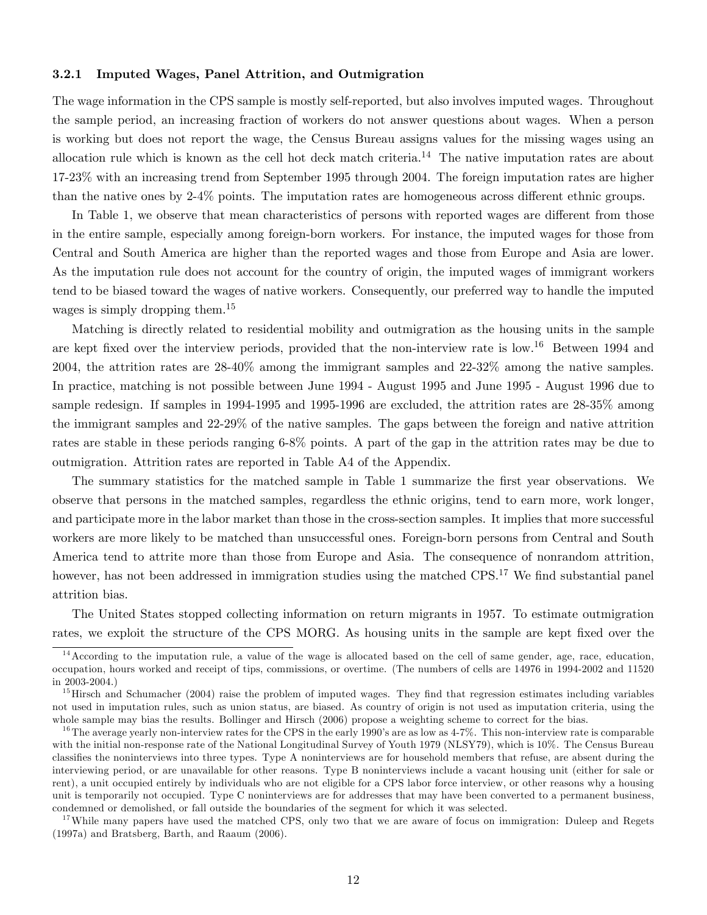#### 3.2.1 Imputed Wages, Panel Attrition, and Outmigration

The wage information in the CPS sample is mostly self-reported, but also involves imputed wages. Throughout the sample period, an increasing fraction of workers do not answer questions about wages. When a person is working but does not report the wage, the Census Bureau assigns values for the missing wages using an allocation rule which is known as the cell hot deck match criteria.<sup>14</sup> The native imputation rates are about 17-23% with an increasing trend from September 1995 through 2004. The foreign imputation rates are higher than the native ones by  $2-4\%$  points. The imputation rates are homogeneous across different ethnic groups.

In Table 1, we observe that mean characteristics of persons with reported wages are different from those in the entire sample, especially among foreign-born workers. For instance, the imputed wages for those from Central and South America are higher than the reported wages and those from Europe and Asia are lower. As the imputation rule does not account for the country of origin, the imputed wages of immigrant workers tend to be biased toward the wages of native workers. Consequently, our preferred way to handle the imputed wages is simply dropping them.<sup>15</sup>

Matching is directly related to residential mobility and outmigration as the housing units in the sample are kept fixed over the interview periods, provided that the non-interview rate is low.<sup>16</sup> Between 1994 and 2004, the attrition rates are 28-40% among the immigrant samples and 22-32% among the native samples. In practice, matching is not possible between June 1994 - August 1995 and June 1995 - August 1996 due to sample redesign. If samples in 1994-1995 and 1995-1996 are excluded, the attrition rates are 28-35% among the immigrant samples and 22-29% of the native samples. The gaps between the foreign and native attrition rates are stable in these periods ranging 6-8% points. A part of the gap in the attrition rates may be due to outmigration. Attrition rates are reported in Table A4 of the Appendix.

The summary statistics for the matched sample in Table 1 summarize the first year observations. We observe that persons in the matched samples, regardless the ethnic origins, tend to earn more, work longer, and participate more in the labor market than those in the cross-section samples. It implies that more successful workers are more likely to be matched than unsuccessful ones. Foreign-born persons from Central and South America tend to attrite more than those from Europe and Asia. The consequence of nonrandom attrition, however, has not been addressed in immigration studies using the matched  $CPS$ .<sup>17</sup> We find substantial panel attrition bias.

The United States stopped collecting information on return migrants in 1957. To estimate outmigration rates, we exploit the structure of the CPS MORG. As housing units in the sample are kept fixed over the

 $14$  According to the imputation rule, a value of the wage is allocated based on the cell of same gender, age, race, education, occupation, hours worked and receipt of tips, commissions, or overtime. (The numbers of cells are 14976 in 1994-2002 and 11520 in 2003-2004.)

 $15$  Hirsch and Schumacher (2004) raise the problem of imputed wages. They find that regression estimates including variables not used in imputation rules, such as union status, are biased. As country of origin is not used as imputation criteria, using the whole sample may bias the results. Bollinger and Hirsch (2006) propose a weighting scheme to correct for the bias.

<sup>&</sup>lt;sup>16</sup>The average yearly non-interview rates for the CPS in the early 1990's are as low as  $4-7\%$ . This non-interview rate is comparable with the initial non-response rate of the National Longitudinal Survey of Youth 1979 (NLSY79), which is 10%. The Census Bureau classifies the noninterviews into three types. Type A noninterviews are for household members that refuse, are absent during the interviewing period, or are unavailable for other reasons. Type B noninterviews include a vacant housing unit (either for sale or rent), a unit occupied entirely by individuals who are not eligible for a CPS labor force interview, or other reasons why a housing unit is temporarily not occupied. Type C noninterviews are for addresses that may have been converted to a permanent business, condemned or demolished, or fall outside the boundaries of the segment for which it was selected.

<sup>&</sup>lt;sup>17</sup>While many papers have used the matched CPS, only two that we are aware of focus on immigration: Duleep and Regets (1997a) and Bratsberg, Barth, and Raaum (2006).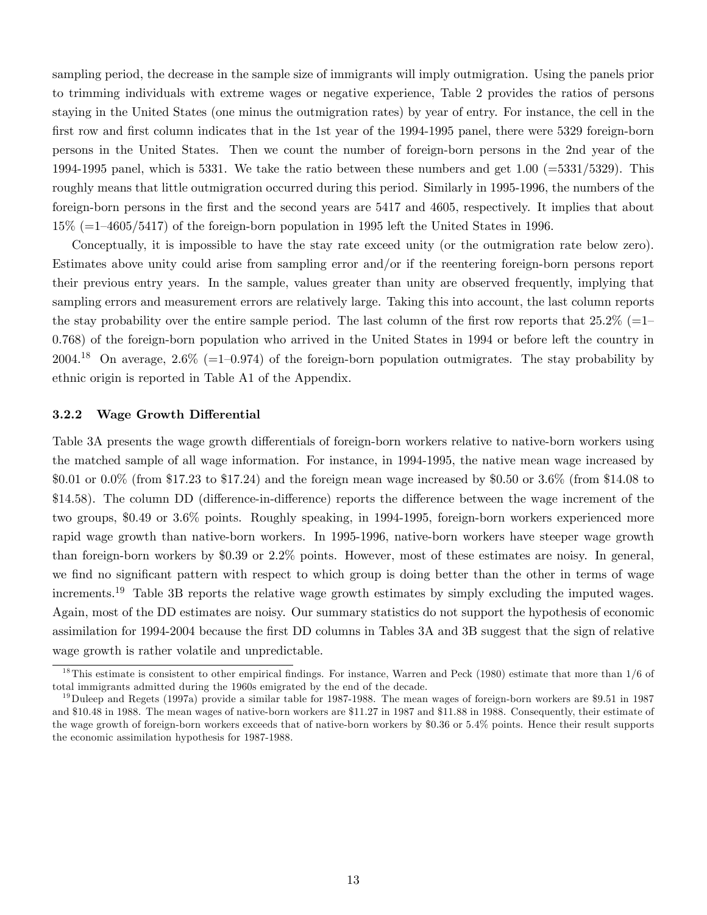sampling period, the decrease in the sample size of immigrants will imply outmigration. Using the panels prior to trimming individuals with extreme wages or negative experience, Table 2 provides the ratios of persons staying in the United States (one minus the outmigration rates) by year of entry. For instance, the cell in the first row and first column indicates that in the 1st year of the 1994-1995 panel, there were 5329 foreign-born persons in the United States. Then we count the number of foreign-born persons in the 2nd year of the 1994-1995 panel, which is 5331. We take the ratio between these numbers and get 1.00 (=5331/5329). This roughly means that little outmigration occurred during this period. Similarly in 1995-1996, the numbers of the foreign-born persons in the Örst and the second years are 5417 and 4605, respectively. It implies that about  $15\%$  (=1–4605/5417) of the foreign-born population in 1995 left the United States in 1996.

Conceptually, it is impossible to have the stay rate exceed unity (or the outmigration rate below zero). Estimates above unity could arise from sampling error and/or if the reentering foreign-born persons report their previous entry years. In the sample, values greater than unity are observed frequently, implying that sampling errors and measurement errors are relatively large. Taking this into account, the last column reports the stay probability over the entire sample period. The last column of the first row reports that  $25.2\%$  (=1– 0.768) of the foreign-born population who arrived in the United States in 1994 or before left the country in 2004.<sup>18</sup> On average, 2.6\% (=1-0.974) of the foreign-born population outmigrates. The stay probability by ethnic origin is reported in Table A1 of the Appendix.

#### 3.2.2 Wage Growth Differential

Table 3A presents the wage growth differentials of foreign-born workers relative to native-born workers using the matched sample of all wage information. For instance, in 1994-1995, the native mean wage increased by  $$0.01$  or  $0.0\%$  (from  $$17.23$  to  $$17.24$ ) and the foreign mean wage increased by  $$0.50$  or  $3.6\%$  (from  $$14.08$  to \$14.58). The column DD (difference-in-difference) reports the difference between the wage increment of the two groups, \$0.49 or 3.6% points. Roughly speaking, in 1994-1995, foreign-born workers experienced more rapid wage growth than native-born workers. In 1995-1996, native-born workers have steeper wage growth than foreign-born workers by \$0.39 or 2.2% points. However, most of these estimates are noisy. In general, we find no significant pattern with respect to which group is doing better than the other in terms of wage increments.<sup>19</sup> Table 3B reports the relative wage growth estimates by simply excluding the imputed wages. Again, most of the DD estimates are noisy. Our summary statistics do not support the hypothesis of economic assimilation for 1994-2004 because the first DD columns in Tables 3A and 3B suggest that the sign of relative wage growth is rather volatile and unpredictable.

<sup>&</sup>lt;sup>18</sup>This estimate is consistent to other empirical findings. For instance, Warren and Peck (1980) estimate that more than  $1/6$  of total immigrants admitted during the 1960s emigrated by the end of the decade.

 $19$ Duleep and Regets (1997a) provide a similar table for 1987-1988. The mean wages of foreign-born workers are \$9.51 in 1987 and \$10.48 in 1988. The mean wages of native-born workers are \$11.27 in 1987 and \$11.88 in 1988. Consequently, their estimate of the wage growth of foreign-born workers exceeds that of native-born workers by \$0.36 or 5.4% points. Hence their result supports the economic assimilation hypothesis for 1987-1988.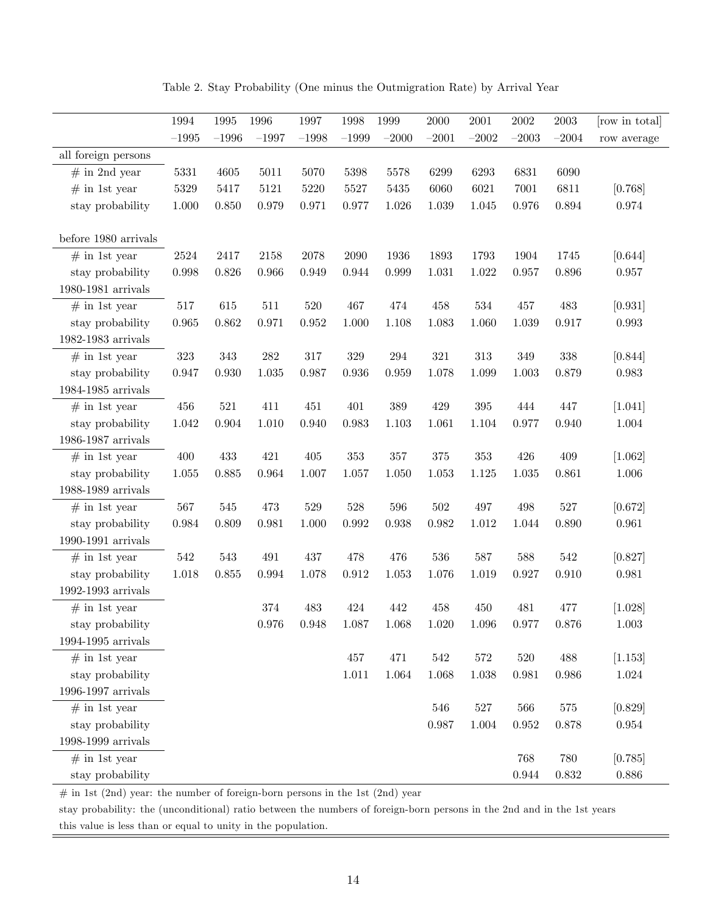Table 2. Stay Probability (One minus the Outmigration Rate) by Arrival Year

|                             | 1994      | 1995    | 1996      | 1997    | 1998        | 1999      | 2000    | 2001      | $\,2002\,$  | $\,2003\,$ | [row in total] |
|-----------------------------|-----------|---------|-----------|---------|-------------|-----------|---------|-----------|-------------|------------|----------------|
|                             | $-1995$   | $-1996$ | $-1997$   | $-1998$ | $-1999$     | $-2000$   | $-2001$ | $-2002$   | $-2003$     | $-2004$    | row average    |
| all foreign persons         |           |         |           |         |             |           |         |           |             |            |                |
| $#$ in 2nd year             | $5331\,$  | 4605    | $5011\,$  | 5070    | 5398        | 5578      | 6299    | 6293      | 6831        | 6090       |                |
| $#$ in 1st year             | $5329\,$  | 5417    | $5121\,$  | 5220    | 5527        | 5435      | 6060    | 6021      | 7001        | 6811       | [0.768]        |
| stay probability            | $1.000\,$ | 0.850   | 0.979     | 0.971   | 0.977       | 1.026     | 1.039   | 1.045     | 0.976       | 0.894      | 0.974          |
|                             |           |         |           |         |             |           |         |           |             |            |                |
| before 1980 arrivals        |           |         |           |         |             |           |         |           |             |            |                |
| $#$ in 1st year             | 2524      | 2417    | 2158      | 2078    | 2090        | 1936      | 1893    | 1793      | 1904        | 1745       | [0.644]        |
| stay probability            | 0.998     | 0.826   | 0.966     | 0.949   | 0.944       | 0.999     | 1.031   | 1.022     | 0.957       | 0.896      | $0.957\,$      |
| 1980-1981 arrivals          |           |         |           |         |             |           |         |           |             |            |                |
| $#$ in 1st year             | $517\,$   | 615     | $511\,$   | $520\,$ | 467         | 474       | 458     | 534       | 457         | 483        | [0.931]        |
| stay probability            | 0.965     | 0.862   | 0.971     | 0.952   | 1.000       | 1.108     | 1.083   | 1.060     | 1.039       | 0.917      | $\,0.993\,$    |
| 1982-1983 arrivals          |           |         |           |         |             |           |         |           |             |            |                |
| $#$ in 1st year             | $323\,$   | 343     | $282\,$   | 317     | $329\,$     | 294       | $321\,$ | $313\,$   | 349         | $338\,$    | [0.844]        |
| stay probability            | 0.947     | 0.930   | $1.035\,$ | 0.987   | 0.936       | 0.959     | 1.078   | 1.099     | 1.003       | 0.879      | 0.983          |
| $1984-1985$ arrivals        |           |         |           |         |             |           |         |           |             |            |                |
| $#$ in 1st year             | 456       | $521\,$ | 411       | 451     | 401         | 389       | 429     | $395\,$   | 444         | 447        | [1.041]        |
| stay probability            | $1.042\,$ | 0.904   | 1.010     | 0.940   | 0.983       | 1.103     | 1.061   | 1.104     | 0.977       | 0.940      | $1.004\,$      |
| 1986-1987 arrivals          |           |         |           |         |             |           |         |           |             |            |                |
| $#$ in 1st year             | 400       | 433     | 421       | 405     | $353\,$     | $357\,$   | $375\,$ | 353       | 426         | 409        | [1.062]        |
| stay probability            | $1.055\,$ | 0.885   | 0.964     | 1.007   | 1.057       | 1.050     | 1.053   | 1.125     | 1.035       | 0.861      | $1.006\,$      |
| 1988-1989 arrivals          |           |         |           |         |             |           |         |           |             |            |                |
| $#$ in 1st year             | $567\,$   | 545     | 473       | $529\,$ | $528\,$     | 596       | 502     | 497       | 498         | $527\,$    | [0.672]        |
| stay probability            | 0.984     | 0.809   | 0.981     | 1.000   | 0.992       | 0.938     | 0.982   | 1.012     | 1.044       | 0.890      | 0.961          |
| 1990-1991 arrivals          |           |         |           |         |             |           |         |           |             |            |                |
| $#$ in 1st year             | $542\,$   | $543\,$ | 491       | 437     | 478         | 476       | 536     | 587       | 588         | 542        | [0.827]        |
| stay probability            | $1.018\,$ | 0.855   | 0.994     | 1.078   | $\rm 0.912$ | 1.053     | 1.076   | 1.019     | 0.927       | 0.910      | $\,0.981\,$    |
| 1992-1993 arrivals          |           |         |           |         |             |           |         |           |             |            |                |
| $#$ in 1st year             |           |         | 374       | 483     | 424         | 442       | 458     | 450       | 481         | 477        | [1.028]        |
| stay probability            |           |         | 0.976     | 0.948   | 1.087       | 1.068     | 1.020   | 1.096     | 0.977       | 0.876      | 1.003          |
| $1994-1995$ arrivals        |           |         |           |         |             |           |         |           |             |            |                |
| $#$ in 1st year             |           |         |           |         | 457         | 471       | 542     | $572\,$   | $520\,$     | 488        | [1.153]        |
| stay probability            |           |         |           |         | $1.011\,$   | $1.064\,$ | 1.068   | $1.038\,$ | 0.981       | 0.986      | $1.024\,$      |
| $1996\text{-}1997$ arrivals |           |         |           |         |             |           |         |           |             |            |                |
| $#$ in 1st year             |           |         |           |         |             |           | 546     | $527\,$   | 566         | $575\,$    | [0.829]        |
| stay probability            |           |         |           |         |             |           | 0.987   | 1.004     | $\,0.952\,$ | 0.878      | $\,0.954\,$    |
| $1998-1999$ arrivals        |           |         |           |         |             |           |         |           |             |            |                |
| $#$ in 1st year             |           |         |           |         |             |           |         |           | 768         | 780        | [0.785]        |
| stay probability            |           |         |           |         |             |           |         |           | 0.944       | $0.832\,$  | $0.886\,$      |

 $#$  in 1st (2nd) year: the number of foreign-born persons in the 1st (2nd) year

stay probability: the (unconditional) ratio between the numbers of foreign-born persons in the 2nd and in the 1st years this value is less than or equal to unity in the population.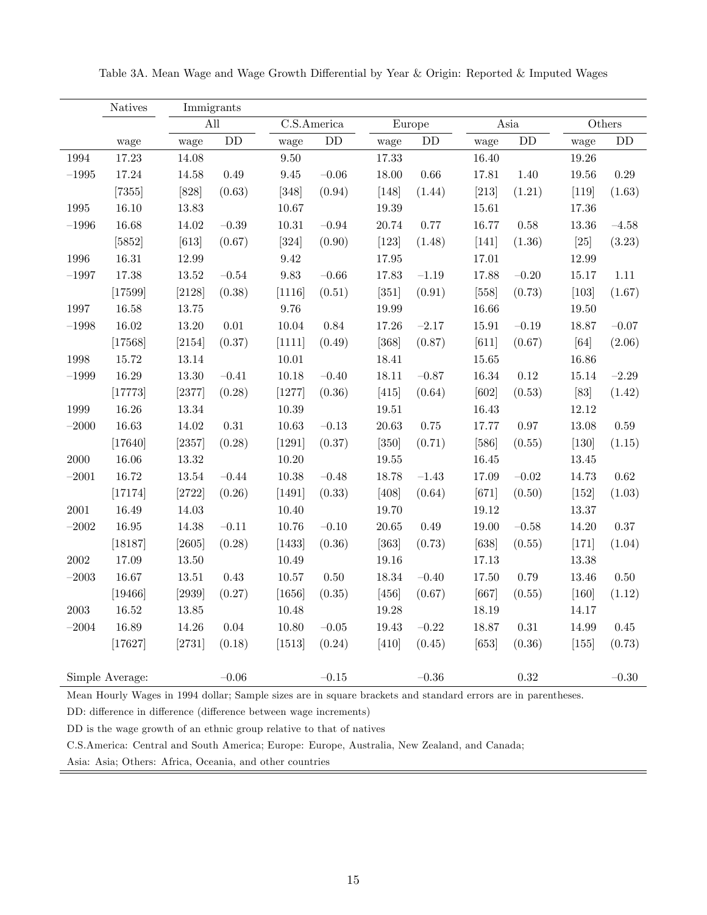|            | <b>Natives</b>  |           | Immigrants |             |             |           |           |           |           |           |              |
|------------|-----------------|-----------|------------|-------------|-------------|-----------|-----------|-----------|-----------|-----------|--------------|
|            |                 |           | All        |             | C.S.America |           | Europe    |           | Asia      |           | $\rm Others$ |
|            | wage            | wage      | DD         | wage        | DD          | wage      | DD        | wage      | DD        | wage      | DD           |
| 1994       | 17.23           | 14.08     |            | 9.50        |             | 17.33     |           | 16.40     |           | 19.26     |              |
| $-1995\,$  | 17.24           | $14.58\,$ | 0.49       | $\ \, 9.45$ | $-0.06$     | 18.00     | $0.66\,$  | 17.81     | 1.40      | $19.56\,$ | $0.29\,$     |
|            | $[7355]$        | [828]     | (0.63)     | $[348]$     | (0.94)      | $[148]$   | (1.44)    | $[213]$   | (1.21)    | $[119]$   | (1.63)       |
| $1995\,$   | $16.10\,$       | $13.83\,$ |            | 10.67       |             | 19.39     |           | 15.61     |           | 17.36     |              |
| $-1996$    | 16.68           | 14.02     | $-0.39$    | $10.31\,$   | $-0.94$     | 20.74     | 0.77      | 16.77     | 0.58      | $13.36\,$ | $-4.58$      |
|            | $[5852]$        | $[613]$   | (0.67)     | $[324]$     | (0.90)      | $[123]$   | (1.48)    | $[141]$   | (1.36)    | $[25]$    | (3.23)       |
| 1996       | 16.31           | 12.99     |            | $\ \, 9.42$ |             | 17.95     |           | 17.01     |           | 12.99     |              |
| $-1997$    | $17.38\,$       | $13.52\,$ | $-0.54\,$  | $9.83\,$    | $-0.66\,$   | 17.83     | $-1.19$   | 17.88     | $-0.20\,$ | 15.17     | $1.11\,$     |
|            | [17599]         | [2128]    | (0.38)     | [1116]      | (0.51)      | $[351]$   | (0.91)    | $[558]$   | (0.73)    | $[103]$   | (1.67)       |
| $1997\,$   | 16.58           | $13.75\,$ |            | 9.76        |             | 19.99     |           | 16.66     |           | 19.50     |              |
| $-1998\,$  | $16.02\,$       | $13.20\,$ | $0.01\,$   | $10.04\,$   | $0.84\,$    | 17.26     | $-2.17$   | 15.91     | $-0.19$   | 18.87     | $-0.07$      |
|            | [17568]         | [2154]    | (0.37)     | [1111]      | (0.49)      | $[368]$   | (0.87)    | $[611]$   | (0.67)    | [64]      | (2.06)       |
| 1998       | 15.72           | 13.14     |            | $10.01\,$   |             | 18.41     |           | 15.65     |           | 16.86     |              |
| $-1999$    | 16.29           | $13.30\,$ | $-0.41$    | 10.18       | $-0.40$     | 18.11     | $-0.87$   | 16.34     | 0.12      | 15.14     | $-2.29$      |
|            | [17773]         | [2377]    | (0.28)     | $[1277]$    | (0.36)      | $[415]$   | (0.64)    | [602]     | (0.53)    | $[83]$    | (1.42)       |
| 1999       | 16.26           | 13.34     |            | 10.39       |             | 19.51     |           | 16.43     |           | 12.12     |              |
| $-2000$    | 16.63           | $14.02\,$ | $0.31\,$   | $10.63\,$   | $-0.13\,$   | $20.63\,$ | $0.75\,$  | 17.77     | 0.97      | 13.08     | $0.59\,$     |
|            | [17640]         | [2357]    | (0.28)     | [1291]      | (0.37)      | $[350]$   | (0.71)    | $[586]$   | (0.55)    | $[130]$   | (1.15)       |
| $2000\,$   | 16.06           | $13.32\,$ |            | 10.20       |             | $19.55\,$ |           | $16.45\,$ |           | 13.45     |              |
| $-2001$    | 16.72           | $13.54\,$ | $-0.44$    | 10.38       | $-0.48$     | 18.78     | $-1.43$   | 17.09     | $-0.02$   | 14.73     | 0.62         |
|            | [17174]         | [2722]    | (0.26)     | $[1491]$    | (0.33)      | $[408]$   | (0.64)    | $[671]$   | (0.50)    | $[152]$   | (1.03)       |
| $2001\,$   | 16.49           | 14.03     |            | 10.40       |             | 19.70     |           | $19.12\,$ |           | 13.37     |              |
| $-2002$    | $16.95\,$       | 14.38     | $-0.11$    | $10.76\,$   | $-0.10$     | $20.65\,$ | 0.49      | 19.00     | $-0.58$   | 14.20     | $0.37\,$     |
|            | [18187]         | $[2605]$  | (0.28)     | [1433]      | (0.36)      | $[363]$   | (0.73)    | [638]     | (0.55)    | $[171]$   | (1.04)       |
| $\,2002\,$ | 17.09           | $13.50\,$ |            | 10.49       |             | $19.16\,$ |           | $17.13\,$ |           | $13.38\,$ |              |
| $-2003$    | 16.67           | $13.51\,$ | 0.43       | $10.57\,$   | 0.50        | 18.34     | $-0.40$   | 17.50     | 0.79      | 13.46     | $0.50\,$     |
|            | [19466]         | $[2939]$  | (0.27)     | [1656]      | (0.35)      | $[456]$   | (0.67)    | [667]     | (0.55)    | $[160]$   | (1.12)       |
| $\,2003\,$ | $16.52\,$       | $13.85\,$ |            | 10.48       |             | 19.28     |           | 18.19     |           | 14.17     |              |
| $-2004$    | 16.89           | $14.26\,$ | $0.04\,$   | $10.80\,$   | $-0.05\,$   | 19.43     | $-0.22$   | 18.87     | $0.31\,$  | 14.99     | 0.45         |
|            | [17627]         | [2731]    | (0.18)     | $[1513]$    | (0.24)      | $[410]$   | (0.45)    | $[653]$   | (0.36)    | $[155]$   | (0.73)       |
|            |                 |           |            |             |             |           |           |           |           |           |              |
|            | Simple Average: |           | $-0.06\,$  |             | $-0.15$     |           | $-0.36\,$ |           | 0.32      |           | $-0.30$      |

Table 3A. Mean Wage and Wage Growth Differential by Year & Origin: Reported & Imputed Wages

Mean Hourly Wages in 1994 dollar; Sample sizes are in square brackets and standard errors are in parentheses.

DD: difference in difference (difference between wage increments)

DD is the wage growth of an ethnic group relative to that of natives

C.S.America: Central and South America; Europe: Europe, Australia, New Zealand, and Canada;

Asia: Asia; Others: Africa, Oceania, and other countries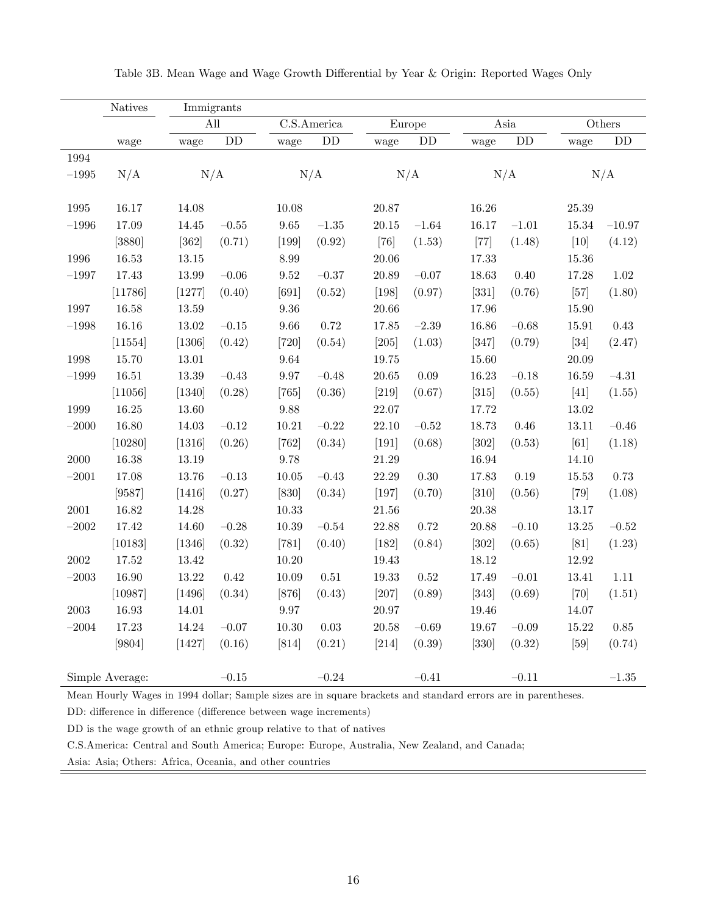|           | <b>Natives</b>  | Immigrants |                        |                     |             |           |                        |           |           |           |           |
|-----------|-----------------|------------|------------------------|---------------------|-------------|-----------|------------------------|-----------|-----------|-----------|-----------|
|           |                 | All        |                        |                     | C.S.America |           | Europe                 |           | Asia      |           | Others    |
|           | wage            | wage       | $\mathbf{D}\mathbf{D}$ | wage                | ${\rm DD}$  | wage      | $\mathbf{D}\mathbf{D}$ | wage      | DD        | wage      | <b>DD</b> |
| 1994      |                 |            |                        |                     |             |           |                        |           |           |           |           |
| $-1995\,$ | N/A             | N/A        |                        |                     | N/A         |           | N/A                    |           | N/A       |           | N/A       |
|           |                 |            |                        |                     |             |           |                        |           |           |           |           |
| $1995\,$  | 16.17           | 14.08      |                        | 10.08               |             | 20.87     |                        | 16.26     |           | $25.39\,$ |           |
| $-1996\,$ | 17.09           | 14.45      | $-0.55\,$              | $\boldsymbol{9.65}$ | $-1.35\,$   | $20.15\,$ | $-1.64\,$              | 16.17     | $-1.01$   | $15.34\,$ | $-10.97$  |
|           | [3880]          | $[362]$    | (0.71)                 | $[199]$             | (0.92)      | $[76]$    | (1.53)                 | $[77]$    | (1.48)    | $[10]$    | (4.12)    |
| $1996\,$  | $16.53\,$       | $13.15\,$  |                        | $8.99\,$            |             | 20.06     |                        | 17.33     |           | $15.36\,$ |           |
| $-1997$   | 17.43           | 13.99      | $-0.06$                | $\ \, 9.52$         | $-0.37\,$   | 20.89     | $-0.07$                | 18.63     | 0.40      | 17.28     | $1.02\,$  |
|           | [11786]         | $[1277]$   | (0.40)                 | [691]               | (0.52)      | $[198]$   | (0.97)                 | $[331]$   | (0.76)    | $[57]$    | (1.80)    |
| $1997\,$  | 16.58           | $13.59\,$  |                        | $\rm 9.36$          |             | $20.66\,$ |                        | 17.96     |           | 15.90     |           |
| $-1998\,$ | 16.16           | $13.02\,$  | $-0.15\,$              | $9.66\,$            | 0.72        | 17.85     | $-2.39$                | 16.86     | $-0.68$   | 15.91     | $0.43\,$  |
|           | [11554]         | [1306]     | (0.42)                 | $[720]$             | (0.54)      | $[205]$   | (1.03)                 | $[347]$   | (0.79)    | $[34]$    | (2.47)    |
| 1998      | 15.70           | $13.01\,$  |                        | $\boldsymbol{9.64}$ |             | 19.75     |                        | 15.60     |           | 20.09     |           |
| $-1999\,$ | $16.51\,$       | $13.39\,$  | $-0.43$                | $9.97\,$            | $-0.48$     | $20.65\,$ | $0.09\,$               | 16.23     | $-0.18$   | $16.59\,$ | $-4.31$   |
|           | [11056]         | $[1340]$   | (0.28)                 | $[765]$             | (0.36)      | $[219]$   | (0.67)                 | $[315]$   | (0.55)    | $[41]$    | (1.55)    |
| 1999      | $16.25\,$       | $13.60\,$  |                        | $\boldsymbol{9.88}$ |             | 22.07     |                        | 17.72     |           | $13.02\,$ |           |
| $-2000$   | 16.80           | 14.03      | $-0.12$                | 10.21               | $-0.22$     | 22.10     | $-0.52$                | 18.73     | $0.46\,$  | 13.11     | $-0.46$   |
|           | [10280]         | [1316]     | (0.26)                 | $[762]$             | (0.34)      | $[191]$   | (0.68)                 | $[302]$   | (0.53)    | [61]      | (1.18)    |
| 2000      | 16.38           | 13.19      |                        | 9.78                |             | 21.29     |                        | 16.94     |           | 14.10     |           |
| $-2001$   | 17.08           | 13.76      | $-0.13$                | $10.05\,$           | $-0.43\,$   | 22.29     | $0.30\,$               | 17.83     | $0.19\,$  | $15.53\,$ | 0.73      |
|           | [9587]          | $[1416]$   | (0.27)                 | $[830]$             | (0.34)      | $[197]$   | (0.70)                 | $[310]$   | (0.56)    | $[79]$    | (1.08)    |
| $2001\,$  | 16.82           | 14.28      |                        | $10.33\,$           |             | $21.56\,$ |                        | $20.38\,$ |           | 13.17     |           |
| $-2002$   | 17.42           | 14.60      | $-0.28$                | $10.39\,$           | $-0.54\,$   | 22.88     | 0.72                   | 20.88     | $-0.10$   | $13.25\,$ | $-0.52$   |
|           | [10183]         | [1346]     | (0.32)                 | $[781]$             | (0.40)      | $[182]$   | (0.84)                 | $[302]$   | (0.65)    | [81]      | (1.23)    |
| $2002\,$  | $17.52\,$       | $13.42\,$  |                        | $10.20\,$           |             | $19.43\,$ |                        | 18.12     |           | $12.92\,$ |           |
| $-2003$   | 16.90           | $13.22\,$  | 0.42                   | $10.09\,$           | $0.51\,$    | 19.33     | 0.52                   | 17.49     | $-0.01$   | 13.41     | 1.11      |
|           | [10987]         | [1496]     | (0.34)                 | $[876]$             | (0.43)      | $[207]$   | (0.89)                 | $[343]$   | (0.69)    | $[70]$    | (1.51)    |
| 2003      | 16.93           | 14.01      |                        | $9.97\,$            |             | 20.97     |                        | 19.46     |           | 14.07     |           |
| $-2004\,$ | 17.23           | $14.24\,$  | $-0.07$                | $10.30\,$           | $0.03\,$    | $20.58\,$ | $-0.69$                | 19.67     | $-0.09$   | $15.22\,$ | $0.85\,$  |
|           | $[9804]$        | $[1427]$   | (0.16)                 | $[814]$             | (0.21)      | $[214]$   | (0.39)                 | $[330]$   | (0.32)    | $[59]$    | (0.74)    |
|           |                 |            |                        |                     |             |           |                        |           |           |           |           |
|           | Simple Average: |            | $-0.15$                |                     | $\!-0.24\!$ |           | $-0.41\,$              |           | $-0.11\,$ |           | $-1.35\,$ |

Table 3B. Mean Wage and Wage Growth Differential by Year & Origin: Reported Wages Only

Mean Hourly Wages in 1994 dollar; Sample sizes are in square brackets and standard errors are in parentheses.

DD: difference in difference (difference between wage increments)

DD is the wage growth of an ethnic group relative to that of natives

C.S.America: Central and South America; Europe: Europe, Australia, New Zealand, and Canada;

Asia: Asia; Others: Africa, Oceania, and other countries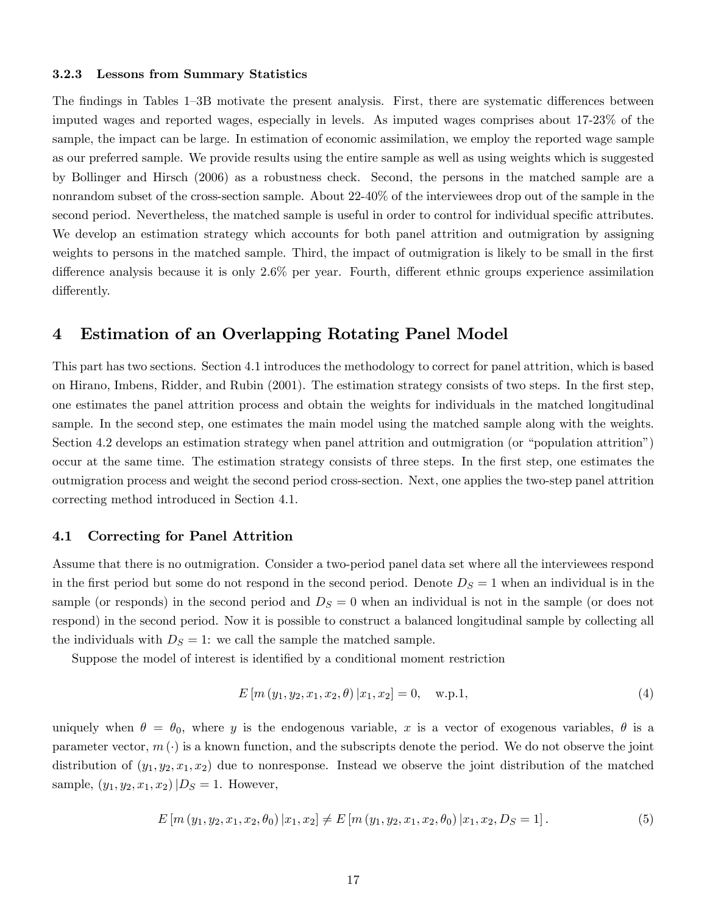#### 3.2.3 Lessons from Summary Statistics

The findings in Tables 1–3B motivate the present analysis. First, there are systematic differences between imputed wages and reported wages, especially in levels. As imputed wages comprises about 17-23% of the sample, the impact can be large. In estimation of economic assimilation, we employ the reported wage sample as our preferred sample. We provide results using the entire sample as well as using weights which is suggested by Bollinger and Hirsch (2006) as a robustness check. Second, the persons in the matched sample are a nonrandom subset of the cross-section sample. About 22-40% of the interviewees drop out of the sample in the second period. Nevertheless, the matched sample is useful in order to control for individual specific attributes. We develop an estimation strategy which accounts for both panel attrition and outmigration by assigning weights to persons in the matched sample. Third, the impact of outmigration is likely to be small in the first difference analysis because it is only  $2.6\%$  per year. Fourth, different ethnic groups experience assimilation differently.

### 4 Estimation of an Overlapping Rotating Panel Model

This part has two sections. Section 4.1 introduces the methodology to correct for panel attrition, which is based on Hirano, Imbens, Ridder, and Rubin (2001). The estimation strategy consists of two steps. In the Örst step, one estimates the panel attrition process and obtain the weights for individuals in the matched longitudinal sample. In the second step, one estimates the main model using the matched sample along with the weights. Section 4.2 develops an estimation strategy when panel attrition and outmigration (or "population attrition") occur at the same time. The estimation strategy consists of three steps. In the Örst step, one estimates the outmigration process and weight the second period cross-section. Next, one applies the two-step panel attrition correcting method introduced in Section 4.1.

#### 4.1 Correcting for Panel Attrition

Assume that there is no outmigration. Consider a two-period panel data set where all the interviewees respond in the first period but some do not respond in the second period. Denote  $D<sub>S</sub> = 1$  when an individual is in the sample (or responds) in the second period and  $D<sub>S</sub> = 0$  when an individual is not in the sample (or does not respond) in the second period. Now it is possible to construct a balanced longitudinal sample by collecting all the individuals with  $D<sub>S</sub> = 1$ : we call the sample the matched sample.

Suppose the model of interest is identified by a conditional moment restriction

$$
E\left[m\left(y_1, y_2, x_1, x_2, \theta\right) | x_1, x_2\right] = 0, \quad \text{w.p.1},\tag{4}
$$

uniquely when  $\theta = \theta_0$ , where y is the endogenous variable, x is a vector of exogenous variables,  $\theta$  is a parameter vector,  $m(\cdot)$  is a known function, and the subscripts denote the period. We do not observe the joint distribution of  $(y_1, y_2, x_1, x_2)$  due to nonresponse. Instead we observe the joint distribution of the matched sample,  $(y_1, y_2, x_1, x_2)|D_S = 1$ . However,

$$
E\left[m\left(y_1, y_2, x_1, x_2, \theta_0\right) | x_1, x_2\right] \neq E\left[m\left(y_1, y_2, x_1, x_2, \theta_0\right) | x_1, x_2, D_S = 1\right].\tag{5}
$$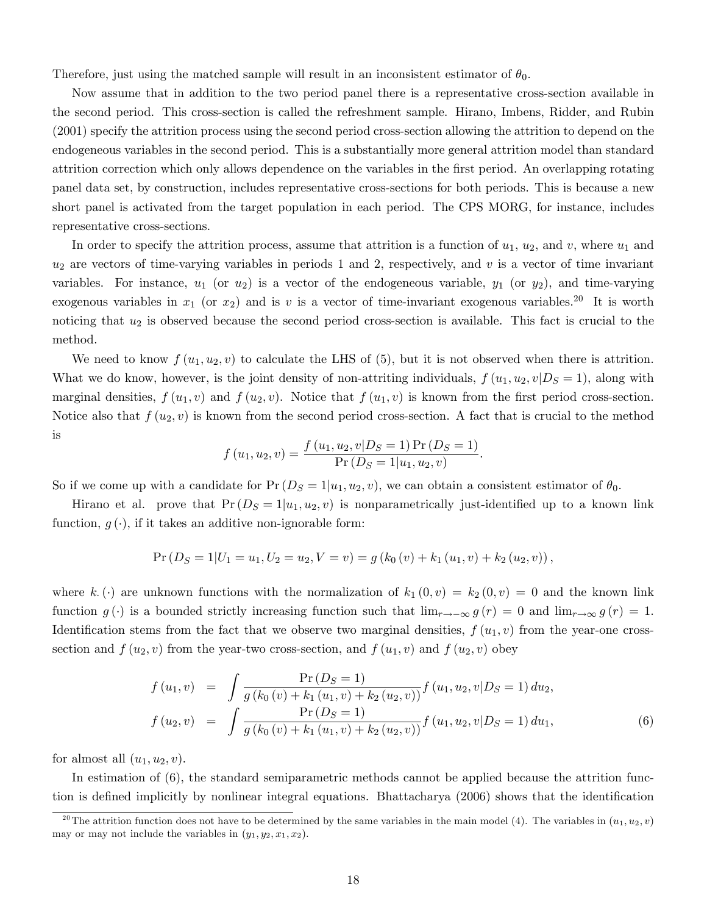Therefore, just using the matched sample will result in an inconsistent estimator of  $\theta_0$ .

Now assume that in addition to the two period panel there is a representative cross-section available in the second period. This cross-section is called the refreshment sample. Hirano, Imbens, Ridder, and Rubin (2001) specify the attrition process using the second period cross-section allowing the attrition to depend on the endogeneous variables in the second period. This is a substantially more general attrition model than standard attrition correction which only allows dependence on the variables in the first period. An overlapping rotating panel data set, by construction, includes representative cross-sections for both periods. This is because a new short panel is activated from the target population in each period. The CPS MORG, for instance, includes representative cross-sections.

In order to specify the attrition process, assume that attrition is a function of  $u_1$ ,  $u_2$ , and v, where  $u_1$  and  $u_2$  are vectors of time-varying variables in periods 1 and 2, respectively, and v is a vector of time invariant variables. For instance,  $u_1$  (or  $u_2$ ) is a vector of the endogeneous variable,  $y_1$  (or  $y_2$ ), and time-varying exogenous variables in  $x_1$  (or  $x_2$ ) and is v is a vector of time-invariant exogenous variables.<sup>20</sup> It is worth noticing that  $u_2$  is observed because the second period cross-section is available. This fact is crucial to the method.

We need to know  $f(u_1, u_2, v)$  to calculate the LHS of (5), but it is not observed when there is attrition. What we do know, however, is the joint density of non-attriting individuals,  $f(u_1, u_2, v|D_S = 1)$ , along with marginal densities,  $f(u_1, v)$  and  $f(u_2, v)$ . Notice that  $f(u_1, v)$  is known from the first period cross-section. Notice also that  $f(u_2, v)$  is known from the second period cross-section. A fact that is crucial to the method is

$$
f(u_1, u_2, v) = \frac{f(u_1, u_2, v|D_S = 1) \Pr(D_S = 1)}{\Pr(D_S = 1|u_1, u_2, v)}.
$$

So if we come up with a candidate for  $Pr(D_S = 1|u_1, u_2, v)$ , we can obtain a consistent estimator of  $\theta_0$ .

Hirano et al. prove that  $Pr(D_S = 1|u_1, u_2, v)$  is nonparametrically just-identified up to a known link function,  $g(\cdot)$ , if it takes an additive non-ignorable form:

$$
Pr(D_S = 1 | U_1 = u_1, U_2 = u_2, V = v) = g(k_0(v) + k_1(u_1, v) + k_2(u_2, v)),
$$

where k (c) are unknown functions with the normalization of  $k_1(0, v) = k_2(0, v) = 0$  and the known link function  $g(\cdot)$  is a bounded strictly increasing function such that  $\lim_{r\to\infty} g(r) = 0$  and  $\lim_{r\to\infty} g(r) = 1$ . Identification stems from the fact that we observe two marginal densities,  $f(u_1, v)$  from the year-one crosssection and  $f(u_2, v)$  from the year-two cross-section, and  $f(u_1, v)$  and  $f(u_2, v)$  obey

$$
f(u_1, v) = \int \frac{\Pr(D_S = 1)}{g(k_0(v) + k_1(u_1, v) + k_2(u_2, v))} f(u_1, u_2, v | D_S = 1) du_2,
$$
  

$$
f(u_2, v) = \int \frac{\Pr(D_S = 1)}{g(k_0(v) + k_1(u_1, v) + k_2(u_2, v))} f(u_1, u_2, v | D_S = 1) du_1,
$$
 (6)

for almost all  $(u_1, u_2, v)$ .

In estimation of (6), the standard semiparametric methods cannot be applied because the attrition function is defined implicitly by nonlinear integral equations. Bhattacharya (2006) shows that the identification

<sup>&</sup>lt;sup>20</sup>The attrition function does not have to be determined by the same variables in the main model (4). The variables in  $(u_1, u_2, v)$ may or may not include the variables in  $(y_1, y_2, x_1, x_2)$ .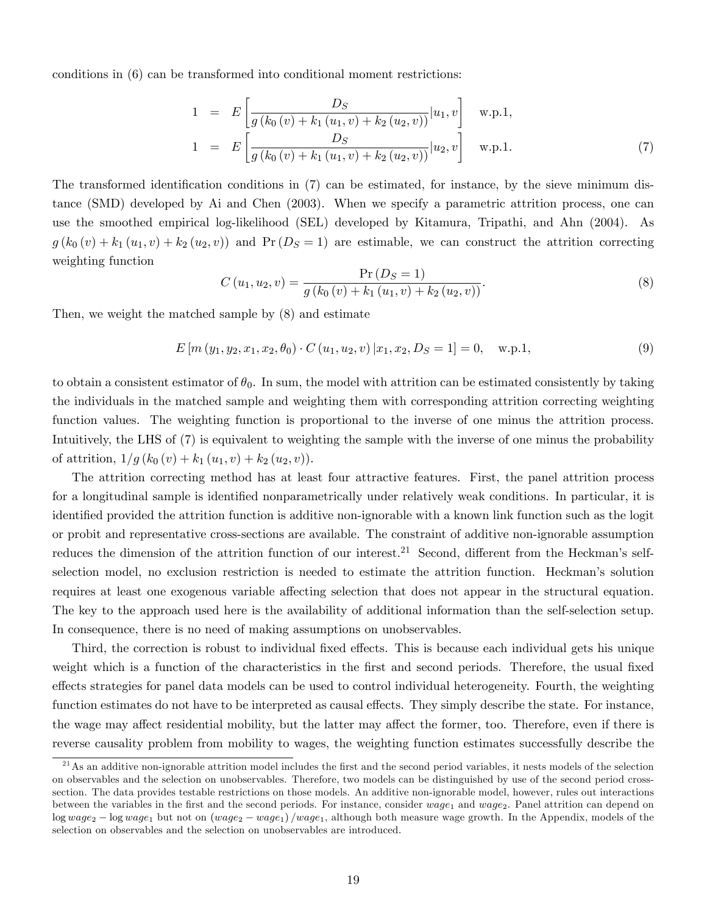conditions in (6) can be transformed into conditional moment restrictions:

$$
1 = E\left[\frac{D_S}{g(k_0(v) + k_1(u_1, v) + k_2(u_2, v))}|u_1, v\right] \text{ w.p.1,}
$$
  
\n
$$
1 = E\left[\frac{D_S}{g(k_0(v) + k_1(u_1, v) + k_2(u_2, v))}|u_2, v\right] \text{ w.p.1.}
$$
\n(7)

The transformed identification conditions in  $(7)$  can be estimated, for instance, by the sieve minimum distance (SMD) developed by Ai and Chen (2003). When we specify a parametric attrition process, one can use the smoothed empirical log-likelihood (SEL) developed by Kitamura, Tripathi, and Ahn (2004). As  $g(k_0(v) + k_1(u_1, v) + k_2(u_2, v))$  and  $Pr(D_S = 1)$  are estimable, we can construct the attrition correcting weighting function

$$
C(u_1, u_2, v) = \frac{\Pr(D_S = 1)}{g(k_0(v) + k_1(u_1, v) + k_2(u_2, v))}.
$$
\n(8)

Then, we weight the matched sample by (8) and estimate

$$
E\left[m\left(y_1, y_2, x_1, x_2, \theta_0\right) \cdot C\left(u_1, u_2, v\right) | x_1, x_2, D_S = 1\right] = 0, \quad \text{w.p.1},\tag{9}
$$

to obtain a consistent estimator of  $\theta_0$ . In sum, the model with attrition can be estimated consistently by taking the individuals in the matched sample and weighting them with corresponding attrition correcting weighting function values. The weighting function is proportional to the inverse of one minus the attrition process. Intuitively, the LHS of (7) is equivalent to weighting the sample with the inverse of one minus the probability of attrition,  $1/g (k_0 (v) + k_1 (u_1, v) + k_2 (u_2, v)).$ 

The attrition correcting method has at least four attractive features. First, the panel attrition process for a longitudinal sample is identified nonparametrically under relatively weak conditions. In particular, it is identified provided the attrition function is additive non-ignorable with a known link function such as the logit or probit and representative cross-sections are available. The constraint of additive non-ignorable assumption reduces the dimension of the attrition function of our interest.<sup>21</sup> Second, different from the Heckman's selfselection model, no exclusion restriction is needed to estimate the attrition function. Heckman's solution requires at least one exogenous variable affecting selection that does not appear in the structural equation. The key to the approach used here is the availability of additional information than the self-selection setup. In consequence, there is no need of making assumptions on unobservables.

Third, the correction is robust to individual fixed effects. This is because each individual gets his unique weight which is a function of the characteristics in the first and second periods. Therefore, the usual fixed effects strategies for panel data models can be used to control individual heterogeneity. Fourth, the weighting function estimates do not have to be interpreted as causal effects. They simply describe the state. For instance, the wage may affect residential mobility, but the latter may affect the former, too. Therefore, even if there is reverse causality problem from mobility to wages, the weighting function estimates successfully describe the

 $21$ As an additive non-ignorable attrition model includes the first and the second period variables, it nests models of the selection on observables and the selection on unobservables. Therefore, two models can be distinguished by use of the second period crosssection. The data provides testable restrictions on those models. An additive non-ignorable model, however, rules out interactions between the variables in the first and the second periods. For instance, consider  $wage_1$  and  $wage_2$ . Panel attrition can depend on  $\log wage_2 - \log wage_1$  but not on  $(wage_2 - wage_1)/wage_1$ , although both measure wage growth. In the Appendix, models of the selection on observables and the selection on unobservables are introduced.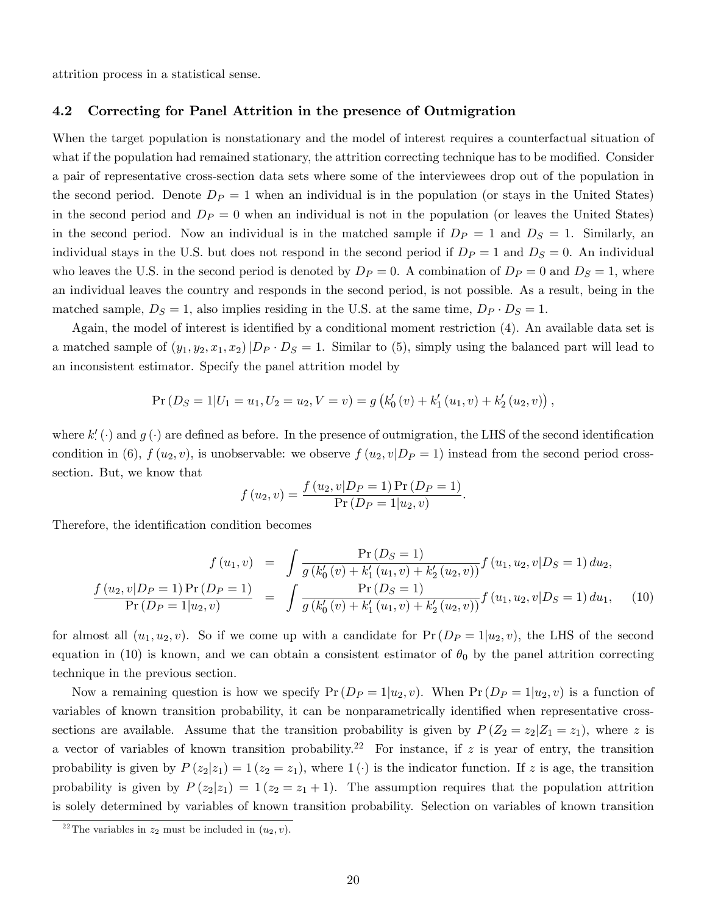attrition process in a statistical sense.

### 4.2 Correcting for Panel Attrition in the presence of Outmigration

When the target population is nonstationary and the model of interest requires a counterfactual situation of what if the population had remained stationary, the attrition correcting technique has to be modified. Consider a pair of representative cross-section data sets where some of the interviewees drop out of the population in the second period. Denote  $D_P = 1$  when an individual is in the population (or stays in the United States) in the second period and  $D_P = 0$  when an individual is not in the population (or leaves the United States) in the second period. Now an individual is in the matched sample if  $D_P = 1$  and  $D_S = 1$ . Similarly, an individual stays in the U.S. but does not respond in the second period if  $D_P = 1$  and  $D_S = 0$ . An individual who leaves the U.S. in the second period is denoted by  $D_P = 0$ . A combination of  $D_P = 0$  and  $D_S = 1$ , where an individual leaves the country and responds in the second period, is not possible. As a result, being in the matched sample,  $D_S = 1$ , also implies residing in the U.S. at the same time,  $D_P \cdot D_S = 1$ .

Again, the model of interest is identified by a conditional moment restriction  $(4)$ . An available data set is a matched sample of  $(y_1, y_2, x_1, x_2)|D_P \cdot D_S = 1$ . Similar to (5), simply using the balanced part will lead to an inconsistent estimator. Specify the panel attrition model by

$$
Pr(D_S = 1 | U_1 = u_1, U_2 = u_2, V = v) = g\left(k'_0(v) + k'_1(u_1, v) + k'_2(u_2, v)\right),
$$

where  $k'$  ( $\cdot$ ) and  $g(\cdot)$  are defined as before. In the presence of outmigration, the LHS of the second identification condition in (6),  $f(u_2, v)$ , is unobservable: we observe  $f(u_2, v|D_P = 1)$  instead from the second period crosssection. But, we know that

$$
f(u_2, v) = \frac{f(u_2, v|D_P = 1) \Pr(D_P = 1)}{\Pr(D_P = 1|u_2, v)}
$$

Therefore, the identification condition becomes

$$
f(u_1, v) = \int \frac{\Pr(D_S = 1)}{g(k'_0(v) + k'_1(u_1, v) + k'_2(u_2, v))} f(u_1, u_2, v|D_S = 1) du_2,
$$
  

$$
\frac{f(u_2, v|D_P = 1)\Pr(D_P = 1)}{\Pr(D_P = 1|u_2, v)} = \int \frac{\Pr(D_S = 1)}{g(k'_0(v) + k'_1(u_1, v) + k'_2(u_2, v))} f(u_1, u_2, v|D_S = 1) du_1,
$$
 (10)

:

for almost all  $(u_1, u_2, v)$ . So if we come up with a candidate for  $Pr(D_P = 1|u_2, v)$ , the LHS of the second equation in (10) is known, and we can obtain a consistent estimator of  $\theta_0$  by the panel attrition correcting technique in the previous section.

Now a remaining question is how we specify  $Pr(D_P = 1|u_2, v)$ . When  $Pr(D_P = 1|u_2, v)$  is a function of variables of known transition probability, it can be nonparametrically identified when representative crosssections are available. Assume that the transition probability is given by  $P(Z_2 = z_2 | Z_1 = z_1)$ , where z is a vector of variables of known transition probability.<sup>22</sup> For instance, if z is year of entry, the transition probability is given by  $P(z_2|z_1) = 1 (z_2 = z_1)$ , where  $1(\cdot)$  is the indicator function. If z is age, the transition probability is given by  $P(z_2|z_1) = 1 (z_2 = z_1 + 1)$ . The assumption requires that the population attrition is solely determined by variables of known transition probability. Selection on variables of known transition

<sup>&</sup>lt;sup>22</sup>The variables in  $z_2$  must be included in  $(u_2, v)$ .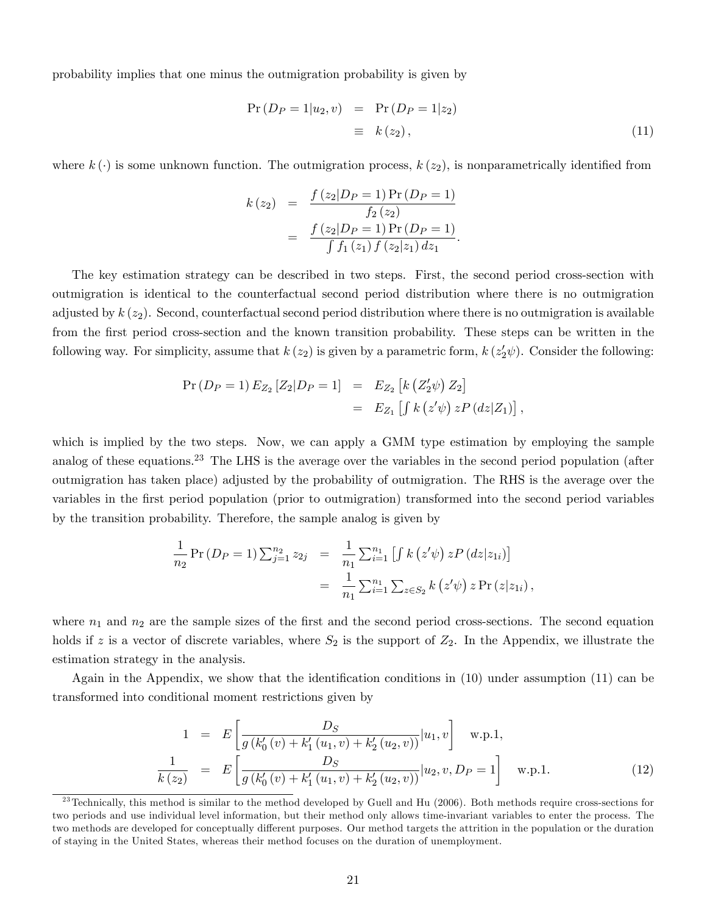probability implies that one minus the outmigration probability is given by

$$
Pr(D_P = 1|u_2, v) = Pr(D_P = 1|z_2)
$$
  

$$
\equiv k(z_2), \qquad (11)
$$

where  $k(\cdot)$  is some unknown function. The outmigration process,  $k(z_2)$ , is nonparametrically identified from

$$
k(z_2) = \frac{f(z_2|D_P = 1)Pr(D_P = 1)}{f_2(z_2)}
$$
  
= 
$$
\frac{f(z_2|D_P = 1)Pr(D_P = 1)}{\int f_1(z_1) f(z_2|z_1) dz_1}.
$$

The key estimation strategy can be described in two steps. First, the second period cross-section with outmigration is identical to the counterfactual second period distribution where there is no outmigration adjusted by  $k(z_2)$ . Second, counterfactual second period distribution where there is no outmigration is available from the first period cross-section and the known transition probability. These steps can be written in the following way. For simplicity, assume that  $k(z_2)$  is given by a parametric form,  $k(z'_2\psi)$ . Consider the following:

$$
Pr(D_P = 1) E_{Z_2} [Z_2 | D_P = 1] = E_{Z_2} [k (Z'_2 \psi) Z_2]
$$
  
=  $E_{Z_1} [ \int k (z' \psi) z P (dz | Z_1) ]$ ,

which is implied by the two steps. Now, we can apply a GMM type estimation by employing the sample analog of these equations.<sup>23</sup> The LHS is the average over the variables in the second period population (after outmigration has taken place) adjusted by the probability of outmigration. The RHS is the average over the variables in the Örst period population (prior to outmigration) transformed into the second period variables by the transition probability. Therefore, the sample analog is given by

$$
\frac{1}{n_2} \Pr(D_P = 1) \sum_{j=1}^{n_2} z_{2j} = \frac{1}{n_1} \sum_{i=1}^{n_1} [ \int k(z'\psi) z P(dz|z_{1i}) ]
$$
  
= 
$$
\frac{1}{n_1} \sum_{i=1}^{n_1} \sum_{z \in S_2} k(z'\psi) z \Pr(z|z_{1i}),
$$

where  $n_1$  and  $n_2$  are the sample sizes of the first and the second period cross-sections. The second equation holds if z is a vector of discrete variables, where  $S_2$  is the support of  $Z_2$ . In the Appendix, we illustrate the estimation strategy in the analysis.

Again in the Appendix, we show that the identification conditions in  $(10)$  under assumption  $(11)$  can be transformed into conditional moment restrictions given by

$$
1 = E\left[\frac{D_S}{g(k'_0(v) + k'_1(u_1, v) + k'_2(u_2, v))}|u_1, v\right] \text{ w.p.1,}
$$
  
\n
$$
\frac{1}{k(z_2)} = E\left[\frac{D_S}{g(k'_0(v) + k'_1(u_1, v) + k'_2(u_2, v))}|u_2, v, D_P = 1\right] \text{ w.p.1.}
$$
\n(12)

 $^{23}$ Technically, this method is similar to the method developed by Guell and Hu (2006). Both methods require cross-sections for two periods and use individual level information, but their method only allows time-invariant variables to enter the process. The two methods are developed for conceptually different purposes. Our method targets the attrition in the population or the duration of staying in the United States, whereas their method focuses on the duration of unemployment.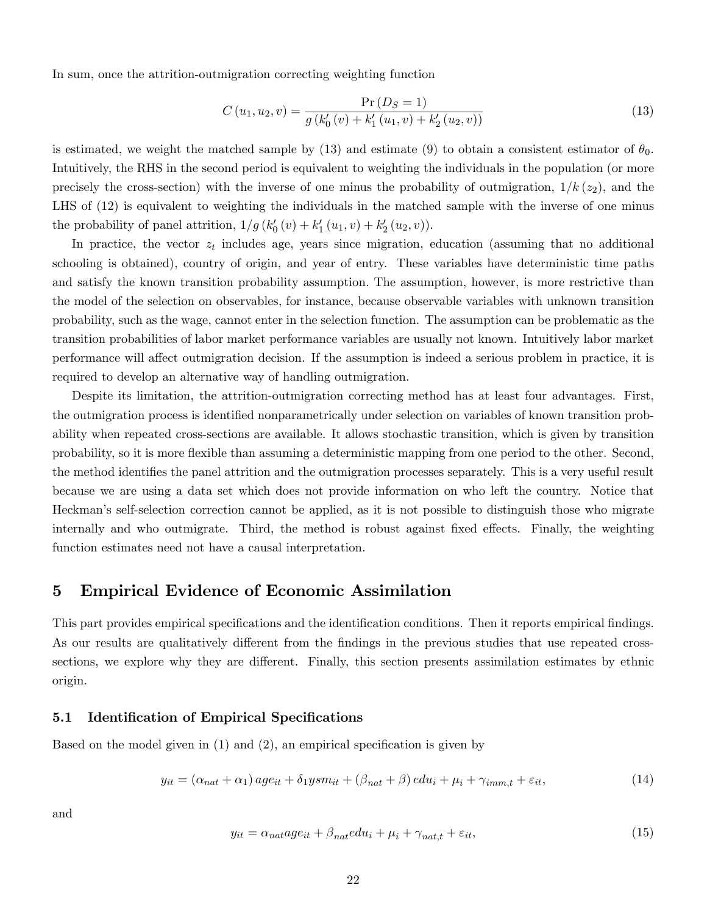In sum, once the attrition-outmigration correcting weighting function

$$
C(u_1, u_2, v) = \frac{\Pr(D_S = 1)}{g(k'_0(v) + k'_1(u_1, v) + k'_2(u_2, v))}
$$
\n(13)

is estimated, we weight the matched sample by  $(13)$  and estimate  $(9)$  to obtain a consistent estimator of  $\theta_0$ . Intuitively, the RHS in the second period is equivalent to weighting the individuals in the population (or more precisely the cross-section) with the inverse of one minus the probability of outmigration,  $1/k (z_2)$ , and the LHS of (12) is equivalent to weighting the individuals in the matched sample with the inverse of one minus the probability of panel attrition,  $1/g (k'_0 (v) + k'_1 (u_1, v) + k'_2 (u_2, v)).$ 

In practice, the vector  $z_t$  includes age, years since migration, education (assuming that no additional schooling is obtained), country of origin, and year of entry. These variables have deterministic time paths and satisfy the known transition probability assumption. The assumption, however, is more restrictive than the model of the selection on observables, for instance, because observable variables with unknown transition probability, such as the wage, cannot enter in the selection function. The assumption can be problematic as the transition probabilities of labor market performance variables are usually not known. Intuitively labor market performance will affect outmigration decision. If the assumption is indeed a serious problem in practice, it is required to develop an alternative way of handling outmigration.

Despite its limitation, the attrition-outmigration correcting method has at least four advantages. First, the outmigration process is identified nonparametrically under selection on variables of known transition probability when repeated cross-sections are available. It allows stochastic transition, which is given by transition probability, so it is more áexible than assuming a deterministic mapping from one period to the other. Second, the method identifies the panel attrition and the outmigration processes separately. This is a very useful result because we are using a data set which does not provide information on who left the country. Notice that Heckmanís self-selection correction cannot be applied, as it is not possible to distinguish those who migrate internally and who outmigrate. Third, the method is robust against fixed effects. Finally, the weighting function estimates need not have a causal interpretation.

# 5 Empirical Evidence of Economic Assimilation

This part provides empirical specifications and the identification conditions. Then it reports empirical findings. As our results are qualitatively different from the findings in the previous studies that use repeated crosssections, we explore why they are different. Finally, this section presents assimilation estimates by ethnic origin.

### 5.1 Identification of Empirical Specifications

Based on the model given in  $(1)$  and  $(2)$ , an empirical specification is given by

$$
y_{it} = (\alpha_{nat} + \alpha_1) \, age_{it} + \delta_1 y s m_{it} + (\beta_{nat} + \beta) \, edu_i + \mu_i + \gamma_{imm,t} + \varepsilon_{it},\tag{14}
$$

and

$$
y_{it} = \alpha_{nat}age_{it} + \beta_{nat}edu_i + \mu_i + \gamma_{nat,t} + \varepsilon_{it},\tag{15}
$$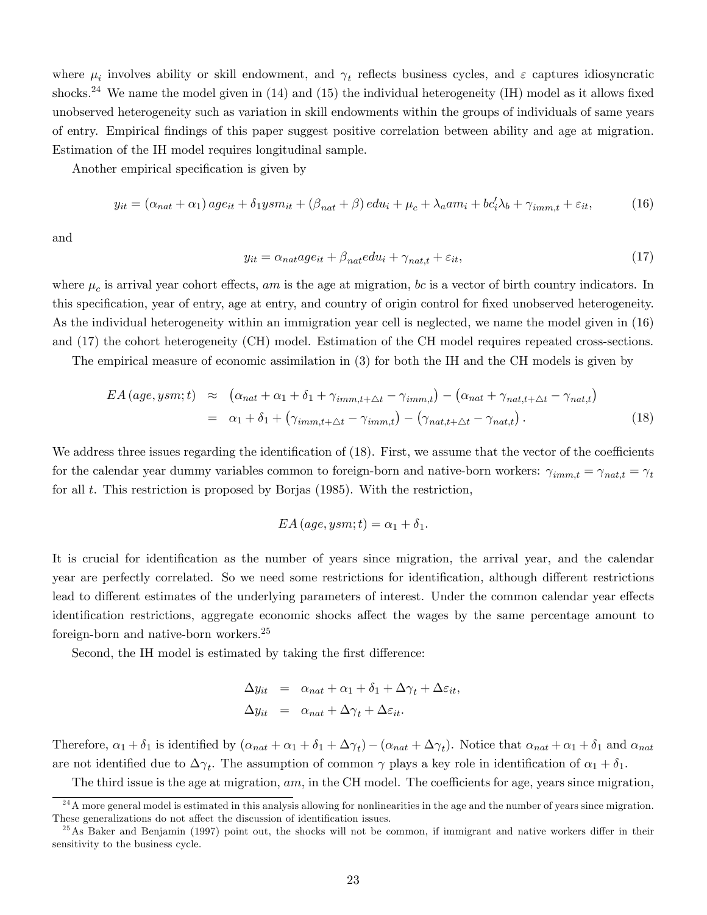where  $\mu_i$  involves ability or skill endowment, and  $\gamma_t$  reflects business cycles, and  $\varepsilon$  captures idiosyncratic shocks.<sup>24</sup> We name the model given in  $(14)$  and  $(15)$  the individual heterogeneity  $(H)$  model as it allows fixed unobserved heterogeneity such as variation in skill endowments within the groups of individuals of same years of entry. Empirical Öndings of this paper suggest positive correlation between ability and age at migration. Estimation of the IH model requires longitudinal sample.

Another empirical specification is given by

$$
y_{it} = (\alpha_{nat} + \alpha_1) \, age_{it} + \delta_1 y sm_{it} + (\beta_{nat} + \beta) \, edu_i + \mu_c + \lambda_a am_i + bc_i' \lambda_b + \gamma_{imm,t} + \varepsilon_{it},\tag{16}
$$

and

$$
y_{it} = \alpha_{nat}age_{it} + \beta_{nat}edu_i + \gamma_{nat,t} + \varepsilon_{it},\tag{17}
$$

where  $\mu_c$  is arrival year cohort effects, am is the age at migration, bc is a vector of birth country indicators. In this specification, year of entry, age at entry, and country of origin control for fixed unobserved heterogeneity. As the individual heterogeneity within an immigration year cell is neglected, we name the model given in (16) and (17) the cohort heterogeneity (CH) model. Estimation of the CH model requires repeated cross-sections.

The empirical measure of economic assimilation in (3) for both the IH and the CH models is given by

$$
EA \left( age, ysm; t \right) \approx \left( \alpha_{nat} + \alpha_1 + \delta_1 + \gamma_{imm, t + \Delta t} - \gamma_{imm, t} \right) - \left( \alpha_{nat} + \gamma_{nat, t + \Delta t} - \gamma_{nat, t} \right)
$$

$$
= \alpha_1 + \delta_1 + \left( \gamma_{imm, t + \Delta t} - \gamma_{imm, t} \right) - \left( \gamma_{nat, t + \Delta t} - \gamma_{nat, t} \right). \tag{18}
$$

We address three issues regarding the identification of  $(18)$ . First, we assume that the vector of the coefficients for the calendar year dummy variables common to foreign-born and native-born workers:  $\gamma_{imm,t} = \gamma_{nat,t} = \gamma_t$ for all t. This restriction is proposed by Borjas  $(1985)$ . With the restriction,

$$
EA\left( age, ysm;t\right) = \alpha_1 + \delta_1.
$$

It is crucial for identification as the number of years since migration, the arrival year, and the calendar year are perfectly correlated. So we need some restrictions for identification, although different restrictions lead to different estimates of the underlying parameters of interest. Under the common calendar year effects identification restrictions, aggregate economic shocks affect the wages by the same percentage amount to foreign-born and native-born workers.<sup>25</sup>

Second, the IH model is estimated by taking the first difference:

$$
\Delta y_{it} = \alpha_{nat} + \alpha_1 + \delta_1 + \Delta \gamma_t + \Delta \varepsilon_{it},
$$
  

$$
\Delta y_{it} = \alpha_{nat} + \Delta \gamma_t + \Delta \varepsilon_{it}.
$$

Therefore,  $\alpha_1 + \delta_1$  is identified by  $(\alpha_{nat} + \alpha_1 + \delta_1 + \Delta \gamma_t) - (\alpha_{nat} + \Delta \gamma_t)$ . Notice that  $\alpha_{nat} + \alpha_1 + \delta_1$  and  $\alpha_{nat}$ are not identified due to  $\Delta\gamma_t$ . The assumption of common  $\gamma$  plays a key role in identification of  $\alpha_1 + \delta_1$ .

The third issue is the age at migration,  $am$ , in the CH model. The coefficients for age, years since migration,

 $^{24}$ A more general model is estimated in this analysis allowing for nonlinearities in the age and the number of years since migration. These generalizations do not affect the discussion of identification issues.

 $^{25}$ As Baker and Benjamin (1997) point out, the shocks will not be common, if immigrant and native workers differ in their sensitivity to the business cycle.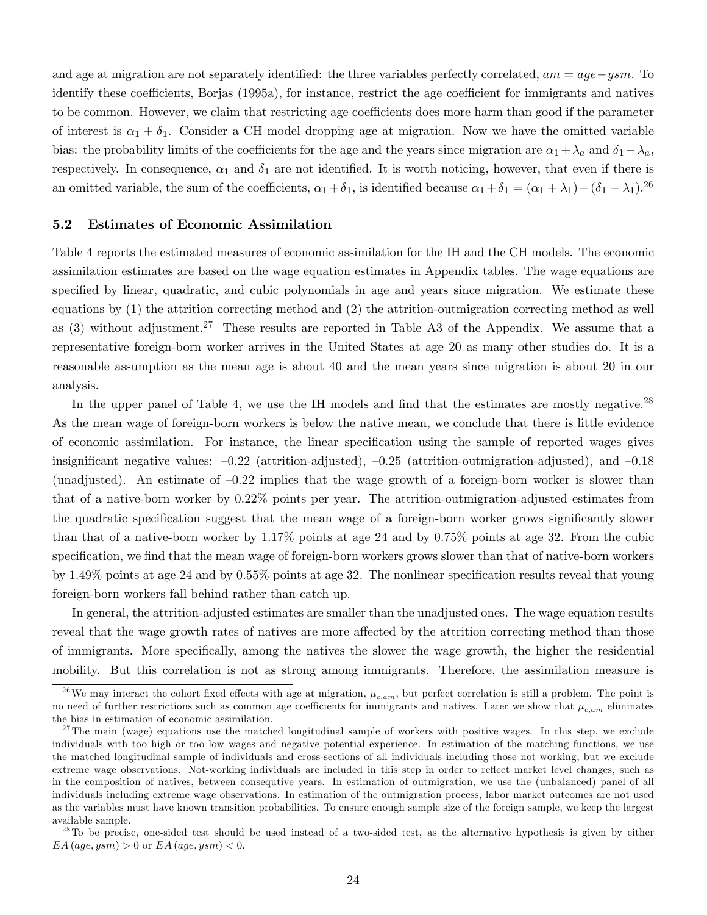and age at migration are not separately identified: the three variables perfectly correlated,  $am = age - ysm$ . To identify these coefficients, Borjas (1995a), for instance, restrict the age coefficient for immigrants and natives to be common. However, we claim that restricting age coefficients does more harm than good if the parameter of interest is  $\alpha_1 + \delta_1$ . Consider a CH model dropping age at migration. Now we have the omitted variable bias: the probability limits of the coefficients for the age and the years since migration are  $\alpha_1 + \lambda_a$  and  $\delta_1 - \lambda_a$ , respectively. In consequence,  $\alpha_1$  and  $\delta_1$  are not identified. It is worth noticing, however, that even if there is an omitted variable, the sum of the coefficients,  $\alpha_1 + \delta_1$ , is identified because  $\alpha_1 + \delta_1 = (\alpha_1 + \lambda_1) + (\delta_1 - \lambda_1)^{26}$ 

#### 5.2 Estimates of Economic Assimilation

Table 4 reports the estimated measures of economic assimilation for the IH and the CH models. The economic assimilation estimates are based on the wage equation estimates in Appendix tables. The wage equations are specified by linear, quadratic, and cubic polynomials in age and years since migration. We estimate these equations by (1) the attrition correcting method and (2) the attrition-outmigration correcting method as well as (3) without adjustment.<sup>27</sup> These results are reported in Table A3 of the Appendix. We assume that a representative foreign-born worker arrives in the United States at age 20 as many other studies do. It is a reasonable assumption as the mean age is about 40 and the mean years since migration is about 20 in our analysis.

In the upper panel of Table 4, we use the IH models and find that the estimates are mostly negative.<sup>28</sup> As the mean wage of foreign-born workers is below the native mean, we conclude that there is little evidence of economic assimilation. For instance, the linear specification using the sample of reported wages gives insignificant negative values:  $-0.22$  (attrition-adjusted),  $-0.25$  (attrition-outmigration-adjusted), and  $-0.18$ (unadjusted). An estimate of  $-0.22$  implies that the wage growth of a foreign-born worker is slower than that of a native-born worker by 0.22% points per year. The attrition-outmigration-adjusted estimates from the quadratic specification suggest that the mean wage of a foreign-born worker grows significantly slower than that of a native-born worker by 1.17% points at age 24 and by 0.75% points at age 32. From the cubic specification, we find that the mean wage of foreign-born workers grows slower than that of native-born workers by 1.49% points at age 24 and by  $0.55\%$  points at age 32. The nonlinear specification results reveal that young foreign-born workers fall behind rather than catch up.

In general, the attrition-adjusted estimates are smaller than the unadjusted ones. The wage equation results reveal that the wage growth rates of natives are more affected by the attrition correcting method than those of immigrants. More specifically, among the natives the slower the wage growth, the higher the residential mobility. But this correlation is not as strong among immigrants. Therefore, the assimilation measure is

<sup>&</sup>lt;sup>26</sup>We may interact the cohort fixed effects with age at migration,  $\mu_{c,am}$ , but perfect correlation is still a problem. The point is no need of further restrictions such as common age coefficients for immigrants and natives. Later we show that  $\mu_{c,am}$  eliminates the bias in estimation of economic assimilation.

 $27$ The main (wage) equations use the matched longitudinal sample of workers with positive wages. In this step, we exclude individuals with too high or too low wages and negative potential experience. In estimation of the matching functions, we use the matched longitudinal sample of individuals and cross-sections of all individuals including those not working, but we exclude extreme wage observations. Not-working individuals are included in this step in order to reflect market level changes, such as in the composition of natives, between consequtive years. In estimation of outmigration, we use the (unbalanced) panel of all individuals including extreme wage observations. In estimation of the outmigration process, labor market outcomes are not used as the variables must have known transition probabilities. To ensure enough sample size of the foreign sample, we keep the largest available sample.

 $2<sup>28</sup>$ To be precise, one-sided test should be used instead of a two-sided test, as the alternative hypothesis is given by either  $EA(age, ysm) > 0$  or  $EA(age, ysm) < 0$ .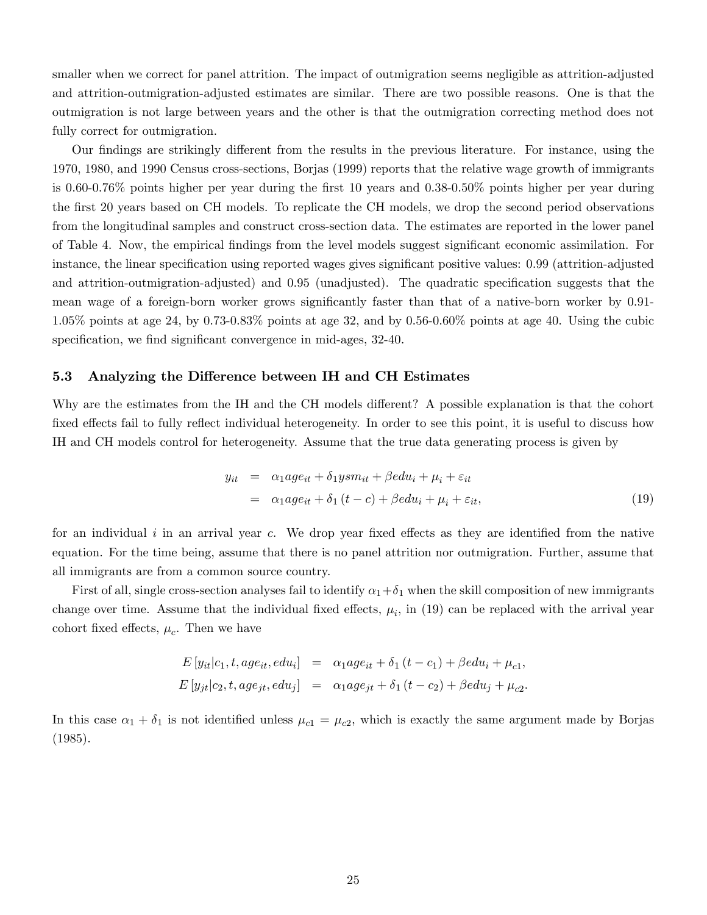smaller when we correct for panel attrition. The impact of outmigration seems negligible as attrition-adjusted and attrition-outmigration-adjusted estimates are similar. There are two possible reasons. One is that the outmigration is not large between years and the other is that the outmigration correcting method does not fully correct for outmigration.

Our findings are strikingly different from the results in the previous literature. For instance, using the 1970, 1980, and 1990 Census cross-sections, Borjas (1999) reports that the relative wage growth of immigrants is 0.60-0.76% points higher per year during the Örst 10 years and 0.38-0.50% points higher per year during the first 20 years based on CH models. To replicate the CH models, we drop the second period observations from the longitudinal samples and construct cross-section data. The estimates are reported in the lower panel of Table 4. Now, the empirical Öndings from the level models suggest signiÖcant economic assimilation. For instance, the linear specification using reported wages gives significant positive values: 0.99 (attrition-adjusted and attrition-outmigration-adjusted) and 0.95 (unadjusted). The quadratic specification suggests that the mean wage of a foreign-born worker grows significantly faster than that of a native-born worker by 0.91-1.05% points at age 24, by 0.73-0.83% points at age 32, and by 0.56-0.60% points at age 40. Using the cubic specification, we find significant convergence in mid-ages, 32-40.

#### 5.3 Analyzing the Difference between IH and CH Estimates

Why are the estimates from the IH and the CH models different? A possible explanation is that the cohort fixed effects fail to fully reflect individual heterogeneity. In order to see this point, it is useful to discuss how IH and CH models control for heterogeneity. Assume that the true data generating process is given by

$$
y_{it} = \alpha_1 a g e_{it} + \delta_1 y s m_{it} + \beta e du_i + \mu_i + \varepsilon_{it}
$$
  
=  $\alpha_1 a g e_{it} + \delta_1 (t - c) + \beta e du_i + \mu_i + \varepsilon_{it},$  (19)

for an individual  $i$  in an arrival year  $c$ . We drop year fixed effects as they are identified from the native equation. For the time being, assume that there is no panel attrition nor outmigration. Further, assume that all immigrants are from a common source country.

First of all, single cross-section analyses fail to identify  $\alpha_1 + \delta_1$  when the skill composition of new immigrants change over time. Assume that the individual fixed effects,  $\mu_i$ , in (19) can be replaced with the arrival year cohort fixed effects,  $\mu_c$ . Then we have

$$
E[y_{it}|c_1, t, age_{it}, edu_i] = \alpha_1 age_{it} + \delta_1 (t - c_1) + \beta edu_i + \mu_{c1},
$$
  

$$
E[y_{jt}|c_2, t, age_{jt}, edu_j] = \alpha_1 age_{jt} + \delta_1 (t - c_2) + \beta edu_j + \mu_{c2}.
$$

In this case  $\alpha_1 + \delta_1$  is not identified unless  $\mu_{c1} = \mu_{c2}$ , which is exactly the same argument made by Borjas (1985).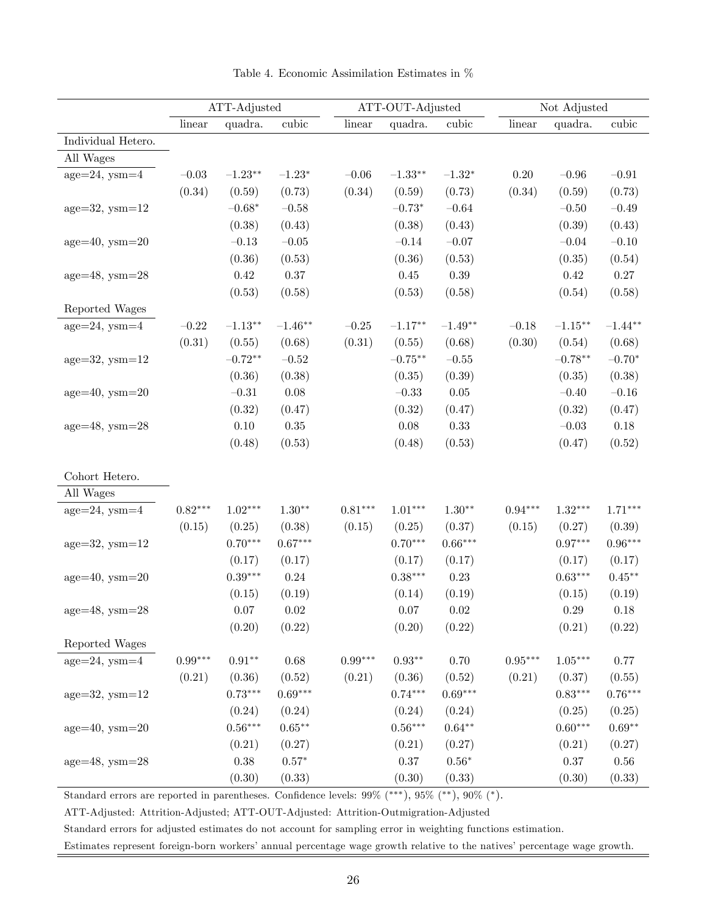|                       | ATT-Adjusted |           |               |           | ATT-OUT-Adjusted |           |           | Not Adjusted |           |
|-----------------------|--------------|-----------|---------------|-----------|------------------|-----------|-----------|--------------|-----------|
|                       | linear       | quadra.   | cubic         | linear    | quadra.          | cubic     | linear    | quadra.      | cubic     |
| Individual Hetero.    |              |           |               |           |                  |           |           |              |           |
| All Wages             |              |           |               |           |                  |           |           |              |           |
| $age=24$ , $ysm=4$    | $-0.03$      | $-1.23**$ | $-1.23*$      | $-0.06$   | $-1.33**$        | $-1.32*$  | $0.20\,$  | $-0.96$      | $-0.91$   |
|                       | (0.34)       | (0.59)    | (0.73)        | (0.34)    | (0.59)           | (0.73)    | (0.34)    | (0.59)       | (0.73)    |
| $age=32$ , $ysm=12$   |              | $-0.68*$  | $-0.58$       |           | $-0.73*$         | $-0.64\,$ |           | $-0.50$      | $-0.49$   |
|                       |              | (0.38)    | (0.43)        |           | (0.38)           | (0.43)    |           | (0.39)       | (0.43)    |
| $age=40$ , $ysm=20$   |              | $-0.13$   | $-0.05$       |           | $-0.14$          | $-0.07\,$ |           | $-0.04$      | $-0.10$   |
|                       |              | (0.36)    | (0.53)        |           | (0.36)           | (0.53)    |           | (0.35)       | (0.54)    |
| $age=48$ , $ysm=28$   |              | $0.42\,$  | $0.37\,$      |           | $0.45\,$         | $0.39\,$  |           | $0.42\,$     | 0.27      |
|                       |              | (0.53)    | (0.58)        |           | (0.53)           | (0.58)    |           | (0.54)       | (0.58)    |
| Reported Wages        |              |           |               |           |                  |           |           |              |           |
| $age=24$ , $ysm=4$    | $-0.22$      | $-1.13**$ | $-1.46**$     | $-0.25$   | $-1.17**$        | $-1.49**$ | $-0.18$   | $-1.15***$   | $-1.44**$ |
|                       | (0.31)       | (0.55)    | (0.68)        | (0.31)    | (0.55)           | (0.68)    | (0.30)    | (0.54)       | (0.68)    |
| $age=32$ , $ysm=12$   |              | $-0.72**$ | $-0.52$       |           | $-0.75***$       | $-0.55\,$ |           | $-0.78**$    | $-0.70*$  |
|                       |              | (0.36)    | (0.38)        |           | (0.35)           | (0.39)    |           | (0.35)       | (0.38)    |
| $age=40$ , $ysm=20$   |              | $-0.31\,$ | 0.08          |           | $-0.33$          | $0.05\,$  |           | $-0.40$      | $-0.16$   |
|                       |              | (0.32)    | (0.47)        |           | (0.32)           | (0.47)    |           | (0.32)       | (0.47)    |
| $age=48$ , $ysm=28$   |              | $0.10\,$  | $0.35\,$      |           | $0.08\,$         | $0.33\,$  |           | $-0.03$      | $0.18\,$  |
|                       |              | (0.48)    | (0.53)        |           | (0.48)           | (0.53)    |           | (0.47)       | (0.52)    |
| Cohort Hetero.        |              |           |               |           |                  |           |           |              |           |
| All Wages             |              |           |               |           |                  |           |           |              |           |
| $age=24$ , $ysm=4$    | $0.82***$    | $1.02***$ | $1.30**$      | $0.81***$ | $1.01***$        | $1.30**$  | $0.94***$ | $1.32***$    | $1.71***$ |
|                       | (0.15)       | (0.25)    | (0.38)        | (0.15)    | (0.25)           | (0.37)    | (0.15)    | (0.27)       | (0.39)    |
| $age=32$ , $ysm=12$   |              | $0.70***$ | $0.67***$     |           | $0.70***$        | $0.66***$ |           | $0.97***$    | $0.96***$ |
|                       |              | (0.17)    | (0.17)        |           | (0.17)           | (0.17)    |           | (0.17)       | (0.17)    |
| $age=40$ , $ysm=20$   |              | $0.39***$ | 0.24          |           | $0.38***$        | 0.23      |           | $0.63***$    | $0.45***$ |
|                       |              | (0.15)    | (0.19)        |           | (0.14)           | (0.19)    |           | (0.15)       | (0.19)    |
| age= $48$ , ysm= $28$ |              | 0.07      | 0.02          |           | 0.07             | 0.02      |           | 0.29         | 0.18      |
|                       |              | (0.20)    | (0.22)        |           | (0.20)           | (0.22)    |           | (0.21)       | (0.22)    |
| Reported Wages        |              |           |               |           |                  |           |           |              |           |
| $age=24$ , $ysm=4$    | $0.99***$    | $0.91**$  | 0.68          | $0.99***$ | $0.93**$         | 0.70      | $0.95***$ | $1.05***$    | 0.77      |
|                       | (0.21)       | (0.36)    | (0.52)        | (0.21)    | (0.36)           | (0.52)    | (0.21)    | (0.37)       | (0.55)    |
| $age=32$ , $ysm=12$   |              | $0.73***$ | $0.69***$     |           | $0.74***$        | $0.69***$ |           | $0.83***$    | $0.76***$ |
|                       |              | (0.24)    | (0.24)        |           | (0.24)           | (0.24)    |           | (0.25)       | (0.25)    |
| $age=40$ , $ysm=20$   |              | $0.56***$ | $0.65***$     |           | $0.56***$        | $0.64**$  |           | $0.60***$    | $0.69**$  |
|                       |              | (0.21)    | (0.27)        |           | (0.21)           | (0.27)    |           | (0.21)       | (0.27)    |
| $age=48$ , $ysm=28$   |              | 0.38      | $0.57^{\ast}$ |           | $0.37\,$         | $0.56*$   |           | 0.37         | $0.56\,$  |
|                       |              | (0.30)    | (0.33)        |           | (0.30)           | (0.33)    |           | (0.30)       | (0.33)    |

Table 4. Economic Assimilation Estimates in %

Standard errors are reported in parentheses. Confidence levels:  $99\%$  (\*\*\*),  $95\%$  (\*\*),  $90\%$  (\*).

ATT-Adjusted: Attrition-Adjusted; ATT-OUT-Adjusted: Attrition-Outmigration-Adjusted

Standard errors for adjusted estimates do not account for sampling error in weighting functions estimation.

Estimates represent foreign-born workers' annual percentage wage growth relative to the natives' percentage wage growth.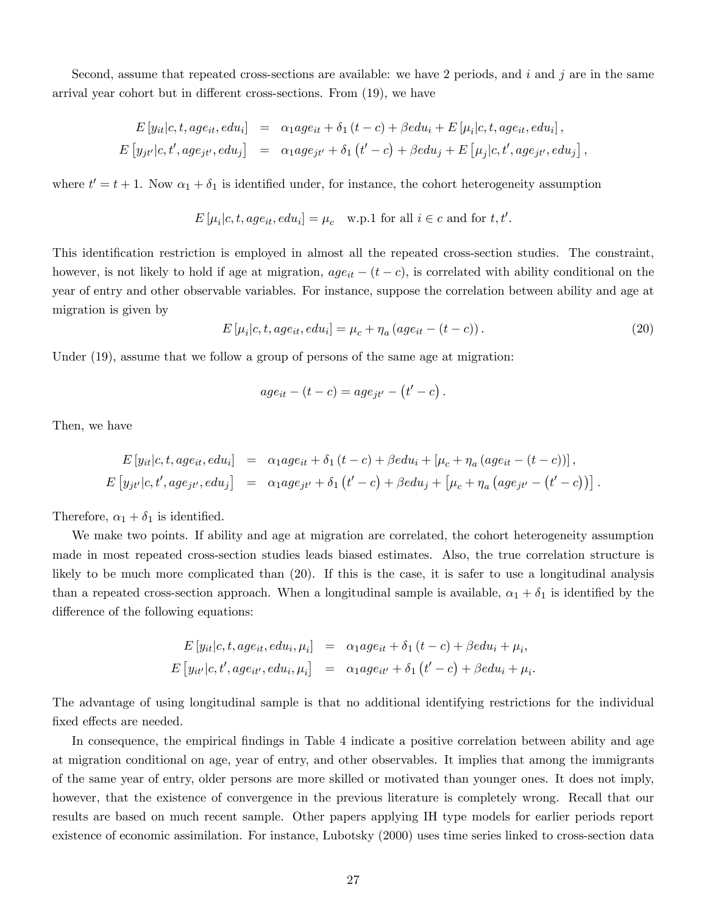Second, assume that repeated cross-sections are available: we have 2 periods, and i and j are in the same arrival year cohort but in different cross-sections. From  $(19)$ , we have

$$
E[y_{it}|c, t, age_{it}, edu_i] = \alpha_1 age_{it} + \delta_1 (t - c) + \beta edu_i + E[\mu_i|c, t, age_{it}, edu_i],
$$
  

$$
E[y_{jt'}|c, t', age_{jt'}, edu_j] = \alpha_1 age_{jt'} + \delta_1 (t' - c) + \beta edu_j + E[\mu_j|c, t', age_{jt'}, edu_j],
$$

where  $t' = t + 1$ . Now  $\alpha_1 + \delta_1$  is identified under, for instance, the cohort heterogeneity assumption

$$
E\left[\mu_i|c, t, age_{it}, edu_i\right] = \mu_c \quad \text{w.p.1 for all } i \in c \text{ and for } t, t'.
$$

This identification restriction is employed in almost all the repeated cross-section studies. The constraint, however, is not likely to hold if age at migration,  $age_{it} - (t - c)$ , is correlated with ability conditional on the year of entry and other observable variables. For instance, suppose the correlation between ability and age at migration is given by

$$
E\left[\mu_i|c, t, age_{it}, edu_i\right] = \mu_c + \eta_a \left( age_{it} - (t - c)\right). \tag{20}
$$

Under (19), assume that we follow a group of persons of the same age at migration:

$$
age_{it} - (t - c) = age_{jt'} - (t' - c).
$$

Then, we have

$$
E[y_{it}|c, t, age_{it}, edu_i] = \alpha_1 age_{it} + \delta_1 (t - c) + \beta edu_i + [\mu_c + \eta_a (age_{it} - (t - c))],
$$
  

$$
E[y_{jt'}|c, t', age_{jt'}, edu_j] = \alpha_1 age_{jt'} + \delta_1 (t' - c) + \beta edu_j + [\mu_c + \eta_a (age_{jt'} - (t' - c))].
$$

Therefore,  $\alpha_1 + \delta_1$  is identified.

We make two points. If ability and age at migration are correlated, the cohort heterogeneity assumption made in most repeated cross-section studies leads biased estimates. Also, the true correlation structure is likely to be much more complicated than (20). If this is the case, it is safer to use a longitudinal analysis than a repeated cross-section approach. When a longitudinal sample is available,  $\alpha_1 + \delta_1$  is identified by the difference of the following equations:

$$
E[y_{it}|c, t, age_{it}, edu_i, \mu_i] = \alpha_1 age_{it} + \delta_1 (t - c) + \beta edu_i + \mu_i,
$$
  

$$
E[y_{it'}|c, t', age_{it'}, edu_i, \mu_i] = \alpha_1 age_{it'} + \delta_1 (t' - c) + \beta edu_i + \mu_i.
$$

The advantage of using longitudinal sample is that no additional identifying restrictions for the individual fixed effects are needed.

In consequence, the empirical findings in Table 4 indicate a positive correlation between ability and age at migration conditional on age, year of entry, and other observables. It implies that among the immigrants of the same year of entry, older persons are more skilled or motivated than younger ones. It does not imply, however, that the existence of convergence in the previous literature is completely wrong. Recall that our results are based on much recent sample. Other papers applying IH type models for earlier periods report existence of economic assimilation. For instance, Lubotsky (2000) uses time series linked to cross-section data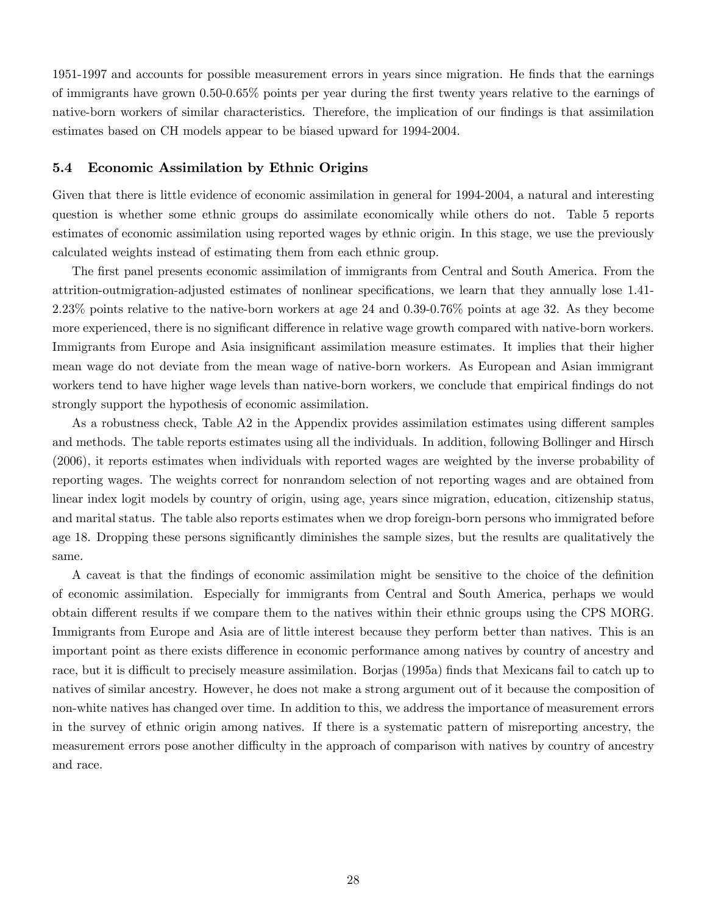1951-1997 and accounts for possible measurement errors in years since migration. He Önds that the earnings of immigrants have grown 0.50-0.65% points per year during the Örst twenty years relative to the earnings of native-born workers of similar characteristics. Therefore, the implication of our findings is that assimilation estimates based on CH models appear to be biased upward for 1994-2004.

#### 5.4 Economic Assimilation by Ethnic Origins

Given that there is little evidence of economic assimilation in general for 1994-2004, a natural and interesting question is whether some ethnic groups do assimilate economically while others do not. Table 5 reports estimates of economic assimilation using reported wages by ethnic origin. In this stage, we use the previously calculated weights instead of estimating them from each ethnic group.

The first panel presents economic assimilation of immigrants from Central and South America. From the attrition-outmigration-adjusted estimates of nonlinear specifications, we learn that they annually lose 1.41-2.23% points relative to the native-born workers at age 24 and 0.39-0.76% points at age 32. As they become more experienced, there is no significant difference in relative wage growth compared with native-born workers. Immigrants from Europe and Asia insignificant assimilation measure estimates. It implies that their higher mean wage do not deviate from the mean wage of native-born workers. As European and Asian immigrant workers tend to have higher wage levels than native-born workers, we conclude that empirical findings do not strongly support the hypothesis of economic assimilation.

As a robustness check, Table  $A2$  in the Appendix provides assimilation estimates using different samples and methods. The table reports estimates using all the individuals. In addition, following Bollinger and Hirsch (2006), it reports estimates when individuals with reported wages are weighted by the inverse probability of reporting wages. The weights correct for nonrandom selection of not reporting wages and are obtained from linear index logit models by country of origin, using age, years since migration, education, citizenship status, and marital status. The table also reports estimates when we drop foreign-born persons who immigrated before age 18. Dropping these persons significantly diminishes the sample sizes, but the results are qualitatively the same.

A caveat is that the Öndings of economic assimilation might be sensitive to the choice of the deÖnition of economic assimilation. Especially for immigrants from Central and South America, perhaps we would obtain different results if we compare them to the natives within their ethnic groups using the CPS MORG. Immigrants from Europe and Asia are of little interest because they perform better than natives. This is an important point as there exists difference in economic performance among natives by country of ancestry and race, but it is difficult to precisely measure assimilation. Borjas (1995a) finds that Mexicans fail to catch up to natives of similar ancestry. However, he does not make a strong argument out of it because the composition of non-white natives has changed over time. In addition to this, we address the importance of measurement errors in the survey of ethnic origin among natives. If there is a systematic pattern of misreporting ancestry, the measurement errors pose another difficulty in the approach of comparison with natives by country of ancestry and race.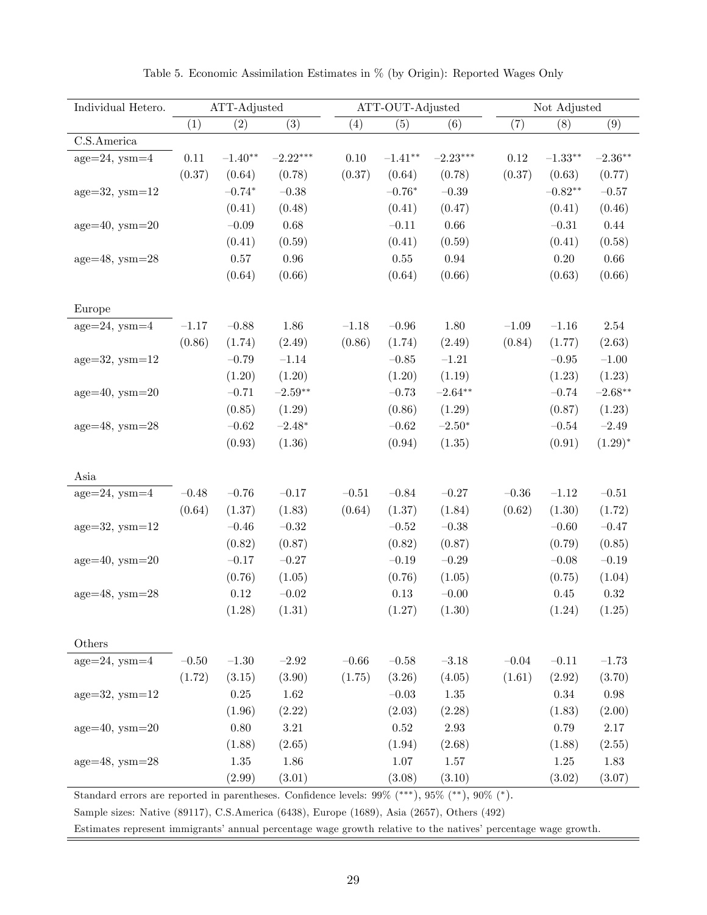| Individual Hetero.  | ATT-Adjusted |           |            |                  | ATT-OUT-Adjusted |            | Not Adjusted |            |            |
|---------------------|--------------|-----------|------------|------------------|------------------|------------|--------------|------------|------------|
|                     | (1)          | (2)       | (3)        | $\left(4\right)$ | (5)              | (6)        | (7)          | (8)        | (9)        |
| C.S.America         |              |           |            |                  |                  |            |              |            |            |
| $age=24$ , $ysm=4$  | $0.11\,$     | $-1.40**$ | $-2.22***$ | 0.10             | $-1.41**$        | $-2.23***$ | $0.12\,$     | $-1.33***$ | $-2.36**$  |
|                     | (0.37)       | (0.64)    | (0.78)     | (0.37)           | (0.64)           | (0.78)     | (0.37)       | (0.63)     | (0.77)     |
| $age=32$ , $ysm=12$ |              | $-0.74*$  | $-0.38$    |                  | $-0.76*$         | $-0.39$    |              | $-0.82**$  | $-0.57$    |
|                     |              | (0.41)    | (0.48)     |                  | (0.41)           | (0.47)     |              | (0.41)     | (0.46)     |
| $age=40$ , $ysm=20$ |              | $-0.09$   | 0.68       |                  | $-0.11$          | 0.66       |              | $-0.31$    | $0.44\,$   |
|                     |              | (0.41)    | (0.59)     |                  | (0.41)           | (0.59)     |              | (0.41)     | (0.58)     |
| $age=48$ , $ysm=28$ |              | $0.57\,$  | $0.96\,$   |                  | $0.55\,$         | 0.94       |              | $0.20\,$   | $0.66\,$   |
|                     |              | (0.64)    | (0.66)     |                  | (0.64)           | (0.66)     |              | (0.63)     | (0.66)     |
| Europe              |              |           |            |                  |                  |            |              |            |            |
| $age=24$ , $ysm=4$  | $-1.17$      | $-0.88$   | 1.86       | $-1.18$          | $-0.96$          | 1.80       | $-1.09$      | $\!-1.16$  | $2.54\,$   |
|                     | (0.86)       | (1.74)    | (2.49)     | (0.86)           | (1.74)           | (2.49)     | (0.84)       | (1.77)     | (2.63)     |
| $age=32$ , $ysm=12$ |              | $-0.79$   | $-1.14$    |                  | $-0.85$          | $-1.21$    |              | $-0.95$    | $-1.00$    |
|                     |              | (1.20)    | (1.20)     |                  | (1.20)           | (1.19)     |              | (1.23)     | (1.23)     |
| $age=40$ , $ysm=20$ |              | $-0.71$   | $-2.59**$  |                  | $-0.73$          | $-2.64***$ |              | $-0.74$    | $-2.68**$  |
|                     |              | (0.85)    | (1.29)     |                  | (0.86)           | (1.29)     |              | (0.87)     | (1.23)     |
| $age=48$ , $ysm=28$ |              | $-0.62$   | $-2.48*$   |                  | $-0.62\,$        | $-2.50*$   |              | $-0.54\,$  | $-2.49$    |
|                     |              | (0.93)    | (1.36)     |                  | (0.94)           | (1.35)     |              | (0.91)     | $(1.29)^*$ |
| Asia                |              |           |            |                  |                  |            |              |            |            |
| $age=24$ , $ysm=4$  | $-0.48$      | $-0.76$   | $-0.17$    | $-0.51\,$        | $-0.84$          | $-0.27\,$  | $-0.36\,$    | $\!-1.12$  | $-0.51\,$  |
|                     | (0.64)       | (1.37)    | (1.83)     | (0.64)           | (1.37)           | (1.84)     | (0.62)       | (1.30)     | (1.72)     |
| $age=32$ , $ysm=12$ |              | $-0.46$   | $-0.32$    |                  | $-0.52$          | $-0.38$    |              | $-0.60\,$  | $-0.47$    |
|                     |              | (0.82)    | (0.87)     |                  | (0.82)           | (0.87)     |              | (0.79)     | (0.85)     |
| $age=40$ , $ysm=20$ |              | $-0.17$   | $-0.27$    |                  | $-0.19$          | $-0.29\,$  |              | $-0.08$    | $-0.19$    |
|                     |              | (0.76)    | (1.05)     |                  | (0.76)           | (1.05)     |              | (0.75)     | (1.04)     |
| $age=48$ , $ysm=28$ |              | $0.12\,$  | $-0.02\,$  |                  | $0.13\,$         | $-0.00\,$  |              | 0.45       | $0.32\,$   |
|                     |              | (1.28)    | (1.31)     |                  | (1.27)           | (1.30)     |              | (1.24)     | (1.25)     |
| Others              |              |           |            |                  |                  |            |              |            |            |
| $age=24$ , $ysm=4$  | $-0.50\,$    | $-1.30$   | $-2.92$    | $-0.66\,$        | $-0.58\,$        | $-3.18$    | $-0.04\,$    | $-0.11$    | $-1.73$    |
|                     | (1.72)       | (3.15)    | (3.90)     | (1.75)           | (3.26)           | (4.05)     | (1.61)       | (2.92)     | (3.70)     |
| $age=32$ , $ysm=12$ |              | $0.25\,$  | $1.62\,$   |                  | $-0.03\,$        | 1.35       |              | $0.34\,$   | $0.98\,$   |
|                     |              | (1.96)    | (2.22)     |                  | (2.03)           | (2.28)     |              | (1.83)     | (2.00)     |
| $age=40$ , $ysm=20$ |              | $0.80\,$  | $3.21\,$   |                  | $0.52\,$         | $2.93\,$   |              | 0.79       | $2.17\,$   |
|                     |              | (1.88)    | (2.65)     |                  | (1.94)           | (2.68)     |              | (1.88)     | (2.55)     |
| $age=48$ , $ysm=28$ |              | $1.35\,$  | 1.86       |                  | 1.07             | 1.57       |              | 1.25       | 1.83       |
|                     |              | (2.99)    | (3.01)     |                  | (3.08)           | (3.10)     |              | (3.02)     | (3.07)     |
|                     |              |           |            |                  |                  | $(**)$     | $0.07$ $(*)$ |            |            |

|  |  | Table 5. Economic Assimilation Estimates in % (by Origin): Reported Wages Only |  |  |  |  |  |  |  |  |
|--|--|--------------------------------------------------------------------------------|--|--|--|--|--|--|--|--|
|--|--|--------------------------------------------------------------------------------|--|--|--|--|--|--|--|--|

Standard errors are reported in parentheses. Confidence levels:  $99\%$  (\*\*\*),  $95\%$  (\*\*),  $90\%$  (\*).

Sample sizes: Native (89117), C.S.America (6438), Europe (1689), Asia (2657), Others (492)

Estimates represent immigrants' annual percentage wage growth relative to the natives' percentage wage growth.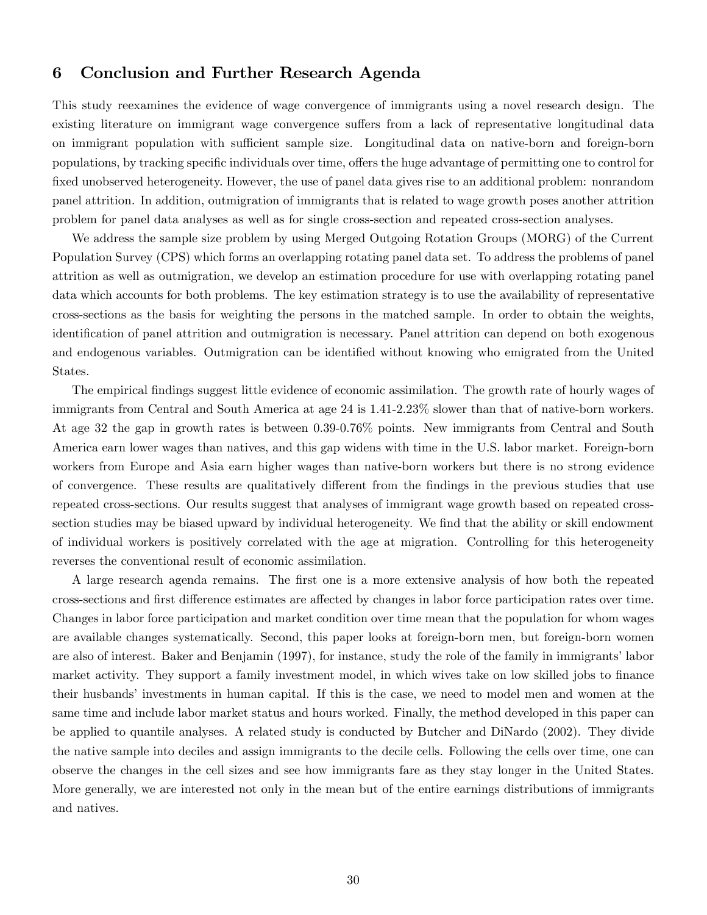# 6 Conclusion and Further Research Agenda

This study reexamines the evidence of wage convergence of immigrants using a novel research design. The existing literature on immigrant wage convergence suffers from a lack of representative longitudinal data on immigrant population with sufficient sample size. Longitudinal data on native-born and foreign-born populations, by tracking specific individuals over time, offers the huge advantage of permitting one to control for fixed unobserved heterogeneity. However, the use of panel data gives rise to an additional problem: nonrandom panel attrition. In addition, outmigration of immigrants that is related to wage growth poses another attrition problem for panel data analyses as well as for single cross-section and repeated cross-section analyses.

We address the sample size problem by using Merged Outgoing Rotation Groups (MORG) of the Current Population Survey (CPS) which forms an overlapping rotating panel data set. To address the problems of panel attrition as well as outmigration, we develop an estimation procedure for use with overlapping rotating panel data which accounts for both problems. The key estimation strategy is to use the availability of representative cross-sections as the basis for weighting the persons in the matched sample. In order to obtain the weights, identification of panel attrition and outmigration is necessary. Panel attrition can depend on both exogenous and endogenous variables. Outmigration can be identified without knowing who emigrated from the United States.

The empirical findings suggest little evidence of economic assimilation. The growth rate of hourly wages of immigrants from Central and South America at age 24 is 1.41-2.23% slower than that of native-born workers. At age 32 the gap in growth rates is between 0.39-0.76% points. New immigrants from Central and South America earn lower wages than natives, and this gap widens with time in the U.S. labor market. Foreign-born workers from Europe and Asia earn higher wages than native-born workers but there is no strong evidence of convergence. These results are qualitatively different from the findings in the previous studies that use repeated cross-sections. Our results suggest that analyses of immigrant wage growth based on repeated crosssection studies may be biased upward by individual heterogeneity. We find that the ability or skill endowment of individual workers is positively correlated with the age at migration. Controlling for this heterogeneity reverses the conventional result of economic assimilation.

A large research agenda remains. The first one is a more extensive analysis of how both the repeated cross-sections and first difference estimates are affected by changes in labor force participation rates over time. Changes in labor force participation and market condition over time mean that the population for whom wages are available changes systematically. Second, this paper looks at foreign-born men, but foreign-born women are also of interest. Baker and Benjamin (1997), for instance, study the role of the family in immigrants' labor market activity. They support a family investment model, in which wives take on low skilled jobs to finance their husbands' investments in human capital. If this is the case, we need to model men and women at the same time and include labor market status and hours worked. Finally, the method developed in this paper can be applied to quantile analyses. A related study is conducted by Butcher and DiNardo (2002). They divide the native sample into deciles and assign immigrants to the decile cells. Following the cells over time, one can observe the changes in the cell sizes and see how immigrants fare as they stay longer in the United States. More generally, we are interested not only in the mean but of the entire earnings distributions of immigrants and natives.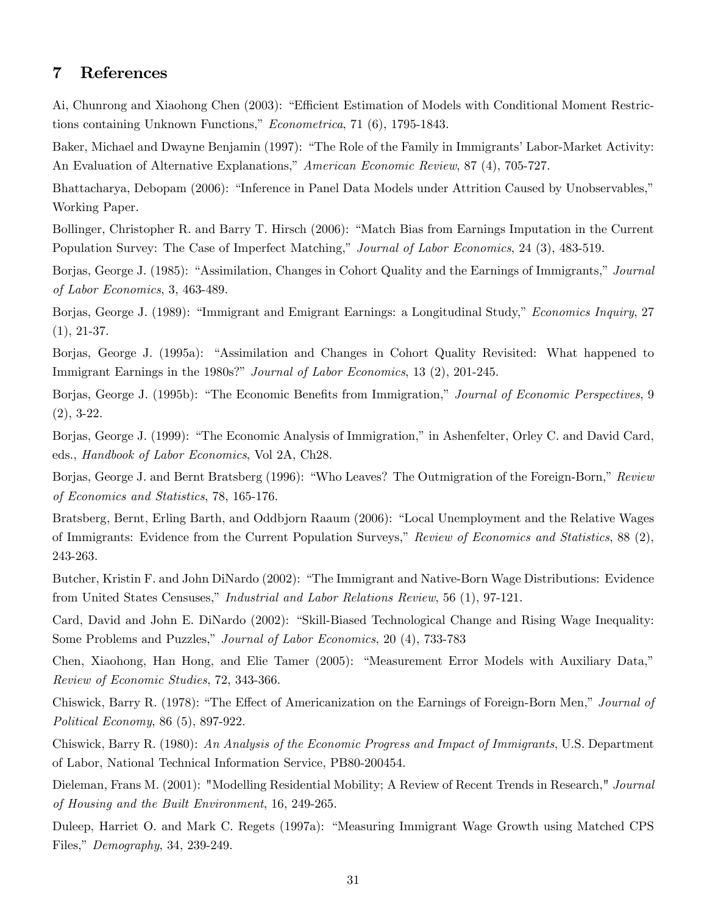# 7 References

Ai, Chunrong and Xiaohong Chen (2003): "Efficient Estimation of Models with Conditional Moment Restrictions containing Unknown Functions,"  $Econometrica$ , 71 (6), 1795-1843.

Baker, Michael and Dwayne Benjamin (1997): "The Role of the Family in Immigrants' Labor-Market Activity: An Evaluation of Alternative Explanations," American Economic Review, 87 (4), 705-727.

Bhattacharya, Debopam (2006): "Inference in Panel Data Models under Attrition Caused by Unobservables," Working Paper.

Bollinger, Christopher R. and Barry T. Hirsch (2006): "Match Bias from Earnings Imputation in the Current Population Survey: The Case of Imperfect Matching," Journal of Labor Economics, 24 (3), 483-519.

Borjas, George J. (1985): "Assimilation, Changes in Cohort Quality and the Earnings of Immigrants," Journal of Labor Economics, 3, 463-489.

Borjas, George J. (1989): "Immigrant and Emigrant Earnings: a Longitudinal Study," Economics Inquiry, 27 (1), 21-37.

Borjas, George J. (1995a): "Assimilation and Changes in Cohort Quality Revisited: What happened to Immigrant Earnings in the 1980s?" Journal of Labor Economics, 13 (2), 201-245.

Borjas, George J. (1995b): "The Economic Benefits from Immigration," Journal of Economic Perspectives, 9 (2), 3-22.

Borjas, George J. (1999): "The Economic Analysis of Immigration," in Ashenfelter, Orley C. and David Card, eds., Handbook of Labor Economics, Vol 2A, Ch28.

Borjas, George J. and Bernt Bratsberg (1996): "Who Leaves? The Outmigration of the Foreign-Born," Review of Economics and Statistics, 78, 165-176.

Bratsberg, Bernt, Erling Barth, and Oddbjorn Raaum (2006): "Local Unemployment and the Relative Wages of Immigrants: Evidence from the Current Population Surveys," Review of Economics and Statistics,  $88(2)$ , 243-263.

Butcher, Kristin F. and John DiNardo (2002): "The Immigrant and Native-Born Wage Distributions: Evidence from United States Censuses," Industrial and Labor Relations Review, 56 (1), 97-121.

Card, David and John E. DiNardo (2002): "Skill-Biased Technological Change and Rising Wage Inequality: Some Problems and Puzzles," *Journal of Labor Economics*, 20 (4), 733-783

Chen, Xiaohong, Han Hong, and Elie Tamer (2005): "Measurement Error Models with Auxiliary Data," Review of Economic Studies, 72, 343-366.

Chiswick, Barry R. (1978): "The Effect of Americanization on the Earnings of Foreign-Born Men," Journal of Political Economy, 86 (5), 897-922.

Chiswick, Barry R. (1980): An Analysis of the Economic Progress and Impact of Immigrants, U.S. Department of Labor, National Technical Information Service, PB80-200454.

Dieleman, Frans M. (2001): "Modelling Residential Mobility; A Review of Recent Trends in Research," Journal of Housing and the Built Environment, 16, 249-265.

Duleep, Harriet O. and Mark C. Regets (1997a): "Measuring Immigrant Wage Growth using Matched CPS Files," Demography, 34, 239-249.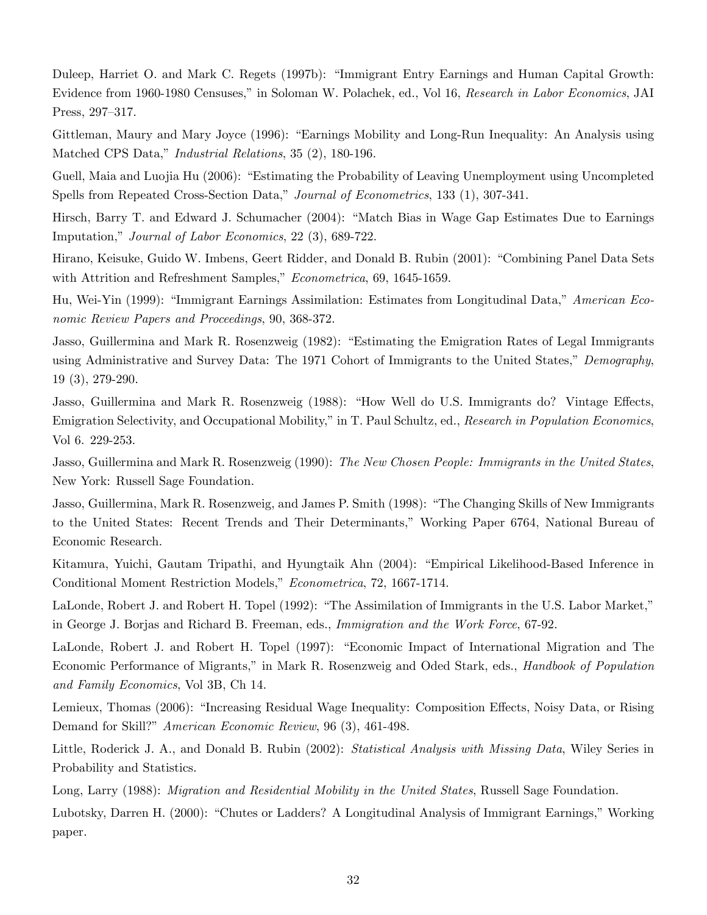Duleep, Harriet O. and Mark C. Regets (1997b): "Immigrant Entry Earnings and Human Capital Growth: Evidence from 1960-1980 Censuses," in Soloman W. Polachek, ed., Vol 16, Research in Labor Economics, JAI Press, 297–317.

Gittleman, Maury and Mary Joyce (1996): "Earnings Mobility and Long-Run Inequality: An Analysis using Matched CPS Data," *Industrial Relations*, 35 (2), 180-196.

Guell, Maia and Luojia Hu (2006): "Estimating the Probability of Leaving Unemployment using Uncompleted Spells from Repeated Cross-Section Data," Journal of Econometrics, 133 (1), 307-341.

Hirsch, Barry T. and Edward J. Schumacher (2004): "Match Bias in Wage Gap Estimates Due to Earnings Imputation," *Journal of Labor Economics*, 22 (3), 689-722.

Hirano, Keisuke, Guido W. Imbens, Geert Ridder, and Donald B. Rubin (2001): "Combining Panel Data Sets with Attrition and Refreshment Samples," Econometrica, 69, 1645-1659.

Hu, Wei-Yin (1999): "Immigrant Earnings Assimilation: Estimates from Longitudinal Data," American Economic Review Papers and Proceedings, 90, 368-372.

Jasso, Guillermina and Mark R. Rosenzweig (1982): "Estimating the Emigration Rates of Legal Immigrants using Administrative and Survey Data: The 1971 Cohort of Immigrants to the United States," Demography, 19 (3), 279-290.

Jasso, Guillermina and Mark R. Rosenzweig (1988): "How Well do U.S. Immigrants do? Vintage Effects, Emigration Selectivity, and Occupational Mobility," in T. Paul Schultz, ed., Research in Population Economics, Vol 6. 229-253.

Jasso, Guillermina and Mark R. Rosenzweig (1990): The New Chosen People: Immigrants in the United States, New York: Russell Sage Foundation.

Jasso, Guillermina, Mark R. Rosenzweig, and James P. Smith (1998): "The Changing Skills of New Immigrants to the United States: Recent Trends and Their Determinants," Working Paper 6764, National Bureau of Economic Research.

Kitamura, Yuichi, Gautam Tripathi, and Hyungtaik Ahn (2004): "Empirical Likelihood-Based Inference in Conditional Moment Restriction Models," Econometrica, 72, 1667-1714.

LaLonde, Robert J. and Robert H. Topel (1992): "The Assimilation of Immigrants in the U.S. Labor Market," in George J. Borjas and Richard B. Freeman, eds., Immigration and the Work Force, 67-92.

LaLonde, Robert J. and Robert H. Topel (1997): "Economic Impact of International Migration and The Economic Performance of Migrants," in Mark R. Rosenzweig and Oded Stark, eds., *Handbook of Population* and Family Economics, Vol 3B, Ch 14.

Lemieux, Thomas (2006): "Increasing Residual Wage Inequality: Composition Effects, Noisy Data, or Rising Demand for Skill?" *American Economic Review*, 96 (3), 461-498.

Little, Roderick J. A., and Donald B. Rubin (2002): Statistical Analysis with Missing Data, Wiley Series in Probability and Statistics.

Long, Larry (1988): *Migration and Residential Mobility in the United States*, Russell Sage Foundation.

Lubotsky, Darren H. (2000): "Chutes or Ladders? A Longitudinal Analysis of Immigrant Earnings," Working paper.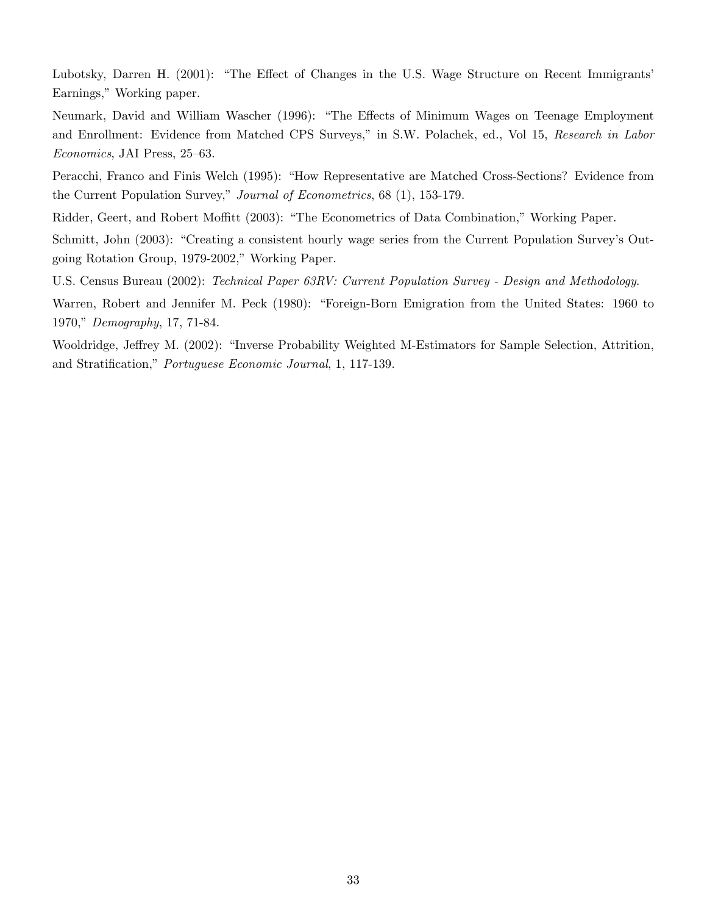Lubotsky, Darren H. (2001): "The Effect of Changes in the U.S. Wage Structure on Recent Immigrants' Earnings," Working paper.

Neumark, David and William Wascher (1996): "The Effects of Minimum Wages on Teenage Employment and Enrollment: Evidence from Matched CPS Surveys," in S.W. Polachek, ed., Vol 15, Research in Labor Economics, JAI Press, 25-63.

Peracchi, Franco and Finis Welch (1995): "How Representative are Matched Cross-Sections? Evidence from the Current Population Survey," Journal of Econometrics, 68 (1), 153-179.

Ridder, Geert, and Robert Moffitt (2003): "The Econometrics of Data Combination," Working Paper.

Schmitt, John (2003): "Creating a consistent hourly wage series from the Current Population Survey's Outgoing Rotation Group, 1979-2002," Working Paper.

U.S. Census Bureau (2002): Technical Paper 63RV: Current Population Survey - Design and Methodology.

Warren, Robert and Jennifer M. Peck (1980): "Foreign-Born Emigration from the United States: 1960 to 1970," Demography, 17, 71-84.

Wooldridge, Jeffrey M. (2002): "Inverse Probability Weighted M-Estimators for Sample Selection, Attrition, and Stratification," Portuguese Economic Journal, 1, 117-139.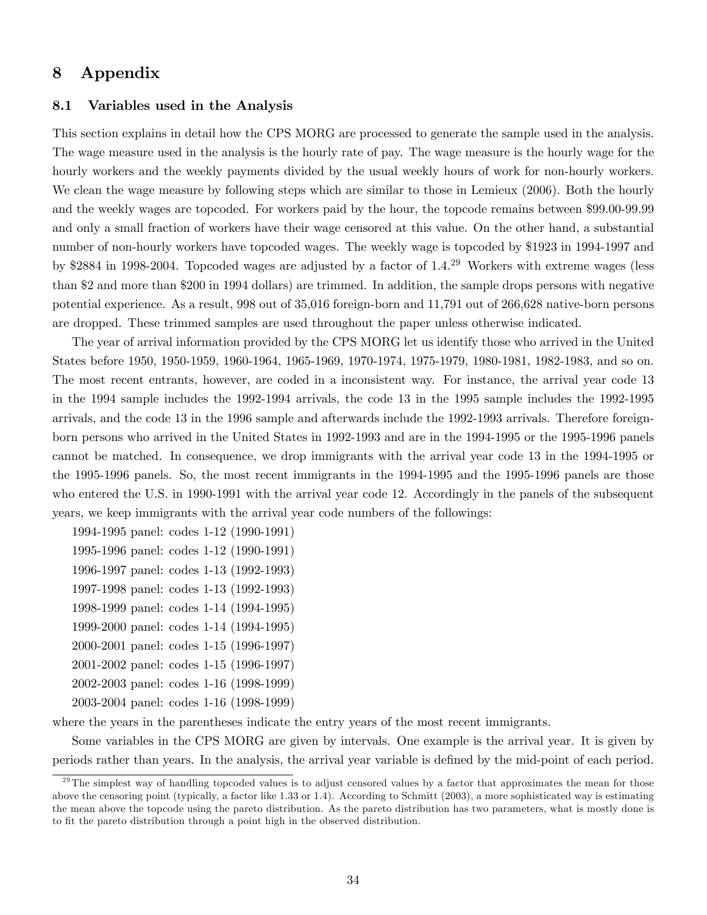# 8 Appendix

#### 8.1 Variables used in the Analysis

This section explains in detail how the CPS MORG are processed to generate the sample used in the analysis. The wage measure used in the analysis is the hourly rate of pay. The wage measure is the hourly wage for the hourly workers and the weekly payments divided by the usual weekly hours of work for non-hourly workers. We clean the wage measure by following steps which are similar to those in Lemieux (2006). Both the hourly and the weekly wages are topcoded. For workers paid by the hour, the topcode remains between \$99.00-99.99 and only a small fraction of workers have their wage censored at this value. On the other hand, a substantial number of non-hourly workers have topcoded wages. The weekly wage is topcoded by \$1923 in 1994-1997 and by \$2884 in 1998-2004. Topcoded wages are adjusted by a factor of 1.4.<sup>29</sup> Workers with extreme wages (less than \$2 and more than \$200 in 1994 dollars) are trimmed. In addition, the sample drops persons with negative potential experience. As a result, 998 out of 35,016 foreign-born and 11,791 out of 266,628 native-born persons are dropped. These trimmed samples are used throughout the paper unless otherwise indicated.

The year of arrival information provided by the CPS MORG let us identify those who arrived in the United States before 1950, 1950-1959, 1960-1964, 1965-1969, 1970-1974, 1975-1979, 1980-1981, 1982-1983, and so on. The most recent entrants, however, are coded in a inconsistent way. For instance, the arrival year code 13 in the 1994 sample includes the 1992-1994 arrivals, the code 13 in the 1995 sample includes the 1992-1995 arrivals, and the code 13 in the 1996 sample and afterwards include the 1992-1993 arrivals. Therefore foreignborn persons who arrived in the United States in 1992-1993 and are in the 1994-1995 or the 1995-1996 panels cannot be matched. In consequence, we drop immigrants with the arrival year code 13 in the 1994-1995 or the 1995-1996 panels. So, the most recent immigrants in the 1994-1995 and the 1995-1996 panels are those who entered the U.S. in 1990-1991 with the arrival year code 12. Accordingly in the panels of the subsequent years, we keep immigrants with the arrival year code numbers of the followings:

- 1994-1995 panel: codes 1-12 (1990-1991)
- 1995-1996 panel: codes 1-12 (1990-1991)
- 1996-1997 panel: codes 1-13 (1992-1993)
- 1997-1998 panel: codes 1-13 (1992-1993)
- 1998-1999 panel: codes 1-14 (1994-1995)
- 1999-2000 panel: codes 1-14 (1994-1995)
- 2000-2001 panel: codes 1-15 (1996-1997)
- 2001-2002 panel: codes 1-15 (1996-1997)
- 2002-2003 panel: codes 1-16 (1998-1999) 2003-2004 panel: codes 1-16 (1998-1999)
- where the years in the parentheses indicate the entry years of the most recent immigrants.

Some variables in the CPS MORG are given by intervals. One example is the arrival year. It is given by periods rather than years. In the analysis, the arrival year variable is defined by the mid-point of each period.

 $^{29}$ The simplest way of handling topcoded values is to adjust censored values by a factor that approximates the mean for those above the censoring point (typically, a factor like 1.33 or 1.4). According to Schmitt (2003), a more sophisticated way is estimating the mean above the topcode using the pareto distribution. As the pareto distribution has two parameters, what is mostly done is to fit the pareto distribution through a point high in the observed distribution.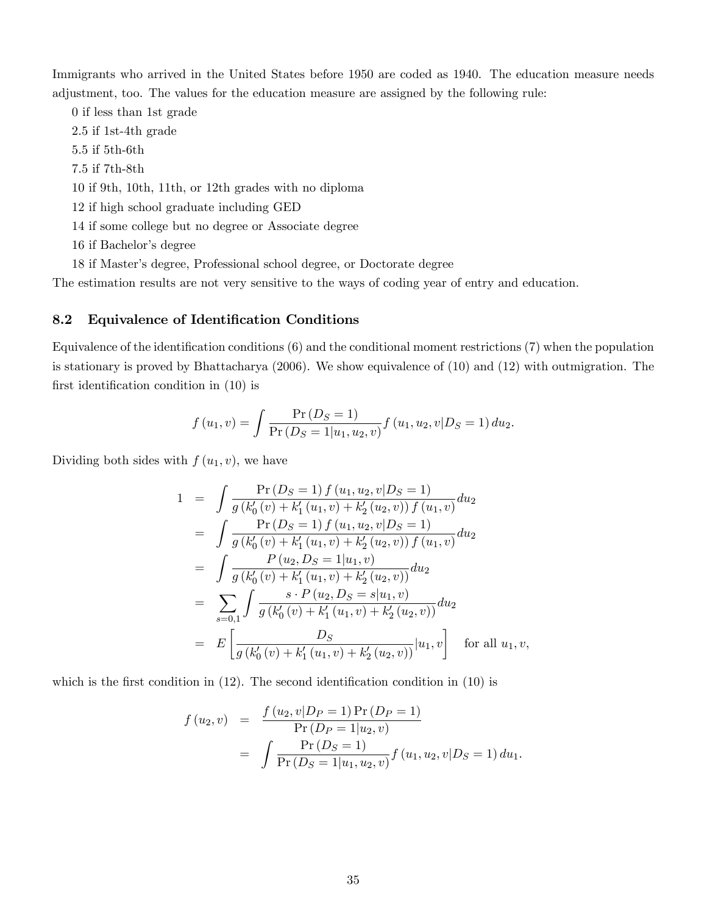Immigrants who arrived in the United States before 1950 are coded as 1940. The education measure needs adjustment, too. The values for the education measure are assigned by the following rule:

0 if less than 1st grade 2.5 if 1st-4th grade 5.5 if 5th-6th

7.5 if 7th-8th

10 if 9th, 10th, 11th, or 12th grades with no diploma

- 12 if high school graduate including GED
- 14 if some college but no degree or Associate degree
- 16 if Bachelor's degree
- 18 if Masterís degree, Professional school degree, or Doctorate degree

The estimation results are not very sensitive to the ways of coding year of entry and education.

### 8.2 Equivalence of Identification Conditions

Equivalence of the identification conditions  $(6)$  and the conditional moment restrictions  $(7)$  when the population is stationary is proved by Bhattacharya (2006). We show equivalence of (10) and (12) with outmigration. The first identification condition in  $(10)$  is

$$
f(u_1, v) = \int \frac{\Pr(D_S = 1)}{\Pr(D_S = 1 | u_1, u_2, v)} f(u_1, u_2, v | D_S = 1) du_2.
$$

Dividing both sides with  $f(u_1, v)$ , we have

$$
1 = \int \frac{\Pr(D_S = 1) f (u_1, u_2, v | D_S = 1)}{g (k'_0(v) + k'_1(u_1, v) + k'_2(u_2, v)) f (u_1, v)} du_2
$$
  
\n
$$
= \int \frac{\Pr(D_S = 1) f (u_1, u_2, v | D_S = 1)}{g (k'_0(v) + k'_1(u_1, v) + k'_2(u_2, v)) f (u_1, v)} du_2
$$
  
\n
$$
= \int \frac{P (u_2, D_S = 1 | u_1, v)}{g (k'_0(v) + k'_1(u_1, v) + k'_2(u_2, v))} du_2
$$
  
\n
$$
= \sum_{s=0,1} \int \frac{s \cdot P (u_2, D_S = s | u_1, v)}{g (k'_0(v) + k'_1(u_1, v) + k'_2(u_2, v))} du_2
$$
  
\n
$$
= E \left[ \frac{D_S}{g (k'_0(v) + k'_1(u_1, v) + k'_2(u_2, v))} | u_1, v \right] \text{ for all } u_1, v,
$$

which is the first condition in  $(12)$ . The second identification condition in  $(10)$  is

$$
f (u_2, v) = \frac{f (u_2, v | D_P = 1) \Pr(D_P = 1)}{\Pr(D_P = 1 | u_2, v)}
$$
  
= 
$$
\int \frac{\Pr(D_S = 1)}{\Pr(D_S = 1 | u_1, u_2, v)} f (u_1, u_2, v | D_S = 1) du_1.
$$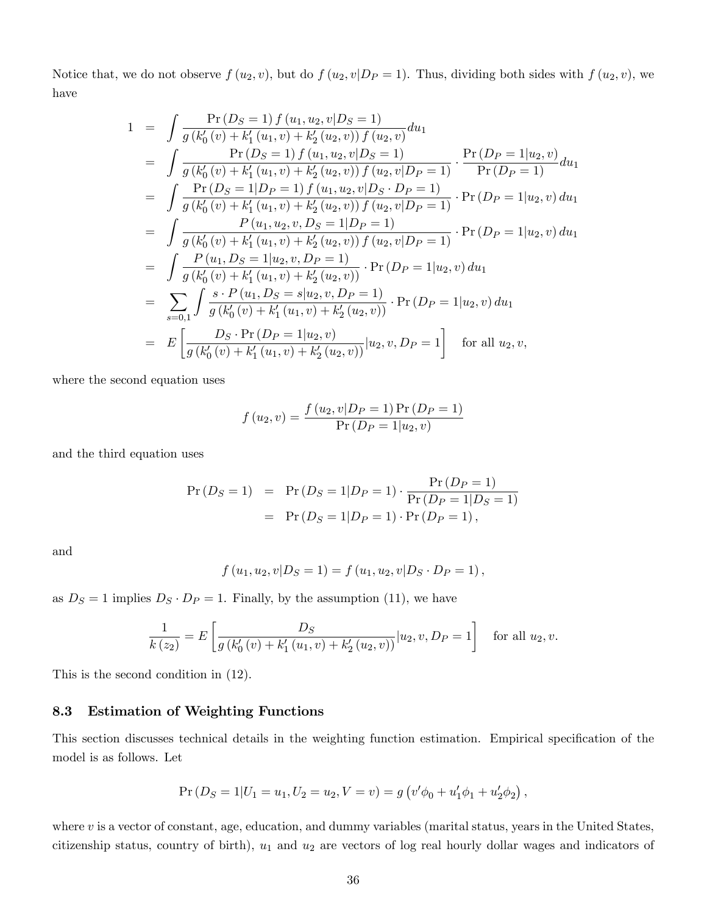Notice that, we do not observe  $f(u_2, v)$ , but do  $f(u_2, v|D_P = 1)$ . Thus, dividing both sides with  $f(u_2, v)$ , we have

$$
1 = \int \frac{\Pr(D_S = 1) f(u_1, u_2, v|D_S = 1)}{g(k'_0(v) + k'_1(u_1, v) + k'_2(u_2, v)) f(u_2, v)} du_1
$$
  
\n
$$
= \int \frac{\Pr(D_S = 1) f(u_1, u_2, v|D_S = 1)}{g(k'_0(v) + k'_1(u_1, v) + k'_2(u_2, v)) f(u_2, v|D_P = 1)} \cdot \frac{\Pr(D_P = 1|u_2, v)}{\Pr(D_P = 1)} du_1
$$
  
\n
$$
= \int \frac{\Pr(D_S = 1|D_P = 1) f(u_1, u_2, v|D_S \cdot D_P = 1)}{g(k'_0(v) + k'_1(u_1, v) + k'_2(u_2, v)) f(u_2, v|D_P = 1)} \cdot \Pr(D_P = 1|u_2, v) du_1
$$
  
\n
$$
= \int \frac{P(u_1, u_2, v, D_S = 1|D_P = 1)}{g(k'_0(v) + k'_1(u_1, v) + k'_2(u_2, v)) f(u_2, v|D_P = 1)} \cdot \Pr(D_P = 1|u_2, v) du_1
$$
  
\n
$$
= \int \frac{P(u_1, D_S = 1|u_2, v, D_P = 1)}{g(k'_0(v) + k'_1(u_1, v) + k'_2(u_2, v))} \cdot \Pr(D_P = 1|u_2, v) du_1
$$
  
\n
$$
= \sum_{s=0,1} \int \frac{s \cdot P(u_1, D_S = s|u_2, v, D_P = 1)}{g(k'_0(v) + k'_1(u_1, v) + k'_2(u_2, v))} \cdot \Pr(D_P = 1|u_2, v) du_1
$$
  
\n
$$
= E\left[\frac{D_S \cdot \Pr(D_P = 1|u_2, v)}{g(k'_0(v) + k'_1(u_1, v) + k'_2(u_2, v))} |u_2, v, D_P = 1\right] \quad \text{for all } u_2, v,
$$

where the second equation uses

$$
f(u_2, v) = \frac{f(u_2, v|D_P = 1) \Pr(D_P = 1)}{\Pr(D_P = 1|u_2, v)}
$$

and the third equation uses

$$
Pr(D_S = 1) = Pr(D_S = 1|D_P = 1) \cdot \frac{Pr(D_P = 1)}{Pr(D_P = 1|D_S = 1)} = Pr(D_S = 1|D_P = 1) \cdot Pr(D_P = 1),
$$

and

$$
f(u_1, u_2, v|D_S = 1) = f(u_1, u_2, v|D_S \cdot D_P = 1),
$$

as  $D_S = 1$  implies  $D_S \cdot D_P = 1$ . Finally, by the assumption (11), we have

$$
\frac{1}{k(z_2)} = E\left[\frac{D_S}{g(k'_0(v) + k'_1(u_1, v) + k'_2(u_2, v))}|u_2, v, D_P = 1\right]
$$
 for all  $u_2, v$ .

This is the second condition in (12).

### 8.3 Estimation of Weighting Functions

This section discusses technical details in the weighting function estimation. Empirical specification of the model is as follows. Let

$$
Pr(DS = 1|U1 = u1, U2 = u2, V = v) = g(v'\phi0 + u'1\phi1 + u'2\phi2),
$$

where  $v$  is a vector of constant, age, education, and dummy variables (marital status, years in the United States, citizenship status, country of birth),  $u_1$  and  $u_2$  are vectors of log real hourly dollar wages and indicators of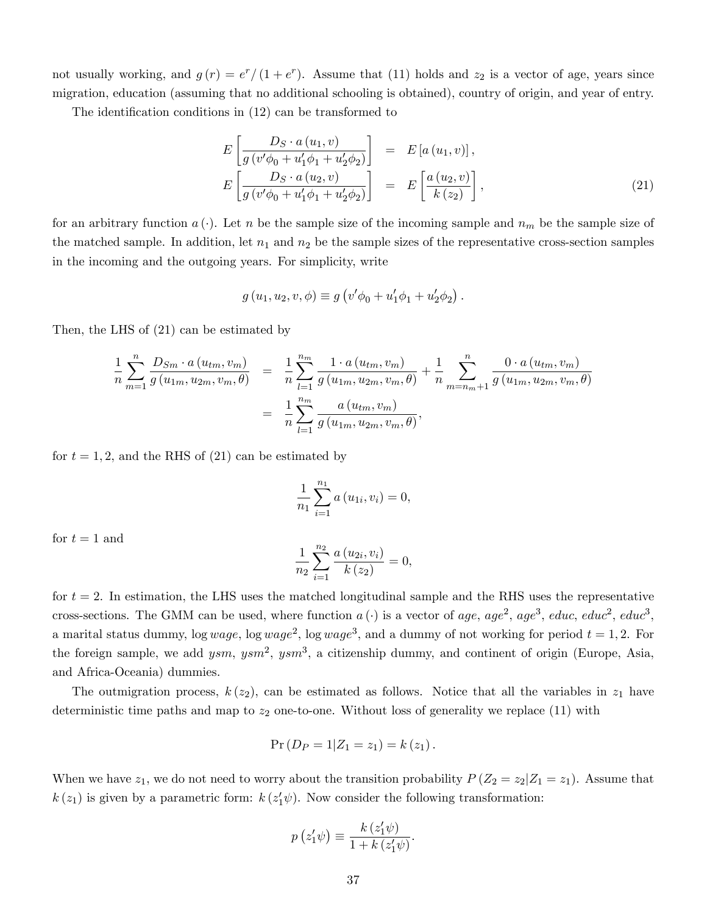not usually working, and  $g(r) = e^r/(1 + e^r)$ . Assume that (11) holds and  $z_2$  is a vector of age, years since migration, education (assuming that no additional schooling is obtained), country of origin, and year of entry.

The identification conditions in (12) can be transformed to

$$
E\left[\frac{D_S \cdot a\left(u_1, v\right)}{g\left(v'\phi_0 + u'_1\phi_1 + u'_2\phi_2\right)}\right] = E\left[a\left(u_1, v\right)\right],
$$
  
\n
$$
E\left[\frac{D_S \cdot a\left(u_2, v\right)}{g\left(v'\phi_0 + u'_1\phi_1 + u'_2\phi_2\right)}\right] = E\left[\frac{a\left(u_2, v\right)}{k\left(z_2\right)}\right],
$$
\n(21)

for an arbitrary function  $a(\cdot)$ . Let n be the sample size of the incoming sample and  $n_m$  be the sample size of the matched sample. In addition, let  $n_1$  and  $n_2$  be the sample sizes of the representative cross-section samples in the incoming and the outgoing years. For simplicity, write

$$
g(u_1, u_2, v, \phi) \equiv g(v'\phi_0 + u'_1\phi_1 + u'_2\phi_2).
$$

Then, the LHS of (21) can be estimated by

$$
\frac{1}{n} \sum_{m=1}^{n} \frac{D_{Sm} \cdot a(u_{tm}, v_m)}{g(u_{1m}, u_{2m}, v_m, \theta)} = \frac{1}{n} \sum_{l=1}^{n_m} \frac{1 \cdot a(u_{tm}, v_m)}{g(u_{1m}, u_{2m}, v_m, \theta)} + \frac{1}{n} \sum_{m=n_m+1}^{n} \frac{0 \cdot a(u_{tm}, v_m)}{g(u_{1m}, u_{2m}, v_m, \theta)}
$$
\n
$$
= \frac{1}{n} \sum_{l=1}^{n_m} \frac{a(u_{tm}, v_m)}{g(u_{1m}, u_{2m}, v_m, \theta)},
$$

for  $t = 1, 2$ , and the RHS of (21) can be estimated by

$$
\frac{1}{n_1} \sum_{i=1}^{n_1} a(u_{1i}, v_i) = 0,
$$

for  $t = 1$  and

$$
\frac{1}{n_2} \sum_{i=1}^{n_2} \frac{a(u_{2i}, v_i)}{k(z_2)} = 0,
$$

for  $t = 2$ . In estimation, the LHS uses the matched longitudinal sample and the RHS uses the representative cross-sections. The GMM can be used, where function  $a(\cdot)$  is a vector of age, age<sup>2</sup>, age<sup>3</sup>, educ, educ<sup>2</sup>, educ<sup>3</sup>, a marital status dummy, log wage, log wage<sup>2</sup>, log wage<sup>3</sup>, and a dummy of not working for period  $t = 1, 2$ . For the foreign sample, we add  $ysm$ ,  $ysm^2$ ,  $ysm^3$ , a citizenship dummy, and continent of origin (Europe, Asia, and Africa-Oceania) dummies.

The outmigration process,  $k(z_2)$ , can be estimated as follows. Notice that all the variables in  $z_1$  have deterministic time paths and map to  $z_2$  one-to-one. Without loss of generality we replace (11) with

$$
Pr(D_P = 1 | Z_1 = z_1) = k(z_1).
$$

When we have  $z_1$ , we do not need to worry about the transition probability  $P(Z_2 = z_2 | Z_1 = z_1)$ . Assume that  $k(z_1)$  is given by a parametric form:  $k(z'_1\psi)$ . Now consider the following transformation:

$$
p(z'_1\psi) \equiv \frac{k(z'_1\psi)}{1 + k(z'_1\psi)}.
$$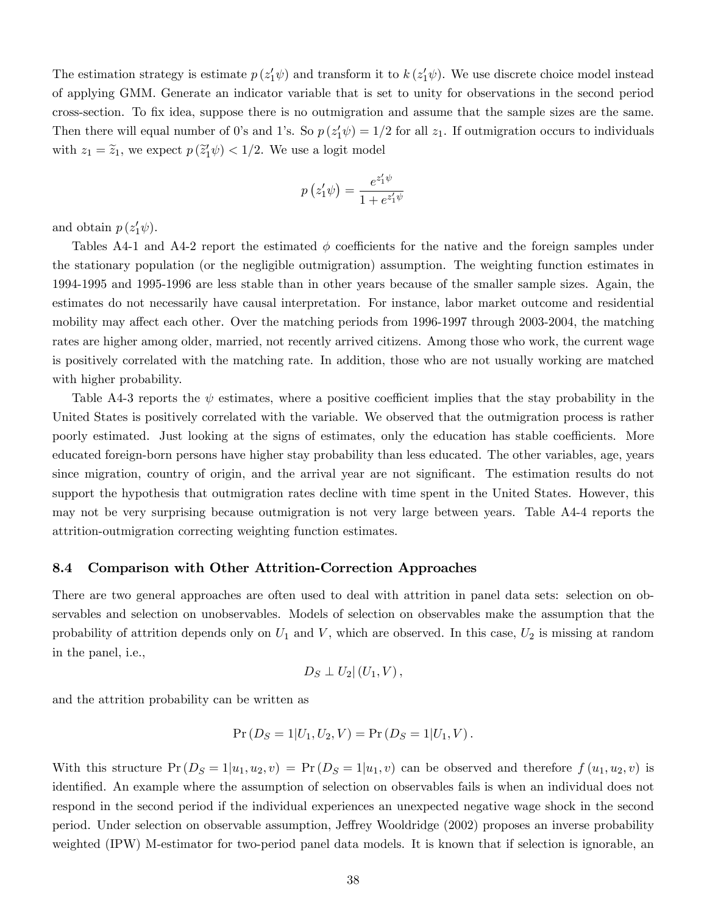The estimation strategy is estimate  $p(z'_1\psi)$  and transform it to  $k(z'_1\psi)$ . We use discrete choice model instead of applying GMM. Generate an indicator variable that is set to unity for observations in the second period cross-section. To Öx idea, suppose there is no outmigration and assume that the sample sizes are the same. Then there will equal number of 0's and 1's. So  $p(z'_1\psi) = 1/2$  for all  $z_1$ . If outmigration occurs to individuals with  $z_1 = \tilde{z}_1$ , we expect  $p(\tilde{z}'_1 \psi) < 1/2$ . We use a logit model

$$
p(z'_1\psi) = \frac{e^{z'_1\psi}}{1 + e^{z'_1\psi}}
$$

and obtain  $p(z'_1\psi)$ .

Tables A4-1 and A4-2 report the estimated  $\phi$  coefficients for the native and the foreign samples under the stationary population (or the negligible outmigration) assumption. The weighting function estimates in 1994-1995 and 1995-1996 are less stable than in other years because of the smaller sample sizes. Again, the estimates do not necessarily have causal interpretation. For instance, labor market outcome and residential mobility may affect each other. Over the matching periods from 1996-1997 through 2003-2004, the matching rates are higher among older, married, not recently arrived citizens. Among those who work, the current wage is positively correlated with the matching rate. In addition, those who are not usually working are matched with higher probability.

Table A4-3 reports the  $\psi$  estimates, where a positive coefficient implies that the stay probability in the United States is positively correlated with the variable. We observed that the outmigration process is rather poorly estimated. Just looking at the signs of estimates, only the education has stable coefficients. More educated foreign-born persons have higher stay probability than less educated. The other variables, age, years since migration, country of origin, and the arrival year are not significant. The estimation results do not support the hypothesis that outmigration rates decline with time spent in the United States. However, this may not be very surprising because outmigration is not very large between years. Table A4-4 reports the attrition-outmigration correcting weighting function estimates.

#### 8.4 Comparison with Other Attrition-Correction Approaches

There are two general approaches are often used to deal with attrition in panel data sets: selection on observables and selection on unobservables. Models of selection on observables make the assumption that the probability of attrition depends only on  $U_1$  and V, which are observed. In this case,  $U_2$  is missing at random in the panel, i.e.,

$$
D_S \perp U_2 | (U_1, V),
$$

and the attrition probability can be written as

$$
Pr(D_S = 1 | U_1, U_2, V) = Pr(D_S = 1 | U_1, V).
$$

With this structure  $Pr(D_S = 1|u_1, u_2, v) = Pr(D_S = 1|u_1, v)$  can be observed and therefore  $f(u_1, u_2, v)$  is identified. An example where the assumption of selection on observables fails is when an individual does not respond in the second period if the individual experiences an unexpected negative wage shock in the second period. Under selection on observable assumption, Jeffrey Wooldridge (2002) proposes an inverse probability weighted (IPW) M-estimator for two-period panel data models. It is known that if selection is ignorable, an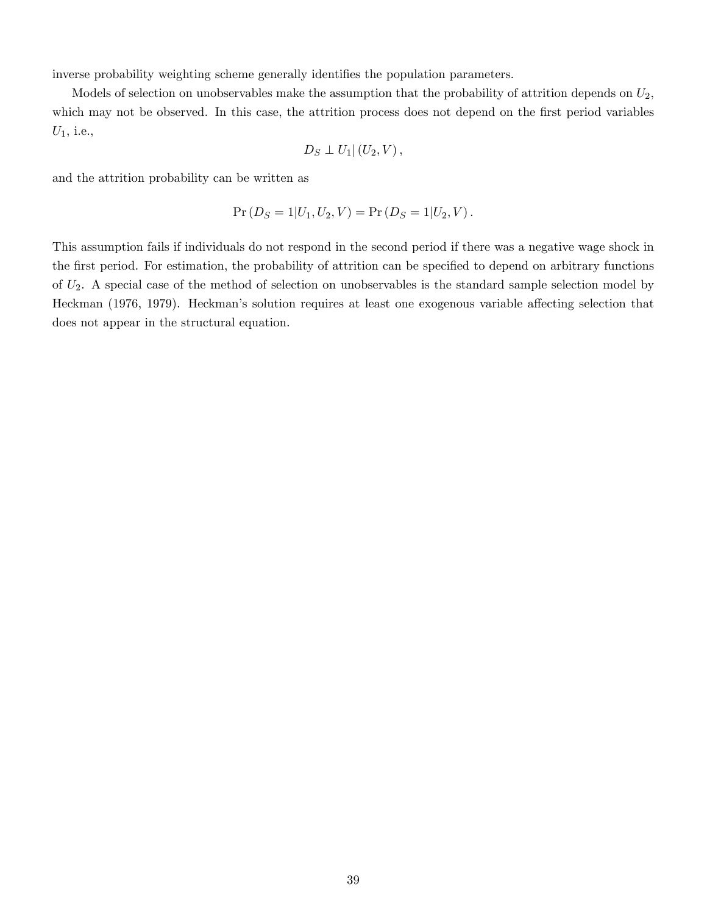inverse probability weighting scheme generally identifies the population parameters.

Models of selection on unobservables make the assumption that the probability of attrition depends on  $U_2$ , which may not be observed. In this case, the attrition process does not depend on the first period variables  $U_1$ , i.e.,

$$
D_S \perp U_1 | (U_2, V) ,
$$

and the attrition probability can be written as

$$
Pr(D_S = 1 | U_1, U_2, V) = Pr(D_S = 1 | U_2, V).
$$

This assumption fails if individuals do not respond in the second period if there was a negative wage shock in the first period. For estimation, the probability of attrition can be specified to depend on arbitrary functions of  $U_2$ . A special case of the method of selection on unobservables is the standard sample selection model by Heckman (1976, 1979). Heckman's solution requires at least one exogenous variable affecting selection that does not appear in the structural equation.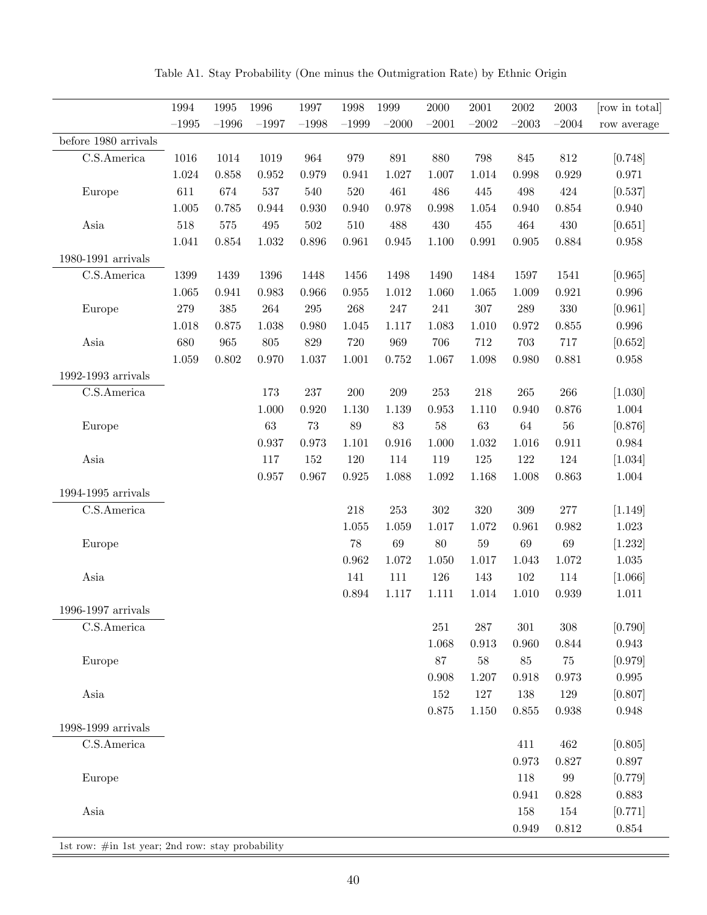|                             | 1994      | 1995      | 1996        | 1997    | 1998    | 1999        | $2000\,$ | $\,2001\,$  | $\,2002\,$  | $\,2003\,$        | [row in total] |
|-----------------------------|-----------|-----------|-------------|---------|---------|-------------|----------|-------------|-------------|-------------------|----------------|
|                             | $-1995$   | $-1996$   | $-1997$     | $-1998$ | $-1999$ | $-2000$     | $-2001$  | $-2002$     | $-2003$     | $-2004$           | row average    |
| before 1980 arrivals        |           |           |             |         |         |             |          |             |             |                   |                |
| C.S.America                 | $1016\,$  | 1014      | 1019        | 964     | 979     | 891         | 880      | 798         | 845         | $812\,$           | [0.748]        |
|                             | 1.024     | 0.858     | $\,0.952\,$ | 0.979   | 0.941   | 1.027       | 1.007    | 1.014       | 0.998       | 0.929             | 0.971          |
| Europe                      | 611       | 674       | $537\,$     | 540     | $520\,$ | 461         | 486      | 445         | 498         | 424               | [0.537]        |
|                             | $1.005\,$ | 0.785     | 0.944       | 0.930   | 0.940   | 0.978       | 0.998    | 1.054       | 0.940       | 0.854             | 0.940          |
| Asia                        | 518       | $575\,$   | 495         | $502\,$ | $510\,$ | 488         | 430      | $455\,$     | 464         | $430\,$           | [0.651]        |
|                             | 1.041     | $0.854\,$ | 1.032       | 0.896   | 0.961   | $\,0.945\,$ | 1.100    | 0.991       | $\,0.905\,$ | 0.884             | 0.958          |
| 1980-1991 arrivals          |           |           |             |         |         |             |          |             |             |                   |                |
| $\overline{C}$ .S. America  | 1399      | 1439      | 1396        | 1448    | 1456    | 1498        | 1490     | 1484        | 1597        | 1541              | [0.965]        |
|                             | 1.065     | 0.941     | 0.983       | 0.966   | 0.955   | $1.012\,$   | 1.060    | 1.065       | 1.009       | 0.921             | 0.996          |
| Europe                      | 279       | $385\,$   | ${\bf 264}$ | $\,295$ | 268     | $247\,$     | 241      | $307\,$     | $\,289$     | 330               | [0.961]        |
|                             | 1.018     | 0.875     | 1.038       | 0.980   | 1.045   | 1.117       | 1.083    | 1.010       | 0.972       | $0.855\,$         | 0.996          |
| Asia                        | 680       | 965       | 805         | 829     | 720     | 969         | 706      | 712         | 703         | 717               | [0.652]        |
|                             | 1.059     | 0.802     | 0.970       | 1.037   | 1.001   | 0.752       | 1.067    | 1.098       | 0.980       | 0.881             | 0.958          |
| 1992-1993 $\text{arrivals}$ |           |           |             |         |         |             |          |             |             |                   |                |
| C.S.America                 |           |           | 173         | 237     | $200\,$ | $209\,$     | $253\,$  | 218         | $265\,$     | 266               | [1.030]        |
|                             |           |           | 1.000       | 0.920   | 1.130   | $1.139\,$   | 0.953    | 1.110       | 0.940       | 0.876             | 1.004          |
| Europe                      |           |           | $63\,$      | $73\,$  | $89\,$  | $83\,$      | $58\,$   | $63\,$      | $64\,$      | $56\,$            | [0.876]        |
|                             |           |           | 0.937       | 0.973   | 1.101   | $\,0.916\,$ | 1.000    | 1.032       | 1.016       | 0.911             | $\,0.984\,$    |
| Asia                        |           |           | 117         | 152     | 120     | 114         | 119      | 125         | $122\,$     | 124               | [1.034]        |
|                             |           |           | 0.957       | 0.967   | 0.925   | 1.088       | 1.092    | 1.168       | $1.008\,$   | 0.863             | 1.004          |
| $1994-1995$ arrivals        |           |           |             |         |         |             |          |             |             |                   |                |
| $\rm C.S. America$          |           |           |             |         | 218     | $253\,$     | $302\,$  | 320         | $309\,$     | 277               | [1.149]        |
|                             |           |           |             |         | 1.055   | 1.059       | 1.017    | 1.072       | 0.961       | 0.982             | 1.023          |
| Europe                      |           |           |             |         | $78\,$  | 69          | $80\,$   | $59\,$      | 69          | $69\,$            | [1.232]        |
|                             |           |           |             |         | 0.962   | 1.072       | 1.050    | 1.017       | 1.043       | 1.072             | $1.035\,$      |
| Asia                        |           |           |             |         | 141     | 111         | 126      | 143         | 102         | 114               | [1.066]        |
|                             |           |           |             |         | 0.894   | 1.117       | 1.111    | 1.014       | 1.010       | 0.939             | $1.011\,$      |
| 1996-1997 arrivals          |           |           |             |         |         |             |          |             |             |                   |                |
| C.S.America                 |           |           |             |         |         |             | $251\,$  | $287\,$     | $301\,$     | $308\,$           | [0.790]        |
|                             |           |           |             |         |         |             | 1.068    | $\rm 0.913$ | 0.960       | $\,0.844\,$       | $\,0.943\,$    |
| Europe                      |           |           |             |         |         |             | $87\,$   | $58\,$      | $85\,$      | $75\,$            | [0.979]        |
|                             |           |           |             |         |         |             | 0.908    | 1.207       | $0.918\,$   | $\rm 0.973$       | $\,0.995\,$    |
| Asia                        |           |           |             |         |         |             | 152      | $127\,$     | 138         | $129\,$           | [0.807]        |
|                             |           |           |             |         |         |             | 0.875    | $1.150\,$   | $0.855\,$   | 0.938             | $\,0.948\,$    |
| 1998-1999 arrivals          |           |           |             |         |         |             |          |             |             |                   |                |
| C.S.America                 |           |           |             |         |         |             |          |             | 411         | 462               | [0.805]        |
|                             |           |           |             |         |         |             |          |             | 0.973       | 0.827             | 0.897          |
| Europe                      |           |           |             |         |         |             |          |             | 118         | $\boldsymbol{99}$ | [0.779]        |
|                             |           |           |             |         |         |             |          |             | 0.941       | 0.828             | 0.883          |
| Asia                        |           |           |             |         |         |             |          |             | 158         | 154               | [0.771]        |
|                             |           |           |             |         |         |             |          |             | $\,0.949\,$ | $0.812\,$         | $0.854\,$      |

Table A1. Stay Probability (One minus the Outmigration Rate) by Ethnic Origin

1st row: #in 1st year; 2nd row: stay probability

 $\equiv$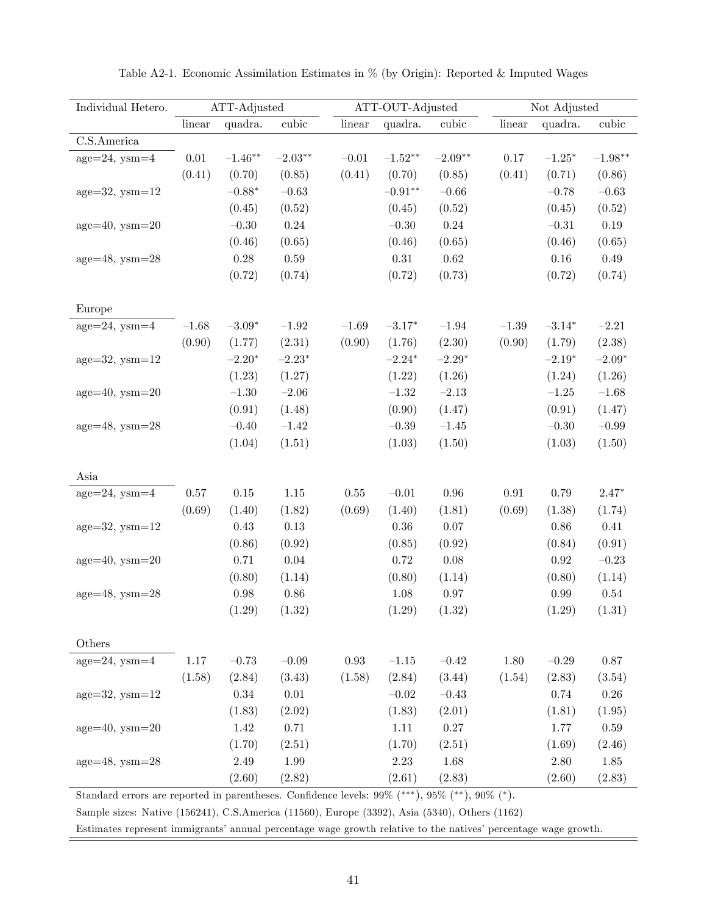| Individual Hetero.                                                                                     | ATT-Adjusted |                   |                    |            | ATT-OUT-Adjusted   |                | Not Adjusted |                |                    |
|--------------------------------------------------------------------------------------------------------|--------------|-------------------|--------------------|------------|--------------------|----------------|--------------|----------------|--------------------|
|                                                                                                        | linear       | quadra.           | cubic              | linear     | quadra.            | cubic          | linear       | quadra.        | cubic              |
| C.S.America                                                                                            |              |                   |                    |            |                    |                |              |                |                    |
| $age=24$ , $ysm=4$                                                                                     | $0.01\,$     | $-1.46**$         | $-2.03**$          | $-0.01$    | $-1.52**$          | $-2.09**$      | $0.17\,$     | $-1.25*$       | $-1.98**$          |
|                                                                                                        | (0.41)       | (0.70)            | (0.85)             | (0.41)     | (0.70)             | (0.85)         | (0.41)       | (0.71)         | (0.86)             |
| $age=32$ , $ysm=12$                                                                                    |              | $-0.88*$          | $-0.63$            |            | $-0.91**$          | $-0.66$        |              | $-0.78$        | $-0.63\,$          |
|                                                                                                        |              | (0.45)            | (0.52)             |            | (0.45)             | (0.52)         |              | (0.45)         | (0.52)             |
| $age=40$ , $ysm=20$                                                                                    |              | $-0.30$           | 0.24               |            | $-0.30$            | 0.24           |              | $-0.31$        | 0.19               |
|                                                                                                        |              | (0.46)            | (0.65)             |            | (0.46)             | (0.65)         |              | (0.46)         | (0.65)             |
| $age=48$ , $ysm=28$                                                                                    |              | 0.28              | 0.59               |            | $0.31\,$           | $0.62\,$       |              | $0.16\,$       | $0.49\,$           |
|                                                                                                        |              | (0.72)            | (0.74)             |            | (0.72)             | (0.73)         |              | (0.72)         | (0.74)             |
|                                                                                                        |              |                   |                    |            |                    |                |              |                |                    |
| Europe                                                                                                 |              |                   |                    |            |                    |                |              |                |                    |
| $age=24$ , $ysm=4$                                                                                     | $-1.68$      | $-3.09*$          | $\!-1.92$          | $-1.69$    | $-3.17*$           | $-1.94$        | $-1.39$      | $-3.14*$       | $-2.21$            |
|                                                                                                        | (0.90)       | (1.77)            | (2.31)             | (0.90)     | (1.76)             | (2.30)         | (0.90)       | (1.79)         | (2.38)             |
| $age=32$ , $ysm=12$                                                                                    |              | $-2.20*$          | $-2.23*$           |            | $-2.24*$           | $-2.29*$       |              | $-2.19*$       | $-2.09*$           |
|                                                                                                        |              | (1.23)            | (1.27)             |            | (1.22)             | (1.26)         |              | (1.24)         | (1.26)             |
| $age=40$ , $ysm=20$                                                                                    |              | $-1.30\,$         | $-2.06$            |            | $-1.32$            | $-2.13$        |              | $-1.25$        | $-1.68$            |
|                                                                                                        |              | (0.91)            | (1.48)             |            | (0.90)             | (1.47)         |              | (0.91)         | (1.47)             |
| $age=48$ , $ysm=28$                                                                                    |              | $-0.40$           | $-1.42$            |            | $-0.39\,$          | $-1.45$        |              | $-0.30$        | $-0.99$            |
|                                                                                                        |              | (1.04)            | (1.51)             |            | (1.03)             | (1.50)         |              | (1.03)         | (1.50)             |
|                                                                                                        |              |                   |                    |            |                    |                |              |                |                    |
| Asia                                                                                                   |              |                   |                    |            |                    |                |              |                |                    |
| $age=24$ , $ysm=4$                                                                                     | $0.57\,$     | $0.15\,$          | $1.15\,$           | 0.55       | $-0.01$            | $\rm 0.96$     | $\rm 0.91$   | $0.79\,$       | $2.47*$            |
|                                                                                                        | (0.69)       | (1.40)            | (1.82)             | (0.69)     | (1.40)             | (1.81)         | (0.69)       | (1.38)         | (1.74)             |
| $age=32$ , $ysm=12$                                                                                    |              | 0.43              | 0.13               |            | $0.36\,$           | 0.07           |              | $0.86\,$       | $0.41\,$           |
|                                                                                                        |              | (0.86)            | (0.92)             |            | (0.85)             | (0.92)         |              | (0.84)         | (0.91)             |
| $age=40$ , $ysm=20$                                                                                    |              | 0.71              | $0.04\,$           |            | 0.72               | $0.08\,$       |              | $\rm 0.92$     | $-0.23\,$          |
|                                                                                                        |              | (0.80)            | (1.14)             |            | (0.80)             | (1.14)         |              | (0.80)         | (1.14)             |
| $age=48$ , $ysm=28$                                                                                    |              | 0.98              | 0.86               |            | $1.08\,$           | $0.97\,$       |              | $0.99\,$       | $0.54\,$           |
|                                                                                                        |              | (1.29)            | (1.32)             |            | (1.29)             | (1.32)         |              | (1.29)         | (1.31)             |
|                                                                                                        |              |                   |                    |            |                    |                |              |                |                    |
| Others<br>$age=24$ , $ysm=4$                                                                           |              |                   |                    |            |                    |                |              |                |                    |
|                                                                                                        | $1.17\,$     | $-0.73$<br>(2.84) | $-0.09$            | $\rm 0.93$ | $-1.15\,$          | $-0.42$        | 1.80         | $-0.29$        | 0.87               |
|                                                                                                        | (1.58)       |                   | (3.43)<br>$0.01\,$ | (1.58)     | (2.84)             | (3.44)         | (1.54)       | (2.83)         | (3.54)<br>$0.26\,$ |
| $age=32$ , $ysm=12$                                                                                    |              | $0.34\,$          |                    |            | $-0.02\,$          | $-0.43$        |              | 0.74           |                    |
| $age=40$ , $ysm=20$                                                                                    |              | (1.83)<br>1.42    | (2.02)<br>0.71     |            | (1.83)<br>1.11     | (2.01)         |              | (1.81)         | (1.95)<br>0.59     |
|                                                                                                        |              |                   |                    |            |                    | $0.27\,$       |              | 1.77<br>(1.69) |                    |
|                                                                                                        |              | (1.70)<br>2.49    | (2.51)<br>1.99     |            | (1.70)<br>$2.23\,$ | (2.51)         |              |                | (2.46)             |
| $age=48$ , $ysm=28$                                                                                    |              | (2.60)            | (2.82)             |            | (2.61)             | 1.68<br>(2.83) |              | 2.80<br>(2.60) | 1.85<br>(2.83)     |
| Standard errors are reported in parentheses. Confidence levels: $99\%$ (***), $95\%$ (**), $90\%$ (*). |              |                   |                    |            |                    |                |              |                |                    |

Table A2-1. Economic Assimilation Estimates in % (by Origin): Reported & Imputed Wages

Sample sizes: Native (156241), C.S.America (11560), Europe (3392), Asia (5340), Others (1162)

Estimates represent immigrants' annual percentage wage growth relative to the natives' percentage wage growth.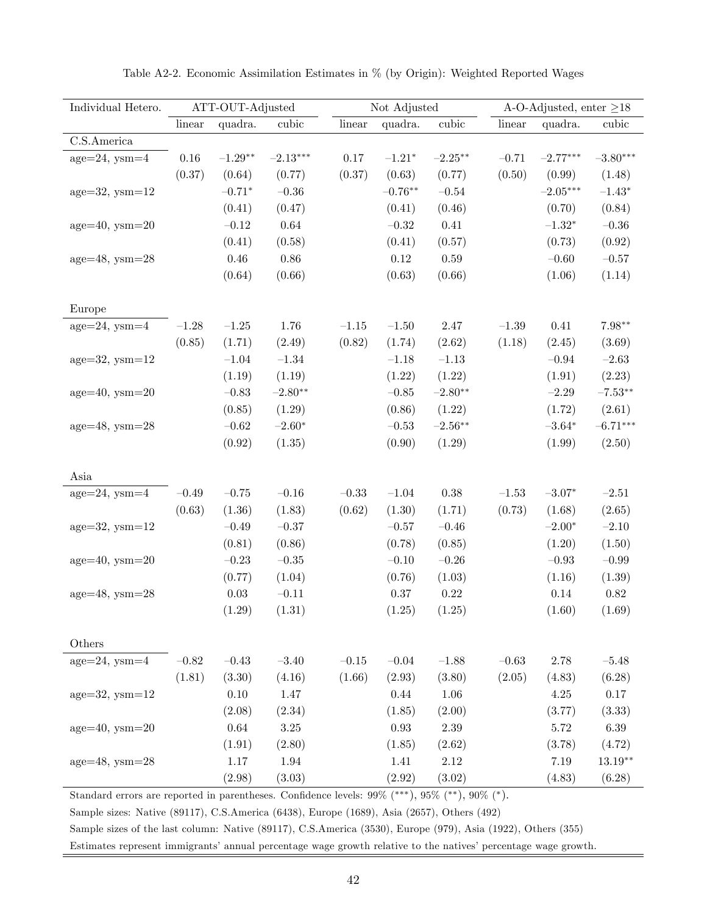| Individual Hetero.  |          | ATT-OUT-Adjusted |            |         | Not Adjusted |                    |           | A-O-Adjusted, enter $\geq$ 18 |            |
|---------------------|----------|------------------|------------|---------|--------------|--------------------|-----------|-------------------------------|------------|
|                     | linear   | quadra.          | cubic      | linear  | quadra.      | cubic              | linear    | quadra.                       | cubic      |
| C.S.America         |          |                  |            |         |              |                    |           |                               |            |
| $age=24$ , $ysm=4$  | $0.16\,$ | $-1.29**$        | $-2.13***$ | 0.17    | $-1.21*$     | $-2.25***$         | $-0.71$   | $-2.77***$                    | $-3.80***$ |
|                     | (0.37)   | (0.64)           | (0.77)     | (0.37)  | (0.63)       | (0.77)             | (0.50)    | (0.99)                        | (1.48)     |
| $age=32$ , $ysm=12$ |          | $-0.71*$         | $-0.36$    |         | $-0.76**$    | $-0.54$            |           | $-2.05***$                    | $-1.43*$   |
|                     |          | (0.41)           | (0.47)     |         | (0.41)       | (0.46)             |           | (0.70)                        | (0.84)     |
| $age=40$ , $ysm=20$ |          | $-0.12$          | 0.64       |         | $-0.32$      | $0.41\,$           |           | $-1.32^{\ast}$                | $-0.36$    |
|                     |          | (0.41)           | (0.58)     |         | (0.41)       | (0.57)             |           | (0.73)                        | (0.92)     |
| $age=48$ , $ysm=28$ |          | 0.46             | 0.86       |         | $0.12\,$     | $0.59\,$           |           | $-0.60$                       | $-0.57$    |
|                     |          | (0.64)           | (0.66)     |         | (0.63)       | (0.66)             |           | (1.06)                        | (1.14)     |
|                     |          |                  |            |         |              |                    |           |                               |            |
| Europe              |          |                  |            |         |              |                    |           |                               |            |
| $age=24$ , $ysm=4$  | $-1.28$  | $-1.25\,$        | 1.76       | $-1.15$ | $-1.50$      | 2.47               | $-1.39$   | 0.41                          | $7.98**$   |
|                     | (0.85)   | (1.71)           | (2.49)     | (0.82)  | (1.74)       | (2.62)             | (1.18)    | (2.45)                        | (3.69)     |
| $age=32$ , $ysm=12$ |          | $-1.04$          | $-1.34$    |         | $-1.18$      | $-1.13$            |           | $-0.94$                       | $-2.63$    |
|                     |          | (1.19)           | (1.19)     |         | (1.22)       | (1.22)             |           | (1.91)                        | (2.23)     |
| $age=40$ , $ysm=20$ |          | $-0.83$          | $-2.80**$  |         | $-0.85\,$    | $-2.80**$          |           | $-2.29$                       | $-7.53**$  |
|                     |          | (0.85)           | (1.29)     |         | (0.86)       | (1.22)             |           | (1.72)                        | (2.61)     |
| $age=48$ , $ysm=28$ |          | $-0.62\,$        | $-2.60*$   |         | $-0.53\,$    | $-2.56^{\ast\ast}$ |           | $-3.64^{\ast}$                | $-6.71***$ |
|                     |          | (0.92)           | (1.35)     |         | (0.90)       | (1.29)             |           | (1.99)                        | (2.50)     |
|                     |          |                  |            |         |              |                    |           |                               |            |
| Asia                |          |                  |            |         |              |                    |           |                               |            |
| $age=24$ , $ysm=4$  | $-0.49$  | $-0.75$          | $-0.16$    | $-0.33$ | $-1.04$      | $0.38\,$           | $-1.53$   | $-3.07*$                      | $-2.51$    |
|                     | (0.63)   | (1.36)           | (1.83)     | (0.62)  | (1.30)       | (1.71)             | (0.73)    | (1.68)                        | (2.65)     |
| $age=32$ , $ysm=12$ |          | $-0.49$          | $-0.37$    |         | $-0.57$      | $-0.46$            |           | $-2.00*$                      | $-2.10$    |
|                     |          | (0.81)           | (0.86)     |         | (0.78)       | (0.85)             |           | (1.20)                        | (1.50)     |
| $age=40$ , $ysm=20$ |          | $-0.23$          | $-0.35\,$  |         | $-0.10$      | $-0.26$            |           | $-0.93$                       | $-0.99$    |
|                     |          | (0.77)           | (1.04)     |         | (0.76)       | (1.03)             |           | (1.16)                        | (1.39)     |
| $age=48$ , $ysm=28$ |          | $0.03\,$         | $-0.11$    |         | $0.37\,$     | 0.22               |           | $0.14\,$                      | $0.82\,$   |
|                     |          | (1.29)           | (1.31)     |         | (1.25)       | (1.25)             |           | (1.60)                        | (1.69)     |
|                     |          |                  |            |         |              |                    |           |                               |            |
| Others              |          |                  |            |         |              |                    |           |                               |            |
| $age=24$ , $ysm=4$  | $-0.82$  | $-0.43$          | $-3.40$    | $-0.15$ | $-0.04\,$    | $-1.88$            | $-0.63\,$ | 2.78                          | $-5.48$    |
|                     | (1.81)   | (3.30)           | (4.16)     | (1.66)  | (2.93)       | (3.80)             | (2.05)    | (4.83)                        | (6.28)     |
| $age=32$ , $ysm=12$ |          | $0.10\,$         | 1.47       |         | $0.44\,$     | $1.06\,$           |           | $4.25\,$                      | $0.17\,$   |
|                     |          | (2.08)           | (2.34)     |         | (1.85)       | (2.00)             |           | (3.77)                        | (3.33)     |
| $age=40$ , $ysm=20$ |          | $\,0.64\,$       | $3.25\,$   |         | $\rm 0.93$   | $2.39\,$           |           | $5.72\,$                      | 6.39       |
|                     |          | (1.91)           | (2.80)     |         | (1.85)       | (2.62)             |           | (3.78)                        | (4.72)     |
| $age=48$ , $ysm=28$ |          | 1.17             | $1.94\,$   |         | 1.41         | $2.12\,$           |           | $7.19\,$                      | $13.19**$  |
|                     |          | (2.98)           | (3.03)     |         | (2.92)       | (3.02)             |           | (4.83)                        | (6.28)     |

Table A2-2. Economic Assimilation Estimates in % (by Origin): Weighted Reported Wages

Standard errors are reported in parentheses. Confidence levels:  $99\%$  (\*\*\*),  $95\%$  (\*\*),  $90\%$  (\*).

Sample sizes: Native (89117), C.S.America (6438), Europe (1689), Asia (2657), Others (492)

Sample sizes of the last column: Native (89117), C.S.America (3530), Europe (979), Asia (1922), Others (355)

Estimates represent immigrants' annual percentage wage growth relative to the natives' percentage wage growth.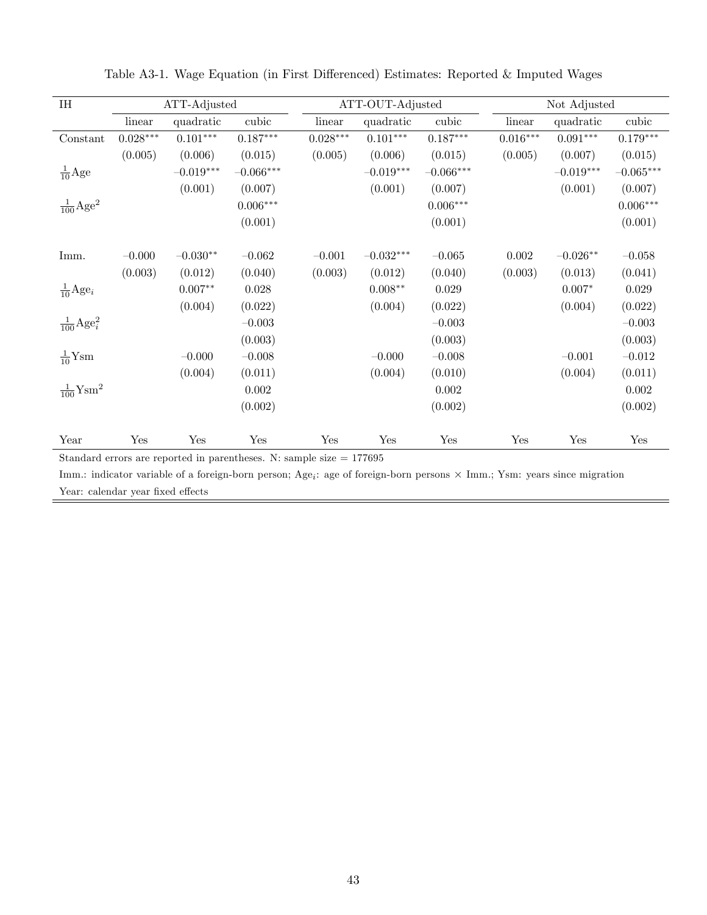| $\rm I \rm H$                    |            | ATT-Adjusted |             |            | ATT-OUT-Adjusted |             |            | Not Adjusted           |             |
|----------------------------------|------------|--------------|-------------|------------|------------------|-------------|------------|------------------------|-------------|
|                                  | linear     | quadratic    | cubic       | linear     | quadratic        | cubic       | linear     | quadratic              | cubic       |
| Constant                         | $0.028***$ | $0.101***$   | $0.187***$  | $0.028***$ | $0.101^{***}\,$  | $0.187***$  | $0.016***$ | $0.091^{\ast\ast\ast}$ | $0.179***$  |
|                                  | (0.005)    | (0.006)      | (0.015)     | (0.005)    | (0.006)          | (0.015)     | (0.005)    | (0.007)                | (0.015)     |
| $\frac{1}{10}$ Age               |            | $-0.019***$  | $-0.066***$ |            | $-0.019***$      | $-0.066***$ |            | $-0.019***$            | $-0.065***$ |
|                                  |            | (0.001)      | (0.007)     |            | (0.001)          | (0.007)     |            | (0.001)                | (0.007)     |
| $\frac{1}{100}$ Age <sup>2</sup> |            |              | $0.006***$  |            |                  | $0.006***$  |            |                        | $0.006***$  |
|                                  |            |              | (0.001)     |            |                  | (0.001)     |            |                        | (0.001)     |
|                                  |            |              |             |            |                  |             |            |                        |             |
| Imm.                             | $-0.000$   | $-0.030**$   | $-0.062$    | $-0.001$   | $-0.032***$      | $-0.065$    | 0.002      | $-0.026**$             | $-0.058$    |
|                                  | (0.003)    | (0.012)      | (0.040)     | (0.003)    | (0.012)          | (0.040)     | (0.003)    | (0.013)                | (0.041)     |
| $\frac{1}{10} \text{Age}_i$      |            | $0.007**$    | 0.028       |            | $0.008**$        | 0.029       |            | $0.007*$               | 0.029       |
|                                  |            | (0.004)      | (0.022)     |            | (0.004)          | (0.022)     |            | (0.004)                | (0.022)     |
| $\frac{1}{100} \text{Age}_i^2$   |            |              | $-0.003$    |            |                  | $-0.003$    |            |                        | $-0.003$    |
|                                  |            |              | (0.003)     |            |                  | (0.003)     |            |                        | (0.003)     |
| $\frac{1}{10}$ Ysm               |            | $-0.000$     | $-0.008$    |            | $-0.000$         | $-0.008$    |            | $-0.001$               | $-0.012$    |
|                                  |            | (0.004)      | (0.011)     |            | (0.004)          | (0.010)     |            | (0.004)                | (0.011)     |
| $\frac{1}{100}$ Ysm <sup>2</sup> |            |              | 0.002       |            |                  | 0.002       |            |                        | 0.002       |
|                                  |            |              | (0.002)     |            |                  | (0.002)     |            |                        | (0.002)     |
|                                  |            |              |             |            |                  |             |            |                        |             |
| Year                             | Yes        | Yes          | Yes         | Yes        | Yes              | Yes         | Yes        | Yes                    | Yes         |

Table A3-1. Wage Equation (in First Differenced) Estimates: Reported & Imputed Wages

 ${\rm Imm.}$ : indicator variable of a foreign-born person; Age<sub>i</sub>: age of foreign-born persons  $\times$  Imm.; Ysm: years since migration Year: calendar year fixed effects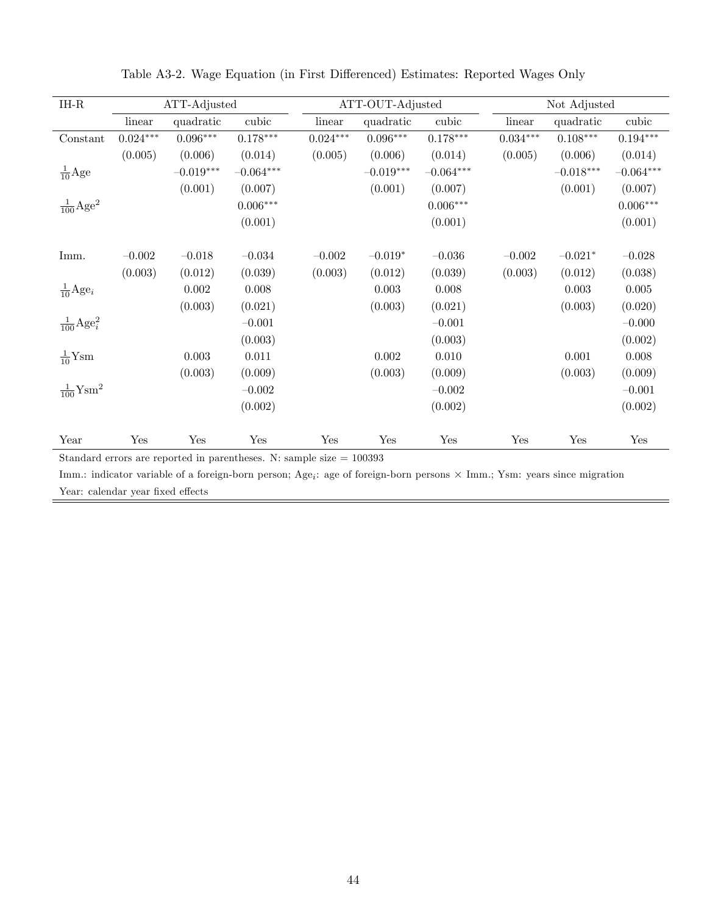| $\rm IH\text{-}R$                |            | ATT-Adjusted |             |            | ATT-OUT-Adjusted |             | Not Adjusted    |             |                        |  |
|----------------------------------|------------|--------------|-------------|------------|------------------|-------------|-----------------|-------------|------------------------|--|
|                                  | linear     | quadratic    | cubic       | linear     | quadratic        | cubic       | linear          | quadratic   | cubic                  |  |
| Constant                         | $0.024***$ | $0.096***$   | $0.178***$  | $0.024***$ | $0.096***$       | $0.178***$  | $0.034^{***}\,$ | $0.108***$  | $0.194^{\ast\ast\ast}$ |  |
|                                  | (0.005)    | (0.006)      | (0.014)     | (0.005)    | (0.006)          | (0.014)     | (0.005)         | (0.006)     | (0.014)                |  |
| $\frac{1}{10}$ Age               |            | $-0.019***$  | $-0.064***$ |            | $-0.019***$      | $-0.064***$ |                 | $-0.018***$ | $-0.064***$            |  |
|                                  |            | (0.001)      | (0.007)     |            | (0.001)          | (0.007)     |                 | (0.001)     | (0.007)                |  |
| $\frac{1}{100}$ Age <sup>2</sup> |            |              | $0.006***$  |            |                  | $0.006***$  |                 |             | $0.006***$             |  |
|                                  |            |              | (0.001)     |            |                  | (0.001)     |                 |             | (0.001)                |  |
|                                  |            |              |             |            |                  |             |                 |             |                        |  |
| Imm.                             | $-0.002$   | $-0.018$     | $-0.034$    | $-0.002$   | $-0.019*$        | $-0.036$    | $-0.002$        | $-0.021*$   | $-0.028$               |  |
|                                  | (0.003)    | (0.012)      | (0.039)     | (0.003)    | (0.012)          | (0.039)     | (0.003)         | (0.012)     | (0.038)                |  |
| $\frac{1}{10} \text{Age}_i$      |            | 0.002        | 0.008       |            | 0.003            | 0.008       |                 | 0.003       | 0.005                  |  |
|                                  |            | (0.003)      | (0.021)     |            | (0.003)          | (0.021)     |                 | (0.003)     | (0.020)                |  |
| $\frac{1}{100} \text{Age}_i^2$   |            |              | $-0.001$    |            |                  | $-0.001$    |                 |             | $-0.000$               |  |
|                                  |            |              | (0.003)     |            |                  | (0.003)     |                 |             | (0.002)                |  |
| $\frac{1}{10}$ Ysm               |            | 0.003        | 0.011       |            | 0.002            | 0.010       |                 | 0.001       | 0.008                  |  |
|                                  |            | (0.003)      | (0.009)     |            | (0.003)          | (0.009)     |                 | (0.003)     | (0.009)                |  |
| $\frac{1}{100}$ Ysm <sup>2</sup> |            |              | $-0.002$    |            |                  | $-0.002$    |                 |             | $-0.001$               |  |
|                                  |            |              | (0.002)     |            |                  | (0.002)     |                 |             | (0.002)                |  |
|                                  |            |              |             |            |                  |             |                 |             |                        |  |
| Year                             | Yes        | Yes          | Yes         | Yes        | Yes              | Yes         | Yes             | Yes         | Yes                    |  |

Table A3-2. Wage Equation (in First Differenced) Estimates: Reported Wages Only

 ${\rm Imm.}$ : indicator variable of a foreign-born person; Age<sub>i</sub>: age of foreign-born persons  $\times$  Imm.; Ysm: years since migration Year: calendar year fixed effects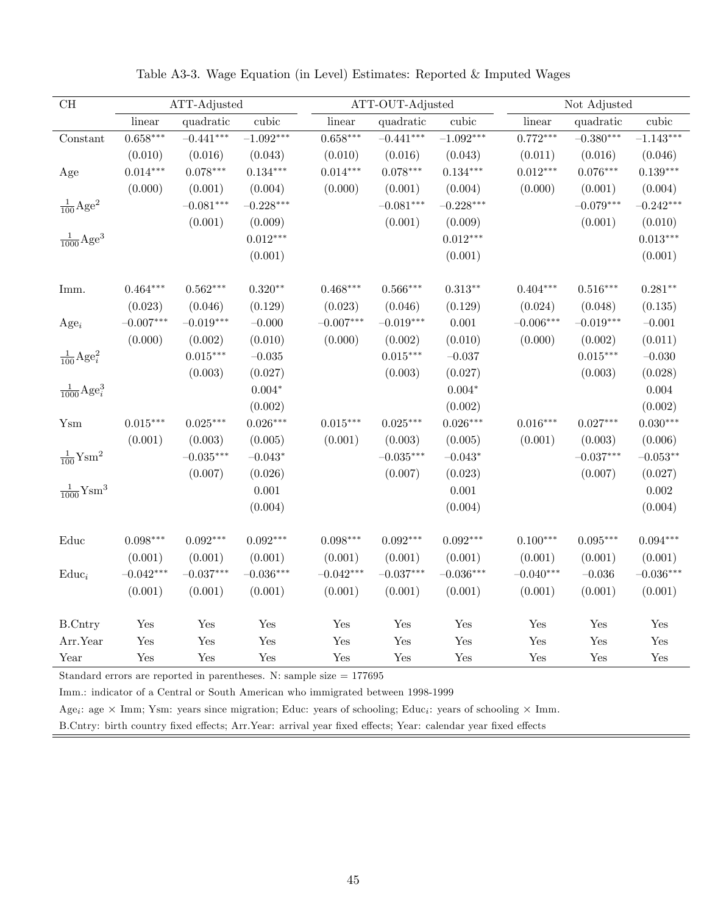| $\operatorname{CH}$               |             | ATT-Adjusted |             |             | ATT-OUT-Adjusted |             |             | Not Adjusted |             |  |  |
|-----------------------------------|-------------|--------------|-------------|-------------|------------------|-------------|-------------|--------------|-------------|--|--|
|                                   | linear      | quadratic    | cubic       | linear      | quadratic        | cubic       | linear      | quadratic    | cubic       |  |  |
| Constant                          | $0.658***$  | $-0.441***$  | $-1.092***$ | $0.658***$  | $-0.441***$      | $-1.092***$ | $0.772***$  | $-0.380***$  | $-1.143***$ |  |  |
|                                   | (0.010)     | (0.016)      | (0.043)     | (0.010)     | (0.016)          | (0.043)     | (0.011)     | (0.016)      | (0.046)     |  |  |
| Age                               | $0.014***$  | $0.078***$   | $0.134***$  | $0.014***$  | $0.078***$       | $0.134***$  | $0.012***$  | $0.076***$   | $0.139***$  |  |  |
|                                   | (0.000)     | (0.001)      | (0.004)     | (0.000)     | (0.001)          | (0.004)     | (0.000)     | (0.001)      | (0.004)     |  |  |
| $\frac{1}{100} \text{Age}^2$      |             | $-0.081***$  | $-0.228***$ |             | $-0.081***$      | $-0.228***$ |             | $-0.079***$  | $-0.242***$ |  |  |
|                                   |             | (0.001)      | (0.009)     |             | (0.001)          | (0.009)     |             | (0.001)      | (0.010)     |  |  |
| $\frac{1}{1000}$ Age <sup>3</sup> |             |              | $0.012***$  |             |                  | $0.012***$  |             |              | $0.013***$  |  |  |
|                                   |             |              | (0.001)     |             |                  | (0.001)     |             |              | (0.001)     |  |  |
| Imm.                              | $0.464***$  | $0.562***$   | $0.320**$   | $0.468***$  | $0.566***$       | $0.313**$   | $0.404***$  | $0.516***$   | $0.281**$   |  |  |
|                                   | (0.023)     | (0.046)      | (0.129)     | (0.023)     | (0.046)          | (0.129)     | (0.024)     | (0.048)      | (0.135)     |  |  |
| $Age_i$                           | $-0.007***$ | $-0.019***$  | $-0.000\,$  | $-0.007***$ | $-0.019***$      | 0.001       | $-0.006***$ | $-0.019***$  | $-0.001$    |  |  |
|                                   | (0.000)     | (0.002)      | (0.010)     | (0.000)     | (0.002)          | (0.010)     | (0.000)     | (0.002)      | (0.011)     |  |  |
| $\frac{1}{100} \text{Age}_i^2$    |             | $0.015***$   | $-0.035\,$  |             | $0.015***$       | $-0.037$    |             | $0.015***$   | $-0.030$    |  |  |
|                                   |             | (0.003)      | (0.027)     |             | (0.003)          | (0.027)     |             | (0.003)      | (0.028)     |  |  |
| $\frac{1}{1000}$ Age <sup>3</sup> |             |              | $0.004*$    |             |                  | $0.004*$    |             |              | 0.004       |  |  |
|                                   |             |              | (0.002)     |             |                  | (0.002)     |             |              | (0.002)     |  |  |
| Ysm                               | $0.015***$  | $0.025***$   | $0.026***$  | $0.015***$  | $0.025***$       | $0.026***$  | $0.016***$  | $0.027***$   | $0.030***$  |  |  |
|                                   | (0.001)     | (0.003)      | (0.005)     | (0.001)     | (0.003)          | (0.005)     | (0.001)     | (0.003)      | (0.006)     |  |  |
| $\frac{1}{100}$ Ysm <sup>2</sup>  |             | $-0.035***$  | $-0.043*$   |             | $-0.035***$      | $-0.043*$   |             | $-0.037***$  | $-0.053**$  |  |  |
|                                   |             | (0.007)      | (0.026)     |             | (0.007)          | (0.023)     |             | (0.007)      | (0.027)     |  |  |
| $\frac{1}{1000}$ Ysm <sup>3</sup> |             |              | 0.001       |             |                  | 0.001       |             |              | 0.002       |  |  |
|                                   |             |              | (0.004)     |             |                  | (0.004)     |             |              | (0.004)     |  |  |
| Educ                              | $0.098***$  | $0.092***$   | $0.092***$  | $0.098***$  | $0.092***$       | $0.092***$  | $0.100***$  | $0.095***$   | $0.094***$  |  |  |
|                                   | (0.001)     | (0.001)      | (0.001)     | (0.001)     | (0.001)          | (0.001)     | (0.001)     | (0.001)      | (0.001)     |  |  |
| $Educ_i$                          | $-0.042***$ | $-0.037***$  | $-0.036***$ | $-0.042***$ | $-0.037***$      | $-0.036***$ | $-0.040***$ | $-0.036$     | $-0.036***$ |  |  |
|                                   | (0.001)     | (0.001)      | (0.001)     | (0.001)     | (0.001)          | (0.001)     | (0.001)     | (0.001)      | (0.001)     |  |  |
| <b>B.Cntry</b>                    | Yes         | Yes          | Yes         | Yes         | Yes              | Yes         | Yes         | Yes          | Yes         |  |  |
| Arr.Year                          | Yes         | Yes          | Yes         | Yes         | Yes              | Yes         | Yes         | Yes          | Yes         |  |  |
| Year                              | Yes         | Yes          | Yes         | Yes         | Yes              | Yes         | Yes         | Yes          | Yes         |  |  |

Table A3-3. Wage Equation (in Level) Estimates: Reported & Imputed Wages

Imm.: indicator of a Central or South American who immigrated between 1998-1999

Age<sub>i</sub>: age  $\times$  Imm; Ysm: years since migration; Educ: years of schooling; Educ<sub>i</sub>: years of schooling  $\times$  Imm.

B.Cntry: birth country fixed effects; Arr.Year: arrival year fixed effects; Year: calendar year fixed effects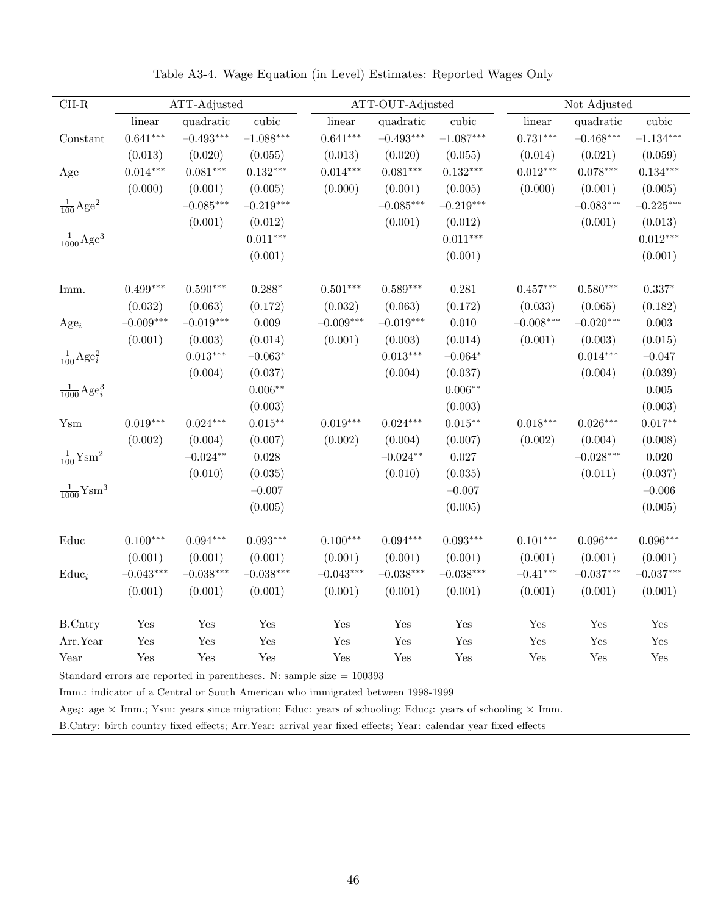| $\rm CH\text{-}R$                 |             | ATT-Adjusted |                 |             | ATT-OUT-Adjusted |             |             | Not Adjusted |                      |  |  |  |
|-----------------------------------|-------------|--------------|-----------------|-------------|------------------|-------------|-------------|--------------|----------------------|--|--|--|
|                                   | linear      | quadratic    | cubic           | linear      | quadratic        | cubic       | linear      | quadratic    | cubic                |  |  |  |
| Constant                          | $0.641***$  | $-0.493***$  | $-1.088***$     | $0.641***$  | $-0.493***$      | $-1.087***$ | $0.731***$  | $-0.468***$  | $-1.134***$          |  |  |  |
|                                   | (0.013)     | (0.020)      | (0.055)         | (0.013)     | (0.020)          | (0.055)     | (0.014)     | (0.021)      | (0.059)              |  |  |  |
| Age                               | $0.014***$  | $0.081***$   | $0.132***$      | $0.014***$  | $0.081***$       | $0.132***$  | $0.012***$  | $0.078***$   | $0.134***$           |  |  |  |
|                                   | (0.000)     | (0.001)      | (0.005)         | (0.000)     | (0.001)          | (0.005)     | (0.000)     | (0.001)      | (0.005)              |  |  |  |
| $\frac{1}{100}$ Age <sup>2</sup>  |             | $-0.085***$  | $-0.219***$     |             | $-0.085***$      | $-0.219***$ |             | $-0.083***$  | $-0.225***$          |  |  |  |
|                                   |             | (0.001)      | (0.012)         |             | (0.001)          | (0.012)     |             | (0.001)      | (0.013)              |  |  |  |
| $\frac{1}{1000} \text{Age}^3$     |             |              | $0.011***$      |             |                  | $0.011***$  |             |              | $0.012***$           |  |  |  |
|                                   |             |              | (0.001)         |             |                  | (0.001)     |             |              | (0.001)              |  |  |  |
| Imm.                              | $0.499***$  | $0.590***$   | $0.288*$        | $0.501***$  | $0.589***$       | 0.281       | $0.457***$  | $0.580***$   | $0.337*$             |  |  |  |
|                                   | (0.032)     | (0.063)      | (0.172)         | (0.032)     | (0.063)          | (0.172)     | (0.033)     | (0.065)      | (0.182)              |  |  |  |
| $Age_i$                           | $-0.009***$ | $-0.019***$  | 0.009           | $-0.009***$ | $-0.019***$      | $0.010\,$   | $-0.008***$ | $-0.020***$  | $\,0.003\,$          |  |  |  |
|                                   | (0.001)     | (0.003)      | (0.014)         | (0.001)     | (0.003)          | (0.014)     | (0.001)     | (0.003)      | (0.015)              |  |  |  |
| $\frac{1}{100} \text{Age}_i^2$    |             | $0.013***$   | $-0.063^{\ast}$ |             | $0.013***$       | $-0.064*$   |             | $0.014***$   | $-0.047$             |  |  |  |
|                                   |             | (0.004)      | (0.037)         |             | (0.004)          | (0.037)     |             | (0.004)      | (0.039)              |  |  |  |
| $\frac{1}{1000}$ Age <sup>3</sup> |             |              | $0.006**$       |             |                  | $0.006**$   |             |              | 0.005                |  |  |  |
|                                   |             |              | (0.003)         |             |                  | (0.003)     |             |              | (0.003)              |  |  |  |
| Ysm                               | $0.019***$  | $0.024***$   | $0.015***$      | $0.019***$  | $0.024***$       | $0.015**$   | $0.018***$  | $0.026***$   | $0.017**$            |  |  |  |
|                                   | (0.002)     | (0.004)      | (0.007)         | (0.002)     | (0.004)          | (0.007)     | (0.002)     | (0.004)      | (0.008)              |  |  |  |
| $\frac{1}{100}$ Ysm <sup>2</sup>  |             | $-0.024**$   | $0.028\,$       |             | $-0.024**$       | $0.027\,$   |             | $-0.028***$  | 0.020                |  |  |  |
|                                   |             | (0.010)      | (0.035)         |             | (0.010)          | (0.035)     |             | (0.011)      | (0.037)              |  |  |  |
| $\frac{1}{1000}$ Ysm <sup>3</sup> |             |              | $-0.007$        |             |                  | $-0.007$    |             |              | $-0.006$             |  |  |  |
|                                   |             |              | (0.005)         |             |                  | (0.005)     |             |              | (0.005)              |  |  |  |
| Educ                              | $0.100***$  | $0.094***$   | $0.093***$      | $0.100***$  | $0.094***$       | $0.093***$  | $0.101***$  | $0.096***$   | $0.096***$           |  |  |  |
|                                   | (0.001)     | (0.001)      | (0.001)         | (0.001)     | (0.001)          | (0.001)     | (0.001)     | (0.001)      | (0.001)              |  |  |  |
| $Educ_i$                          | $-0.043***$ | $-0.038***$  | $-0.038***$     | $-0.043***$ | $-0.038***$      | $-0.038***$ | $-0.41***$  | $-0.037***$  | $-0.037***$          |  |  |  |
|                                   | (0.001)     | (0.001)      | (0.001)         | (0.001)     | (0.001)          | (0.001)     | (0.001)     | (0.001)      | (0.001)              |  |  |  |
| <b>B.Cntry</b>                    | Yes         | Yes          | Yes             | Yes         | Yes              | Yes         | Yes         | Yes          | $\operatorname{Yes}$ |  |  |  |
| Arr.Year                          | Yes         | Yes          | Yes             | Yes         | Yes              | Yes         | Yes         | Yes          | Yes                  |  |  |  |
| Year                              | Yes         | Yes          | Yes             | Yes         | Yes              | Yes         | Yes         | Yes          | Yes                  |  |  |  |

Table A3-4. Wage Equation (in Level) Estimates: Reported Wages Only

Imm.: indicator of a Central or South American who immigrated between 1998-1999

Age<sub>i</sub>: age  $\times$  Imm.; Ysm: years since migration; Educ: years of schooling; Educ<sub>i</sub>: years of schooling  $\times$  Imm.

B.Cntry: birth country fixed effects; Arr.Year: arrival year fixed effects; Year: calendar year fixed effects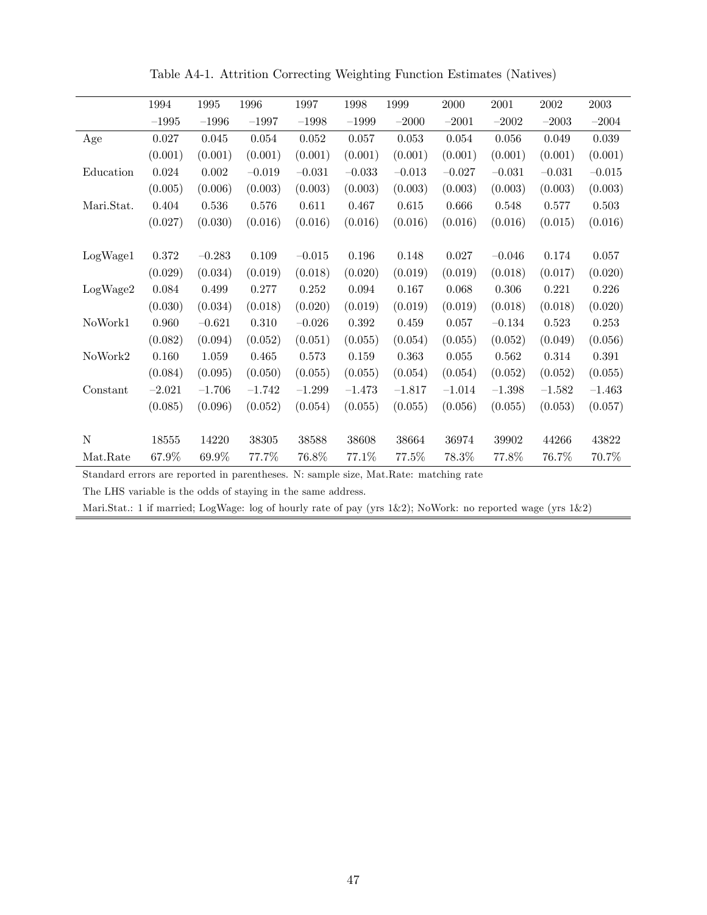|            | 1994     | 1995     | 1996      | 1997     | 1998        | 1999     | $2000\,$ | $\,2001\,$ | $\,2002\,$ | $\,2003\,$  |
|------------|----------|----------|-----------|----------|-------------|----------|----------|------------|------------|-------------|
|            | $-1995$  | $-1996$  | $-1997$   | $-1998$  | $-1999$     | $-2000$  | $-2001$  | $-2002$    | $-2003$    | $-2004$     |
| Age        | 0.027    | 0.045    | $0.054\,$ | 0.052    | 0.057       | 0.053    | 0.054    | 0.056      | 0.049      | $\,0.039\,$ |
|            | (0.001)  | (0.001)  | (0.001)   | (0.001)  | (0.001)     | (0.001)  | (0.001)  | (0.001)    | (0.001)    | (0.001)     |
| Education  | 0.024    | 0.002    | $-0.019$  | $-0.031$ | $-0.033$    | $-0.013$ | $-0.027$ | $-0.031$   | $-0.031$   | $-0.015$    |
|            | (0.005)  | (0.006)  | (0.003)   | (0.003)  | (0.003)     | (0.003)  | (0.003)  | (0.003)    | (0.003)    | (0.003)     |
| Mari.Stat. | 0.404    | 0.536    | 0.576     | 0.611    | 0.467       | 0.615    | 0.666    | 0.548      | 0.577      | 0.503       |
|            | (0.027)  | (0.030)  | (0.016)   | (0.016)  | (0.016)     | (0.016)  | (0.016)  | (0.016)    | (0.015)    | (0.016)     |
|            |          |          |           |          |             |          |          |            |            |             |
| LogWage1   | 0.372    | $-0.283$ | $0.109\,$ | $-0.015$ | 0.196       | 0.148    | 0.027    | $-0.046$   | 0.174      | $0.057\,$   |
|            | (0.029)  | (0.034)  | (0.019)   | (0.018)  | (0.020)     | (0.019)  | (0.019)  | (0.018)    | (0.017)    | (0.020)     |
| LogWage2   | 0.084    | 0.499    | 0.277     | 0.252    | $\,0.094\,$ | 0.167    | 0.068    | 0.306      | 0.221      | 0.226       |
|            | (0.030)  | (0.034)  | (0.018)   | (0.020)  | (0.019)     | (0.019)  | (0.019)  | (0.018)    | (0.018)    | (0.020)     |
| NoWork1    | 0.960    | $-0.621$ | 0.310     | $-0.026$ | $0.392\,$   | 0.459    | 0.057    | $-0.134$   | 0.523      | 0.253       |
|            | (0.082)  | (0.094)  | (0.052)   | (0.051)  | (0.055)     | (0.054)  | (0.055)  | (0.052)    | (0.049)    | (0.056)     |
| NoWork2    | 0.160    | 1.059    | 0.465     | 0.573    | 0.159       | 0.363    | 0.055    | 0.562      | 0.314      | 0.391       |
|            | (0.084)  | (0.095)  | (0.050)   | (0.055)  | (0.055)     | (0.054)  | (0.054)  | (0.052)    | (0.052)    | (0.055)     |
| Constant   | $-2.021$ | $-1.706$ | $-1.742$  | $-1.299$ | $-1.473$    | $-1.817$ | $-1.014$ | $-1.398$   | $-1.582$   | $-1.463$    |
|            | (0.085)  | (0.096)  | (0.052)   | (0.054)  | (0.055)     | (0.055)  | (0.056)  | (0.055)    | (0.053)    | (0.057)     |
|            |          |          |           |          |             |          |          |            |            |             |
| N          | 18555    | 14220    | 38305     | 38588    | 38608       | 38664    | 36974    | 39902      | 44266      | 43822       |
| Mat.Rate   | 67.9%    | 69.9%    | 77.7%     | 76.8%    | 77.1\%      | 77.5%    | 78.3%    | 77.8%      | 76.7%      | 70.7%       |

Table A4-1. Attrition Correcting Weighting Function Estimates (Natives)

Standard errors are reported in parentheses. N: sample size, Mat.Rate: matching rate

The LHS variable is the odds of staying in the same address.

Mari.Stat.: 1 if married; LogWage: log of hourly rate of pay (yrs 1&2); NoWork: no reported wage (yrs 1&2)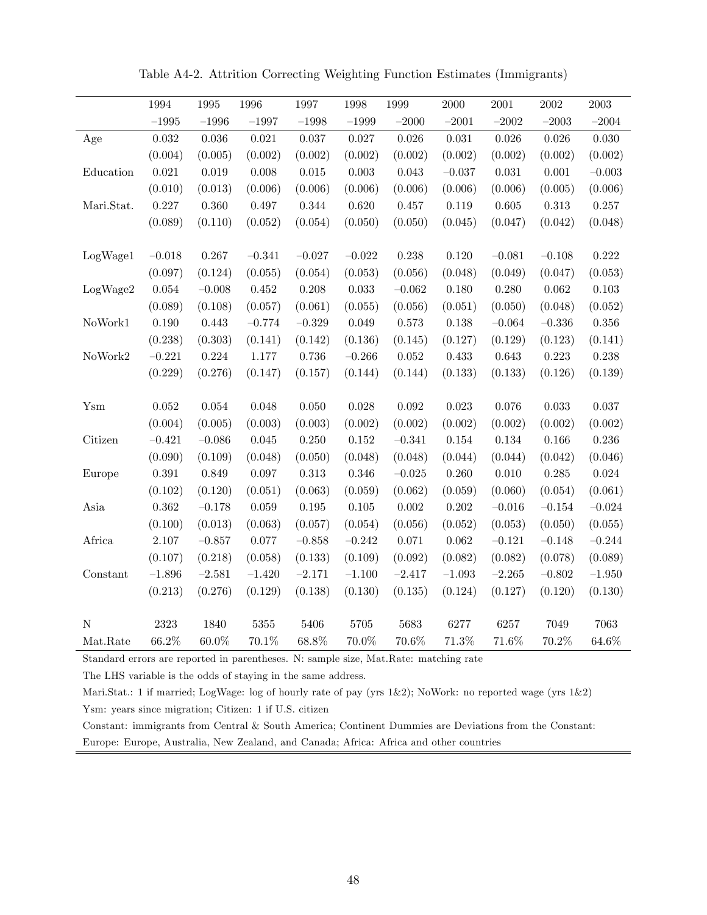|               | 1994        | 1995        | 1996        | 1997       | 1998        | 1999        | 2000        | 2001        | 2002        | $\,2003\,$  |
|---------------|-------------|-------------|-------------|------------|-------------|-------------|-------------|-------------|-------------|-------------|
|               | $-1995$     | $-1996$     | $-1997$     | $-1998$    | $-1999$     | $-2000$     | $-2001$     | $-2002$     | $-2003\,$   | $-2004$     |
| Age           | $\,0.032\,$ | $0.036\,$   | 0.021       | $0.037\,$  | $0.027\,$   | $0.026\,$   | $\,0.031\,$ | $0.026\,$   | 0.026       | 0.030       |
|               | (0.004)     | (0.005)     | (0.002)     | (0.002)    | (0.002)     | (0.002)     | (0.002)     | (0.002)     | (0.002)     | (0.002)     |
| Education     | 0.021       | $\,0.019\,$ | 0.008       | $0.015\,$  | $\,0.003\,$ | 0.043       | $-0.037$    | 0.031       | 0.001       | $-0.003$    |
|               | (0.010)     | (0.013)     | (0.006)     | (0.006)    | (0.006)     | (0.006)     | (0.006)     | (0.006)     | (0.005)     | (0.006)     |
| Mari.Stat.    | 0.227       | 0.360       | $0.497\,$   | $0.344\,$  | 0.620       | $0.457\,$   | 0.119       | $0.605\,$   | $0.313\,$   | $0.257\,$   |
|               | (0.089)     | (0.110)     | (0.052)     | (0.054)    | (0.050)     | (0.050)     | (0.045)     | (0.047)     | (0.042)     | (0.048)     |
|               |             |             |             |            |             |             |             |             |             |             |
| LogWage1      | $-0.018$    | 0.267       | $-0.341$    | $-0.027$   | $-0.022$    | $0.238\,$   | $0.120\,$   | $-0.081$    | $-0.108$    | 0.222       |
|               | (0.097)     | (0.124)     | (0.055)     | (0.054)    | (0.053)     | (0.056)     | (0.048)     | (0.049)     | (0.047)     | (0.053)     |
| LogWage2      | $\,0.054\,$ | $-0.008$    | 0.452       | 0.208      | $\,0.033\,$ | $-0.062\,$  | 0.180       | $0.280\,$   | $\,0.062\,$ | $\rm 0.103$ |
|               | (0.089)     | (0.108)     | (0.057)     | (0.061)    | (0.055)     | (0.056)     | (0.051)     | (0.050)     | (0.048)     | (0.052)     |
| NoWork1       | 0.190       | 0.443       | $-0.774$    | $-0.329$   | 0.049       | $0.573\,$   | 0.138       | $-0.064$    | $-0.336$    | 0.356       |
|               | (0.238)     | (0.303)     | (0.141)     | (0.142)    | (0.136)     | (0.145)     | (0.127)     | (0.129)     | (0.123)     | (0.141)     |
| NoWork2       | $-0.221$    | $0.224\,$   | 1.177       | $0.736\,$  | $-0.266$    | $0.052\,$   | $\,0.433\,$ | $\,0.643\,$ | $0.223\,$   | 0.238       |
|               | (0.229)     | (0.276)     | (0.147)     | (0.157)    | (0.144)     | (0.144)     | (0.133)     | (0.133)     | (0.126)     | (0.139)     |
|               |             |             |             |            |             |             |             |             |             |             |
| $Y_{\rm{sm}}$ | $0.052\,$   | $\,0.054\,$ | $0.048\,$   | $0.050\,$  | $0.028\,$   | $\,0.092\,$ | $\,0.023\,$ | $0.076\,$   | $\,0.033\,$ | $0.037\,$   |
|               | (0.004)     | (0.005)     | (0.003)     | (0.003)    | (0.002)     | (0.002)     | (0.002)     | (0.002)     | (0.002)     | (0.002)     |
| Citizen       | $-0.421$    | $-0.086$    | 0.045       | 0.250      | 0.152       | $-0.341$    | $0.154\,$   | 0.134       | 0.166       | 0.236       |
|               | (0.090)     | (0.109)     | (0.048)     | (0.050)    | (0.048)     | (0.048)     | (0.044)     | (0.044)     | (0.042)     | (0.046)     |
| Europe        | $\,0.391\,$ | 0.849       | $0.097\,$   | $0.313\,$  | 0.346       | $-0.025\,$  | 0.260       | $0.010\,$   | $0.285\,$   | $\,0.024\,$ |
|               | (0.102)     | (0.120)     | (0.051)     | (0.063)    | (0.059)     | (0.062)     | (0.059)     | (0.060)     | (0.054)     | (0.061)     |
| Asia          | $0.362\,$   | $-0.178$    | $\,0.059\,$ | $0.195\,$  | $0.105\,$   | $0.002\,$   | $0.202\,$   | $-0.016$    | $-0.154$    | $-0.024$    |
|               | (0.100)     | (0.013)     | (0.063)     | (0.057)    | (0.054)     | (0.056)     | (0.052)     | (0.053)     | (0.050)     | (0.055)     |
| Africa        | $2.107\,$   | $-0.857$    | $0.077\,$   | $-0.858\,$ | $-0.242$    | $0.071\,$   | $0.062\,$   | $-0.121$    | $-0.148$    | $-0.244$    |
|               | (0.107)     | (0.218)     | (0.058)     | (0.133)    | (0.109)     | (0.092)     | (0.082)     | (0.082)     | (0.078)     | (0.089)     |
| Constant      | $-1.896$    | $-2.581$    | $-1.420$    | $-2.171$   | $-1.100$    | $-2.417$    | $-1.093$    | $-2.265$    | $-0.802$    | $-1.950$    |
|               | (0.213)     | (0.276)     | (0.129)     | (0.138)    | (0.130)     | (0.135)     | (0.124)     | (0.127)     | (0.120)     | (0.130)     |
|               |             |             |             |            |             |             |             |             |             |             |
| $\mathbf N$   | $2323\,$    | 1840        | $5355\,$    | $5406\,$   | $5705\,$    | 5683        | 6277        | 6257        | 7049        | 7063        |
| Mat.Rate      | 66.2%       | $60.0\%$    | 70.1%       | 68.8%      | 70.0%       | 70.6%       | 71.3%       | $71.6\%$    | $70.2\%$    | $64.6\%$    |

Table A4-2. Attrition Correcting Weighting Function Estimates (Immigrants)

Standard errors are reported in parentheses. N: sample size, Mat.Rate: matching rate

The LHS variable is the odds of staying in the same address.

Mari.Stat.: 1 if married; LogWage: log of hourly rate of pay (yrs 1&2); NoWork: no reported wage (yrs 1&2) Ysm: years since migration; Citizen: 1 if U.S. citizen

Constant: immigrants from Central & South America; Continent Dummies are Deviations from the Constant: Europe: Europe, Australia, New Zealand, and Canada; Africa: Africa and other countries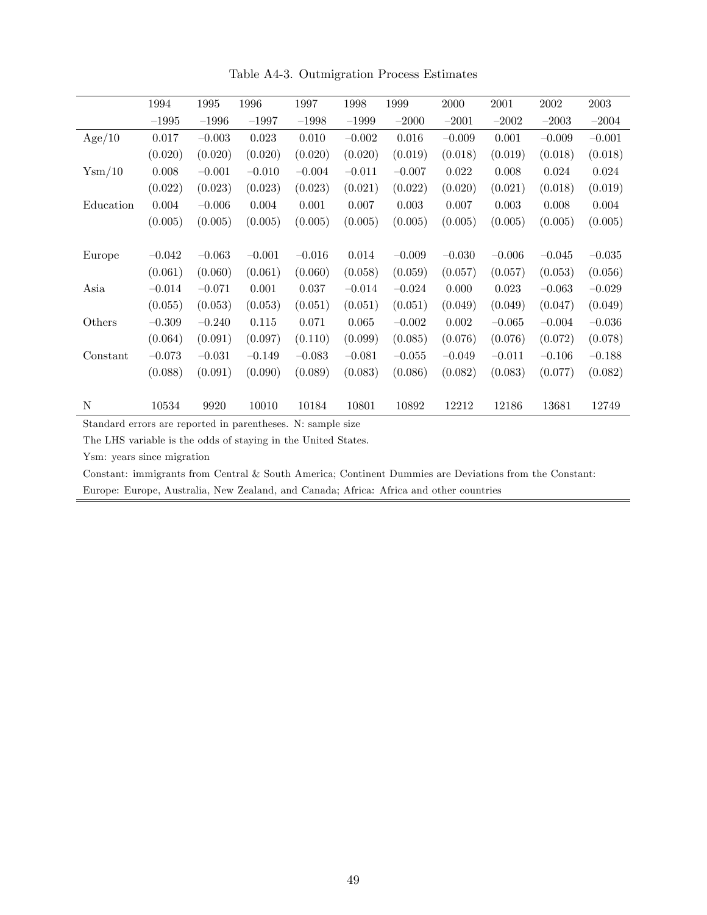|                 | 1994     | 1995     | 1996     | 1997     | 1998     | 1999     | 2000     | 2001     | 2002     | 2003     |
|-----------------|----------|----------|----------|----------|----------|----------|----------|----------|----------|----------|
|                 | $-1995$  | $-1996$  | $-1997$  | $-1998$  | $-1999$  | $-2000$  | $-2001$  | $-2002$  | $-2003$  | $-2004$  |
| Age/10          | 0.017    | $-0.003$ | 0.023    | 0.010    | $-0.002$ | 0.016    | $-0.009$ | 0.001    | $-0.009$ | $-0.001$ |
|                 | (0.020)  | (0.020)  | (0.020)  | (0.020)  | (0.020)  | (0.019)  | (0.018)  | (0.019)  | (0.018)  | (0.018)  |
| $Y_{\rm sm}/10$ | 0.008    | $-0.001$ | $-0.010$ | $-0.004$ | $-0.011$ | $-0.007$ | 0.022    | 0.008    | 0.024    | 0.024    |
|                 | (0.022)  | (0.023)  | (0.023)  | (0.023)  | (0.021)  | (0.022)  | (0.020)  | (0.021)  | (0.018)  | (0.019)  |
| Education       | 0.004    | $-0.006$ | 0.004    | 0.001    | 0.007    | 0.003    | 0.007    | 0.003    | 0.008    | 0.004    |
|                 | (0.005)  | (0.005)  | (0.005)  | (0.005)  | (0.005)  | (0.005)  | (0.005)  | (0.005)  | (0.005)  | (0.005)  |
|                 |          |          |          |          |          |          |          |          |          |          |
| Europe          | $-0.042$ | $-0.063$ | $-0.001$ | $-0.016$ | 0.014    | $-0.009$ | $-0.030$ | $-0.006$ | $-0.045$ | $-0.035$ |
|                 | (0.061)  | (0.060)  | (0.061)  | (0.060)  | (0.058)  | (0.059)  | (0.057)  | (0.057)  | (0.053)  | (0.056)  |
| Asia            | $-0.014$ | $-0.071$ | 0.001    | 0.037    | $-0.014$ | $-0.024$ | 0.000    | 0.023    | $-0.063$ | $-0.029$ |
|                 | (0.055)  | (0.053)  | (0.053)  | (0.051)  | (0.051)  | (0.051)  | (0.049)  | (0.049)  | (0.047)  | (0.049)  |
| Others          | $-0.309$ | $-0.240$ | 0.115    | 0.071    | 0.065    | $-0.002$ | 0.002    | $-0.065$ | $-0.004$ | $-0.036$ |
|                 | (0.064)  | (0.091)  | (0.097)  | (0.110)  | (0.099)  | (0.085)  | (0.076)  | (0.076)  | (0.072)  | (0.078)  |
| Constant        | $-0.073$ | $-0.031$ | $-0.149$ | $-0.083$ | $-0.081$ | $-0.055$ | $-0.049$ | $-0.011$ | $-0.106$ | $-0.188$ |
|                 | (0.088)  | (0.091)  | (0.090)  | (0.089)  | (0.083)  | (0.086)  | (0.082)  | (0.083)  | (0.077)  | (0.082)  |
|                 |          |          |          |          |          |          |          |          |          |          |
| N               | 10534    | 9920     | 10010    | 10184    | 10801    | 10892    | 12212    | 12186    | 13681    | 12749    |

Table A4-3. Outmigration Process Estimates

The LHS variable is the odds of staying in the United States.

Ysm: years since migration

Constant: immigrants from Central & South America; Continent Dummies are Deviations from the Constant: Europe: Europe, Australia, New Zealand, and Canada; Africa: Africa and other countries